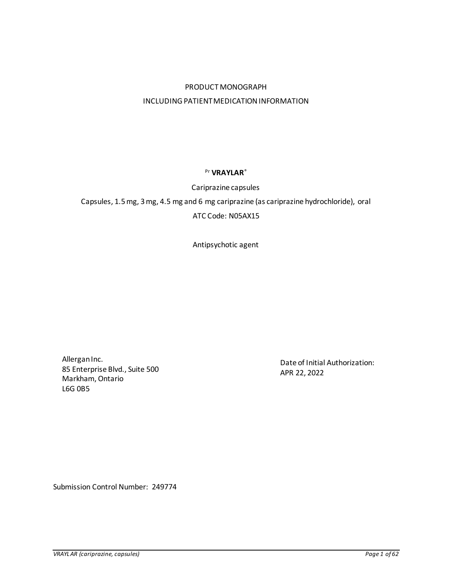# PRODUCT MONOGRAPH INCLUDING PATIENT MEDICATION INFORMATION

## Pr **VRAYLAR**®

## Cariprazine capsules

Capsules, 1.5 mg, 3 mg, 4.5 mg and 6 mg cariprazine (as cariprazine hydrochloride), oral

# ATC Code: N05AX15

Antipsychotic agent

Allergan Inc. 85 Enterprise Blvd., Suite 500 Markham, Ontario L6G 0B5

Date of Initial Authorization: APR 22, 2022

Submission Control Number: 249774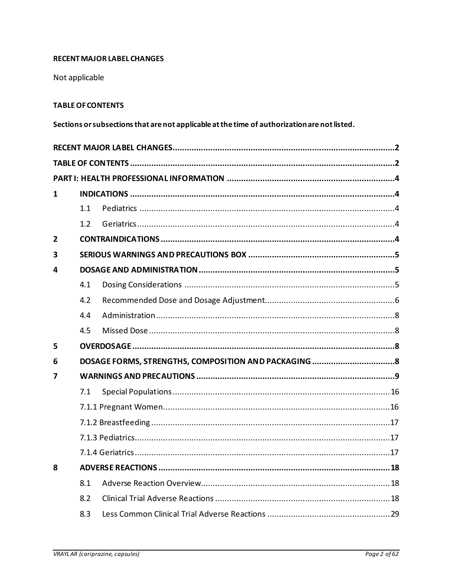# <span id="page-1-0"></span>**RECENT MAJOR LABEL CHANGES**

Not applicable

## <span id="page-1-1"></span>**TABLE OF CONTENTS**

Sections or subsections that are not applicable at the time of authorization are not listed.

| 1              |     |  |  |  |  |
|----------------|-----|--|--|--|--|
|                | 1.1 |  |  |  |  |
|                | 1.2 |  |  |  |  |
| $\overline{2}$ |     |  |  |  |  |
| 3              |     |  |  |  |  |
| 4              |     |  |  |  |  |
|                | 4.1 |  |  |  |  |
|                | 4.2 |  |  |  |  |
|                | 4.4 |  |  |  |  |
|                | 4.5 |  |  |  |  |
| 5              |     |  |  |  |  |
| 6              |     |  |  |  |  |
| 7              |     |  |  |  |  |
|                | 7.1 |  |  |  |  |
|                |     |  |  |  |  |
|                |     |  |  |  |  |
|                |     |  |  |  |  |
|                |     |  |  |  |  |
| 8              |     |  |  |  |  |
|                | 8.1 |  |  |  |  |
|                | 8.2 |  |  |  |  |
|                | 8.3 |  |  |  |  |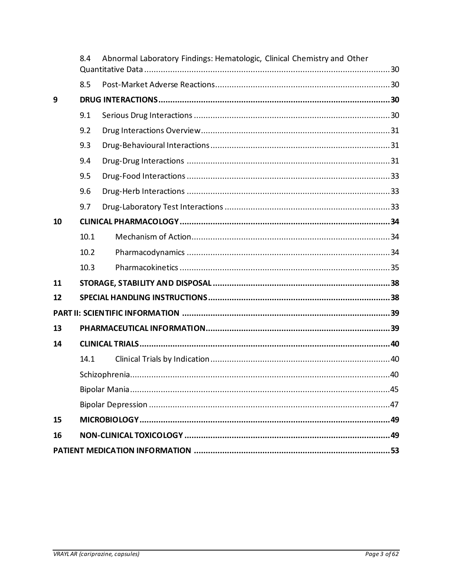|    | 8.4<br>Abnormal Laboratory Findings: Hematologic, Clinical Chemistry and Other |  |  |  |  |
|----|--------------------------------------------------------------------------------|--|--|--|--|
|    | 8.5                                                                            |  |  |  |  |
| 9  |                                                                                |  |  |  |  |
|    | 9.1                                                                            |  |  |  |  |
|    | 9.2                                                                            |  |  |  |  |
|    | 9.3                                                                            |  |  |  |  |
|    | 9.4                                                                            |  |  |  |  |
|    | 9.5                                                                            |  |  |  |  |
|    | 9.6                                                                            |  |  |  |  |
|    | 9.7                                                                            |  |  |  |  |
| 10 |                                                                                |  |  |  |  |
|    | 10.1                                                                           |  |  |  |  |
|    | 10.2                                                                           |  |  |  |  |
|    | 10.3                                                                           |  |  |  |  |
| 11 |                                                                                |  |  |  |  |
| 12 |                                                                                |  |  |  |  |
|    |                                                                                |  |  |  |  |
| 13 |                                                                                |  |  |  |  |
| 14 |                                                                                |  |  |  |  |
|    | 14.1                                                                           |  |  |  |  |
|    |                                                                                |  |  |  |  |
|    |                                                                                |  |  |  |  |
|    |                                                                                |  |  |  |  |
| 15 |                                                                                |  |  |  |  |
| 16 |                                                                                |  |  |  |  |
|    |                                                                                |  |  |  |  |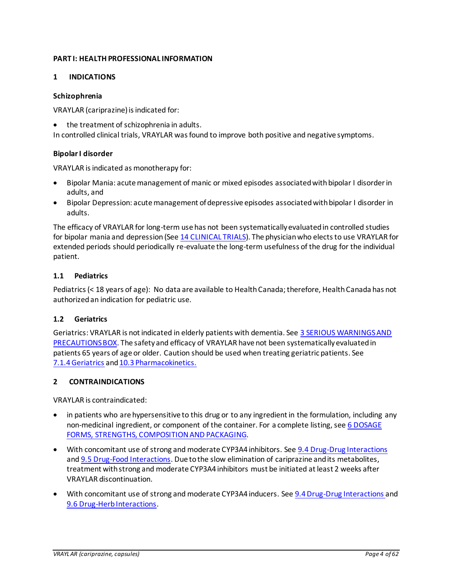## <span id="page-3-0"></span>**PART I: HEALTH PROFESSIONAL INFORMATION**

## <span id="page-3-1"></span>**1 INDICATIONS**

### **Schizophrenia**

VRAYLAR (cariprazine) is indicated for:

• the treatment of schizophrenia in adults.

In controlled clinical trials, VRAYLAR was found to improve both positive and negative symptoms.

## **Bipolar I disorder**

VRAYLAR is indicated as monotherapy for:

- Bipolar Mania: acute management of manic or mixed episodes associated with bipolar I disorder in adults, and
- Bipolar Depression: acute management of depressive episodes associated with bipolar I disorder in adults.

The efficacy of VRAYLAR for long-term use has not been systematically evaluated in controlled studies for bipolar mania and depression (See [14 CLINICAL TRIALS](#page-39-0)). The physician who elects to use VRAYLAR for extended periods should periodically re-evaluate the long-term usefulness of the drug for the individual patient.

## <span id="page-3-2"></span>**1.1 Pediatrics**

Pediatrics (< 18 years of age): No data are available to Health Canada; therefore, Health Canada has not authorized an indication for pediatric use.

## <span id="page-3-3"></span>**1.2 Geriatrics**

Geriatrics: VRAYLAR is not indicated in elderly patients with dementia. See [3 SERIOUS WARNINGS AND](#page-4-0)  [PRECAUTIONS BOX.](#page-4-0) The safety and efficacy of VRAYLAR have not been systematically evaluated in patients 65 years of age or older. Caution should be used when treating geriatric patients. See [7.1.4Geriatrics](#page-16-2) an[d 10.3 Pharmacokinetics.](#page-34-0)

### <span id="page-3-4"></span>**2 CONTRAINDICATIONS**

VRAYLAR is contraindicated:

- in patients who are hypersensitive to this drug or to any ingredient in the formulation, including any non-medicinal ingredient, or component of the container. For a complete listing, see 6 [DOSAGE](#page-7-3)  [FORMS, STRENGTHS, COMPOSITION AND PACKAGING](#page-7-3).
- With concomitant use of strong and moderate CYP3A4 inhibitors. Se[e 9.4 Drug-Drug Interactions](#page-30-2) and [9.5 Drug-Food Interactions](#page-32-0). Due to the slow elimination of cariprazine and its metabolites, treatment with strong and moderate CYP3A4 inhibitors must be initiated at least 2 weeks after VRAYLAR discontinuation.
- With concomitant use of strong and moderate CYP3A4 inducers. Se[e 9.4 Drug-Drug Interactions](#page-30-2) and [9.6 Drug-Herb Interactions](#page-32-1).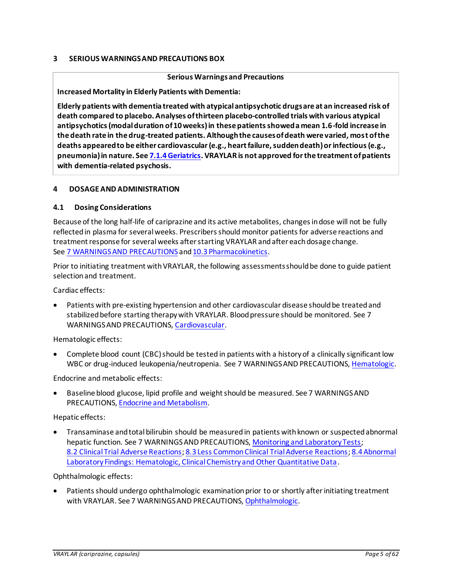## <span id="page-4-0"></span>**3 SERIOUS WARNINGS AND PRECAUTIONS BOX**

### **Serious Warningsand Precautions**

**Increased Mortality in Elderly Patients with Dementia:**

**Elderly patients with dementia treated with atypical antipsychotic drugs are at an increased risk of death compared to placebo. Analyses of thirteen placebo-controlled trials with various atypical antipsychotics (modal duration of 10 weeks) in these patients showed a mean 1.6-fold increase in the death rate in the drug-treated patients. Although the causes of death were varied, most of the deaths appeared to be either cardiovascular (e.g., heart failure, sudden death) or infectious (e.g., pneumonia) in nature. See [7.1.4Geriatrics.](#page-16-2) VRAYLAR is not approved for the treatment of patients with dementia-related psychosis.**

## <span id="page-4-1"></span>**4 DOSAGE AND ADMINISTRATION**

### <span id="page-4-2"></span>**4.1 Dosing Considerations**

Because of the long half-life of cariprazine and its active metabolites, changes in dose will not be fully reflected in plasma for several weeks. Prescribers should monitor patients for adverse reactions and treatment response for several weeks after starting VRAYLAR and after each dosage change. See 7 [WARNINGS AND PRECAUTIONS](#page-8-0) and 10.3 [Pharmacokinetics.](#page-34-0)

Prior to initiating treatment with VRAYLAR, the following assessments should be done to guide patient selection and treatment.

Cardiac effects:

• Patients with pre-existing hypertension and other cardiovascular disease should be treated and stabilized before starting therapy with VRAYLAR. Blood pressure should be monitored. See 7 WARNINGS AND PRECAUTIONS[, Cardiovascular](#page-8-1).

Hematologic effects:

• Complete blood count (CBC) should be tested in patients with a history of a clinically significant low WBC or drug-induced leukopenia/neutropenia. See 7 WARNINGS AND PRECAUTIONS[, Hematologic](#page-11-0).

Endocrine and metabolic effects:

• Baseline blood glucose, lipid profile and weight should be measured. See 7 WARNINGS AND PRECAUTIONS[, Endocrine and Metabolism.](#page-10-0)

Hepatic effects:

• Transaminase and total bilirubin should be measured in patients with known or suspected abnormal hepatic function. See 7 WARNINGS AND PRECAUTIONS[, Monitoring and Laboratory Tests](#page-12-0); 8.2 [Clinical Trial Adverse Reactions](#page-17-2)[; 8.3 Less Common Clinical Trial Adverse Reactions](#page-28-0)[; 8.4Abnormal](#page-29-0)  [Laboratory Findings: Hematologic, Clinical Chemistry and Other Quantitative Data](#page-29-0).

Ophthalmologic effects:

Patients should undergo ophthalmologic examination prior to or shortly after initiating treatment with VRAYLAR. See 7 WARNINGS AND PRECAUTIONS[, Ophthalmologic.](#page-14-0)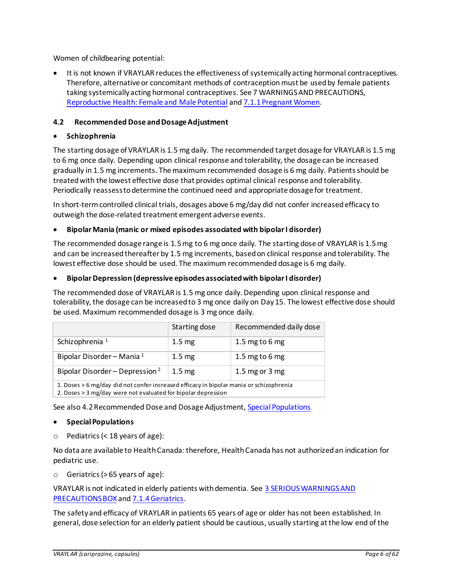Women of childbearing potential:

• It is not known if VRAYLAR reduces the effectiveness of systemically acting hormonal contraceptives. Therefore, alternative or concomitant methods of contraception must be used by female patients taking systemically acting hormonal contraceptives. See 7 WARNINGS AND PRECAUTIONS, [Reproductive Health: Female and Male Potential](#page-14-1) an[d 7.1.1 Pregnant Women.](#page-15-1)

## <span id="page-5-0"></span>**4.2 Recommended Dose and Dosage Adjustment**

## • **Schizophrenia**

The starting dosage of VRAYLAR is 1.5 mg daily. The recommended target dosage for VRAYLAR is 1.5 mg to 6 mg once daily. Depending upon clinical response and tolerability, the dosage can be increased gradually in 1.5 mg increments. The maximum recommended dosage is 6 mg daily. Patients should be treated with the lowest effective dose that provides optimal clinical response and tolerability. Periodically reassess to determine the continued need and appropriate dosage for treatment.

In short-term controlled clinical trials, dosages above 6 mg/day did not confer increased efficacy to outweigh the dose-related treatment emergent adverse events.

## • **Bipolar Mania (manic or mixed episodes associated with bipolar I disorder)**

The recommended dosage range is 1.5 mg to 6 mg once daily. The starting dose of VRAYLAR is 1.5 mg and can be increasedthereafter by 1.5 mg increments, based on clinical response and tolerability. The lowest effective dose should be used. The maximum recommended dosage is 6 mg daily.

### • **Bipolar Depression (depressive episodes associated with bipolar I disorder)**

The recommended dose of VRAYLAR is 1.5 mg once daily. Depending upon clinical response and tolerability, the dosage can be increased to 3 mg once daily on Day 15. The lowest effective dose should be used. Maximum recommended dosage is 3 mg once daily.

|                                                                                                                                                          | Starting dose     | Recommended daily dose |  |  |  |
|----------------------------------------------------------------------------------------------------------------------------------------------------------|-------------------|------------------------|--|--|--|
| Schizophrenia <sup>1</sup>                                                                                                                               | 1.5 <sub>mg</sub> | 1.5 mg to 6 mg         |  |  |  |
| Bipolar Disorder - Mania 1                                                                                                                               | $1.5 \text{ mg}$  | 1.5 mg to 6 mg         |  |  |  |
| Bipolar Disorder – Depression <sup>2</sup>                                                                                                               | 1.5 <sub>mg</sub> | 1.5 mg or 3 mg         |  |  |  |
| 1. Doses > 6 mg/day did not confer increased efficacy in bipolar mania or schizophrenia<br>2. Doses > 3 mg/day were not evaluated for bipolar depression |                   |                        |  |  |  |

See also 4.2 Recommended Dose and Dosage Adjustment[, Special Populations](#page-5-1).

### <span id="page-5-1"></span>• **Special Populations**

o Pediatrics(< 18 years of age):

No data are available to Health Canada: therefore, Health Canada has not authorized an indication for pediatric use.

 $\circ$  Geriatrics (> 65 years of age):

VRAYLAR is not indicated in elderly patients with dementia. See 3 [SERIOUS WARNINGS AND](#page-4-0)  [PRECAUTIONS BOX](#page-4-0) and [7.1.4Geriatrics](#page-16-2).

The safety and efficacy of VRAYLAR in patients 65 years of age or older has not been established. In general, dose selection for an elderly patient should be cautious, usually starting at the low end of the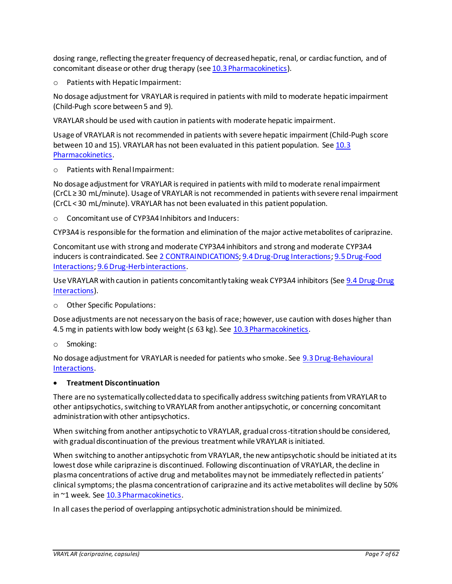dosing range, reflecting the greater frequency of decreased hepatic, renal, or cardiac function, and of concomitant disease or other drug therapy (se[e 10.3 Pharmacokinetics\)](#page-34-0).

o Patients with Hepatic Impairment:

No dosage adjustment for VRAYLAR is required in patients with mild to moderate hepatic impairment (Child-Pugh score between 5 and 9).

VRAYLAR should be used with caution in patients with moderate hepatic impairment.

Usage of VRAYLAR is not recommended in patients with severe hepatic impairment (Child-Pugh score between 10 and 15). VRAYLAR has not been evaluated in this patient population. Se[e 10.3](#page-34-0)  [Pharmacokinetics.](#page-34-0)

o Patients with Renal Impairment:

No dosage adjustment for VRAYLAR is required in patients with mild to moderate renal impairment (CrCL ≥ 30 mL/minute). Usage of VRAYLAR is not recommended in patients with severe renal impairment (CrCL < 30 mL/minute). VRAYLAR has not been evaluated in this patient population.

o Concomitant use of CYP3A4 Inhibitors and Inducers:

CYP3A4 is responsible for the formation and elimination of the major active metabolites of cariprazine.

Concomitant use with strong and moderate CYP3A4 inhibitors and strong and moderate CYP3A4 inducers is contraindicated. See 2 [CONTRAINDICATIONS](#page-3-4)[; 9.4 Drug-Drug Interactions](#page-30-2)[; 9.5 Drug-Food](#page-32-0)  [Interactions](#page-32-0)[; 9.6 Drug-Herb interactions](#page-32-1).

Use VRAYLAR with caution in patients concomitantly taking weak CYP3A4 inhibitors (See [9.4 Drug-Drug](#page-30-2)  [Interactions\)](#page-30-2).

o Other Specific Populations:

Dose adjustments are not necessary on the basis of race; however, use caution with doses higher than 4.5 mg in patients with low body weight ( $\leq$  63 kg). Se[e 10.3 Pharmacokinetics.](#page-34-0)

o Smoking:

No dosage adjustment for VRAYLAR is needed for patients who smoke. See [9.3 Drug-Behavioural](#page-30-1)  [Interactions.](#page-30-1)

### • **Treatment Discontinuation**

There are no systematically collected data to specifically address switching patients from VRAYLAR to other antipsychotics, switching to VRAYLAR from another antipsychotic, or concerning concomitant administration with other antipsychotics.

When switching from another antipsychotic to VRAYLAR, gradual cross-titration should be considered, with gradual discontinuation of the previous treatment while VRAYLAR is initiated.

When switching to another antipsychotic from VRAYLAR, the new antipsychotic should be initiated at its lowest dose while cariprazine is discontinued. Following discontinuation of VRAYLAR, the decline in plasma concentrations of active drug and metabolites may not be immediately reflected in patients' clinical symptoms; the plasma concentration of cariprazine and its active metabolites will decline by 50% in ~1 week. See [10.3 Pharmacokinetics.](#page-34-0)

In all cases the period of overlapping antipsychotic administration should be minimized.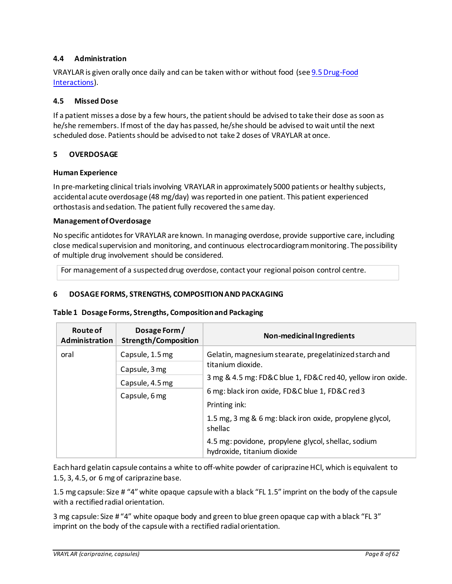## <span id="page-7-0"></span>**4.4 Administration**

VRAYLAR is given orally once daily and can be taken with or without food (se[e 9.5 Drug-Food](#page-32-0)  [Interactions\)](#page-32-0).

## <span id="page-7-1"></span>**4.5 Missed Dose**

If a patient misses a dose by a few hours, the patient should be advised to take their dose as soon as he/she remembers. If most of the day has passed, he/she should be advised to wait until the next scheduled dose. Patients should be advised to not take 2 doses of VRAYLAR at once.

## <span id="page-7-2"></span>**5 OVERDOSAGE**

### **Human Experience**

In pre-marketing clinical trials involving VRAYLAR in approximately 5000 patients or healthy subjects, accidental acute overdosage (48 mg/day) was reported in one patient. This patient experienced orthostasis and sedation. The patient fully recovered the same day.

### **Management of Overdosage**

No specific antidotes for VRAYLAR are known. In managing overdose, provide supportive care, including close medical supervision and monitoring, and continuous electrocardiogram monitoring. The possibility of multiple drug involvement should be considered.

For management of a suspected drug overdose, contact your regional poison control centre.

## <span id="page-7-3"></span>**6 DOSAGE FORMS, STRENGTHS, COMPOSITION AND PACKAGING**

### **Table 1 Dosage Forms, Strengths, Composition and Packaging**

| Route of<br><b>Administration</b> | Dosage Form/<br><b>Strength/Composition</b> | Non-medicinal Ingredients                                                          |  |  |
|-----------------------------------|---------------------------------------------|------------------------------------------------------------------------------------|--|--|
| oral                              | Capsule, 1.5 mg                             | Gelatin, magnesium stearate, pregelatinized starch and                             |  |  |
|                                   | Capsule, 3 mg                               | titanium dioxide.                                                                  |  |  |
|                                   | Capsule, 4.5 mg                             | 3 mg & 4.5 mg: FD&C blue 1, FD&C red 40, yellow iron oxide.                        |  |  |
|                                   | Capsule, 6 mg                               | 6 mg: black iron oxide, FD&C blue 1, FD&C red 3                                    |  |  |
|                                   |                                             | Printing ink:                                                                      |  |  |
|                                   |                                             | 1.5 mg, 3 mg & 6 mg: black iron oxide, propylene glycol,<br>shellac                |  |  |
|                                   |                                             | 4.5 mg: povidone, propylene glycol, shellac, sodium<br>hydroxide, titanium dioxide |  |  |

Each hard gelatin capsule contains a white to off-white powder of cariprazine HCl, which is equivalent to 1.5, 3, 4.5, or 6 mg of cariprazine base.

1.5 mg capsule: Size # "4" white opaque capsule with a black "FL 1.5" imprint on the body of the capsule with a rectified radial orientation.

3 mg capsule: Size # "4" white opaque body and green to blue green opaque cap with a black "FL 3" imprint on the body of the capsule with a rectified radial orientation.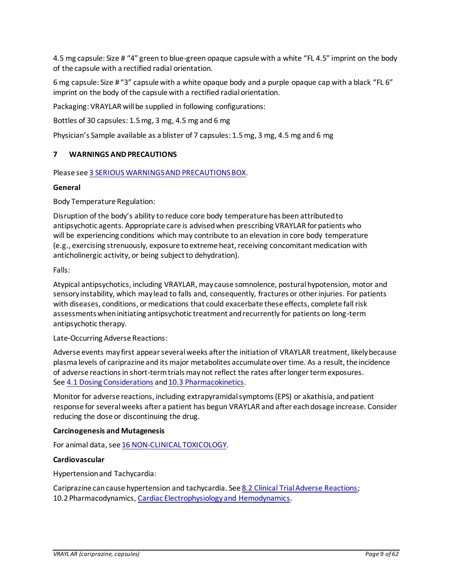4.5 mg capsule: Size # "4" green to blue-green opaque capsule with a white "FL 4.5" imprint on the body of the capsule with a rectified radial orientation.

6 mg capsule: Size # "3" capsule with a white opaque body and a purple opaque cap with a black "FL 6" imprint on the body of the capsule with a rectified radial orientation.

Packaging: VRAYLAR will be supplied in following configurations:

Bottles of 30 capsules: 1.5 mg, 3 mg, 4.5 mg and 6 mg

Physician's Sample available as a blister of 7 capsules: 1.5 mg, 3 mg, 4.5 mg and 6 mg

## <span id="page-8-0"></span>**7 WARNINGS AND PRECAUTIONS**

Please see 3 [SERIOUS WARNINGS AND PRECAUTIONS BOX.](#page-4-0)

### **General**

Body Temperature Regulation:

Disruption of the body's ability to reduce core body temperature has been attributed to antipsychotic agents. Appropriate care is advised when prescribing VRAYLAR for patients who will be experiencing conditions which may contribute to an elevation in core body temperature (e.g., exercising strenuously, exposure to extreme heat, receiving concomitant medication with anticholinergic activity, or being subject to dehydration).

Falls:

Atypical antipsychotics, including VRAYLAR, may cause somnolence, postural hypotension, motor and sensory instability, which may lead to falls and, consequently, fractures or other injuries. For patients with diseases, conditions, or medications that could exacerbate these effects, complete fall risk assessments when initiating antipsychotic treatment and recurrently for patients on long-term antipsychotic therapy.

<span id="page-8-2"></span>Late-Occurring Adverse Reactions:

Adverse events may first appear several weeks after the initiation of VRAYLAR treatment, likelybecause plasma levels of cariprazine and its major metabolites accumulate over time. As a result, the incidence of adverse reactions in short-term trials may not reflect the rates after longer term exposures. See 4.1 [Dosing Considerations](#page-4-2) and 10.3 [Pharmacokinetics.](#page-34-0)

Monitor for adverse reactions, including extrapyramidal symptoms (EPS) or akathisia, and patient response for several weeks after a patient has begun VRAYLAR and after each dosage increase. Consider reducing the dose or discontinuing the drug.

### **Carcinogenesis and Mutagenesis**

For animal data, see 16 [NON-CLINICAL TOXICOLOGY](#page-48-1).

### <span id="page-8-1"></span>**Cardiovascular**

Hypertension and Tachycardia:

Cariprazine can cause hypertension and tachycardia. Se[e 8.2 Clinical Trial Adverse Reactions;](#page-17-2) 10.2 Pharmacodynamics[, Cardiac Electrophysiology and Hemodynamics.](#page-33-3)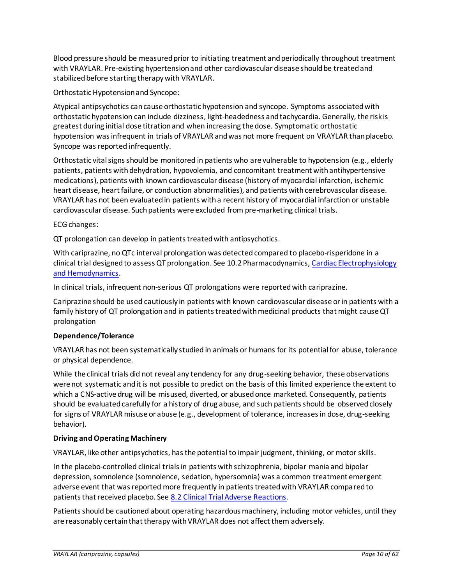Blood pressure should be measured prior to initiating treatment and periodically throughout treatment with VRAYLAR. Pre-existing hypertension and other cardiovascular disease should be treated and stabilized before starting therapy with VRAYLAR.

Orthostatic Hypotension and Syncope:

Atypical antipsychotics can cause orthostatic hypotension and syncope. Symptoms associated with orthostatic hypotension can include dizziness, light-headedness and tachycardia. Generally, the risk is greatest during initial dose titration and when increasing the dose. Symptomatic orthostatic hypotension was infrequent in trials of VRAYLAR and was not more frequent on VRAYLAR than placebo. Syncope was reported infrequently.

Orthostatic vital signs should be monitored in patients who are vulnerable to hypotension (e.g., elderly patients, patients with dehydration, hypovolemia, and concomitant treatment with antihypertensive medications), patients with known cardiovascular disease (history of myocardial infarction, ischemic heart disease, heart failure, or conduction abnormalities), and patients with cerebrovascular disease. VRAYLAR has not been evaluated in patients with a recent history of myocardial infarction or unstable cardiovascular disease. Such patients were excluded from pre-marketing clinical trials.

ECG changes:

QT prolongation can develop in patients treated with antipsychotics.

With cariprazine, no QTc interval prolongation was detected compared to placebo-risperidone in a clinical trial designed to assess QT prolongation. See 10.2 Pharmacodynamics[, Cardiac Electrophysiology](#page-33-3)  [and Hemodynamics.](#page-33-3)

In clinical trials, infrequent non-serious QT prolongations were reported with cariprazine.

Cariprazine should be used cautiously in patients with known cardiovascular disease or in patients with a family history of QT prolongation and in patients treated with medicinal products that might cause QT prolongation

## **Dependence/Tolerance**

VRAYLAR has not been systematically studied in animals or humans for its potential for abuse, tolerance or physical dependence.

While the clinical trials did not reveal any tendency for any drug-seeking behavior, these observations were not systematic and it is not possible to predict on the basis of this limited experience the extent to which a CNS-active drug will be misused, diverted, or abused once marketed. Consequently, patients should be evaluated carefully for a history of drug abuse, and such patients should be observed closely for signs of VRAYLAR misuse or abuse (e.g., development of tolerance, increases in dose, drug-seeking behavior).

## **Driving and Operating Machinery**

VRAYLAR, like other antipsychotics, has the potential to impair judgment, thinking, or motor skills.

In the placebo-controlled clinical trials in patients with schizophrenia, bipolar mania and bipolar depression, somnolence (somnolence, sedation, hypersomnia) was a common treatment emergent adverse event that was reported more frequently in patients treated with VRAYLAR compared to patients that received placebo. See [8.2 Clinical Trial Adverse Reactions.](#page-17-2)

Patients should be cautioned about operating hazardous machinery, including motor vehicles, until they are reasonably certain that therapy with VRAYLAR does not affect them adversely.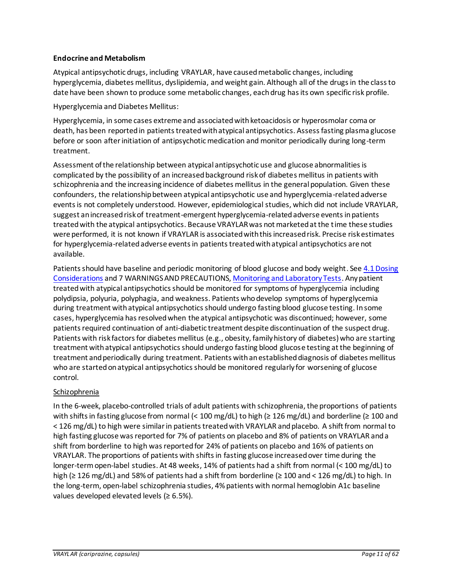## <span id="page-10-0"></span>**Endocrine and Metabolism**

Atypical antipsychotic drugs, including VRAYLAR, have caused metabolic changes, including hyperglycemia, diabetes mellitus, dyslipidemia, and weight gain. Although all of the drugs in the class to date have been shown to produce some metabolic changes, each drug has its own specific risk profile.

Hyperglycemia and Diabetes Mellitus:

Hyperglycemia, in some cases extreme and associated with ketoacidosis or hyperosmolar coma or death, has been reported in patients treated with atypical antipsychotics. Assess fasting plasma glucose before or soon after initiation of antipsychotic medication and monitor periodically during long-term treatment.

Assessment of the relationship between atypical antipsychotic use and glucose abnormalities is complicated by the possibility of an increased background risk of diabetes mellitus in patients with schizophrenia and the increasing incidence of diabetes mellitus in the general population. Given these confounders, the relationship between atypical antipsychotic use and hyperglycemia-related adverse events is not completely understood. However, epidemiological studies, which did not include VRAYLAR, suggest an increased risk of treatment-emergent hyperglycemia-related adverse events in patients treated with the atypical antipsychotics. Because VRAYLAR was not marketed at the time these studies were performed, it is not known if VRAYLAR is associated with this increased risk. Precise risk estimates for hyperglycemia-related adverse events in patients treated with atypical antipsychotics are not available.

Patients should have baseline and periodic monitoring of blood glucose and body weight. Se[e 4.1Dosing](#page-4-2)  [Considerations](#page-4-2) and 7 WARNINGS AND PRECAUTIONS[, Monitoring and Laboratory Tests](#page-12-0). Any patient treated with atypical antipsychotics should be monitored for symptoms of hyperglycemia including polydipsia, polyuria, polyphagia, and weakness. Patients who develop symptoms of hyperglycemia during treatment with atypical antipsychotics should undergo fasting blood glucose testing. In some cases, hyperglycemia has resolved when the atypical antipsychotic was discontinued; however, some patients required continuation of anti-diabetic treatment despite discontinuation of the suspect drug. Patients with risk factors for diabetes mellitus (e.g., obesity, family history of diabetes) who are starting treatment with atypical antipsychotics should undergo fasting blood glucose testing at the beginning of treatment and periodically during treatment. Patients with an established diagnosis of diabetes mellitus who are started on atypical antipsychotics should be monitored regularly for worsening of glucose control.

## Schizophrenia

In the 6-week, placebo-controlled trials of adult patients with schizophrenia, the proportions of patients with shifts in fasting glucose from normal (< 100 mg/dL) to high ( $\geq$  126 mg/dL) and borderline ( $\geq$  100 and < 126 mg/dL) to high were similar in patients treated with VRAYLAR and placebo. A shift from normal to high fasting glucose was reported for 7% of patients on placebo and 8% of patients on VRAYLAR and a shift from borderline to high was reported for 24% of patients on placebo and 16% of patients on VRAYLAR. The proportions of patients with shifts in fasting glucose increased over time during the longer-termopen-label studies. At 48 weeks, 14% of patients had a shift from normal (< 100 mg/dL) to high (≥ 126 mg/dL) and 58% of patients had a shift from borderline (≥ 100 and < 126 mg/dL) to high. In the long-term, open-label schizophrenia studies, 4% patients with normal hemoglobin A1c baseline values developed elevated levels ( $\geq 6.5\%$ ).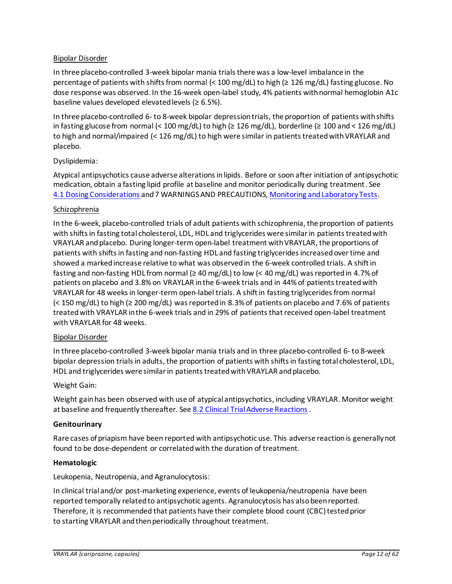## Bipolar Disorder

In three placebo-controlled 3-week bipolar mania trials there was a low-level imbalance in the percentage of patients with shifts from normal (< 100 mg/dL) to high (≥ 126 mg/dL) fasting glucose. No dose response was observed. In the 16-week open-label study, 4% patients with normal hemoglobin A1c baseline values developed elevated levels ( $\geq 6.5\%$ ).

In three placebo-controlled 6- to 8-week bipolar depression trials, the proportion of patients with shifts in fasting glucose from normal (< 100 mg/dL) to high ( $\geq$  126 mg/dL), borderline ( $\geq$  100 and < 126 mg/dL) to high and normal/impaired (< 126 mg/dL) to high were similar in patients treated with VRAYLAR and placebo.

## Dyslipidemia:

Atypical antipsychotics cause adverse alterations in lipids. Before or soon after initiation of antipsychotic medication, obtain a fasting lipid profile at baseline and monitor periodically during treatment. See 4.1 [Dosing Considerations](#page-4-2) and 7 WARNINGS AND PRECAUTIONS[, Monitoring and Laboratory Tests.](#page-12-0)

### Schizophrenia

In the 6-week, placebo-controlled trials of adult patients with schizophrenia, the proportion of patients with shifts in fasting total cholesterol, LDL, HDL and triglycerides were similar in patients treated with VRAYLAR and placebo. During longer-term open-label treatment with VRAYLAR, the proportions of patients with shifts in fasting and non-fasting HDL and fasting triglyceridesincreased over time and showed a marked increase relative to what was observed in the 6-week controlled trials. A shift in fasting and non-fasting HDL from normal ( $\geq 40$  mg/dL) to low (< 40 mg/dL) was reported in 4.7% of patients on placebo and 3.8% on VRAYLAR in the 6-week trials and in 44% of patients treatedwith VRAYLAR for 48 weeks in longer-term open-label trials. A shift in fasting triglycerides from normal (< 150 mg/dL) to high (≥ 200 mg/dL) was reported in 8.3% of patients on placebo and 7.6% of patients treated with VRAYLAR in the 6-week trials and in 29% of patients that received open-label treatment with VRAYLAR for 48 weeks.

### Bipolar Disorder

In three placebo-controlled 3-week bipolar mania trials and in three placebo-controlled 6- to 8-week bipolar depression trials in adults, the proportion of patients with shifts in fasting total cholesterol, LDL, HDL and triglycerides were similar in patients treated with VRAYLAR and placebo.

### Weight Gain:

Weight gain has been observed with use of atypical antipsychotics, including VRAYLAR. Monitor weight at baseline and frequently thereafter. See [8.2 Clinical Trial Adverse Reactions](#page-17-2) .

### **Genitourinary**

Rare cases of priapism have been reported with antipsychotic use. This adverse reaction is generally not found to be dose-dependent or correlated with the duration of treatment.

### <span id="page-11-0"></span>**Hematologic**

Leukopenia, Neutropenia, and Agranulocytosis:

In clinical trial and/or post-marketing experience, events of leukopenia/neutropenia have been reported temporally related to antipsychotic agents. Agranulocytosis has also been reported. Therefore, it is recommended that patients have their complete blood count (CBC) tested prior to starting VRAYLAR and then periodically throughout treatment.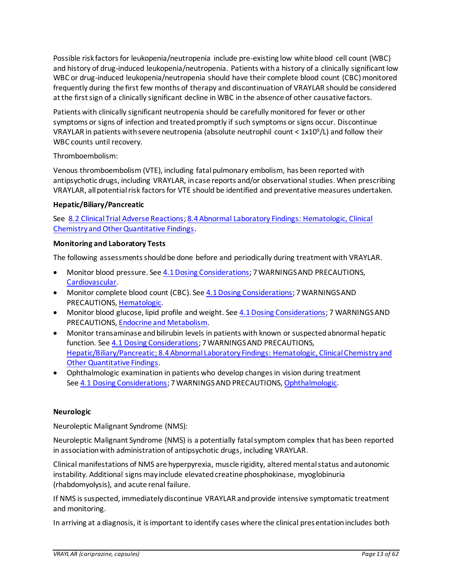Possible risk factors for leukopenia/neutropenia include pre-existing low white blood cell count (WBC) and history of drug-induced leukopenia/neutropenia. Patients with a history of a clinically significant low WBC or drug-induced leukopenia/neutropenia should have their complete blood count (CBC) monitored frequently during the first few months of therapy and discontinuation of VRAYLAR should be considered at the first sign of a clinically significant decline in WBC in the absence of other causative factors.

Patients with clinically significant neutropenia should be carefully monitored for fever or other symptoms or signs of infection and treated promptly if such symptoms or signs occur. Discontinue VRAYLAR in patients with severe neutropenia (absolute neutrophil count  $<$  1x10<sup>9</sup>/L) and follow their WBC counts until recovery.

## Thromboembolism:

Venous thromboembolism (VTE), including fatal pulmonary embolism, has been reported with antipsychotic drugs, including VRAYLAR*,* in case reports and/or observational studies. When prescribing VRAYLAR, all potentialrisk factors for VTE should be identified and preventative measures undertaken.

## <span id="page-12-1"></span>**Hepatic/Biliary/Pancreatic**

See [8.2 Clinical Trial Adverse Reactions;](#page-17-2) [8.4Abnormal Laboratory Findings: Hematologic, Clinical](#page-29-0)  [Chemistry and Other Quantitative Findings.](#page-29-0)

### <span id="page-12-0"></span>**Monitoring and Laboratory Tests**

The following assessments should be done before and periodically during treatment with VRAYLAR.

- Monitor blood pressure. Se[e 4.1 Dosing Considerations](#page-4-2); 7 WARNINGS AND PRECAUTIONS, [Cardiovascular.](#page-8-1)
- Monitor complete blood count (CBC). Se[e 4.1 Dosing Considerations;](#page-4-2) 7 WARNINGS AND PRECAUTIONS[, Hematologic](#page-11-0).
- Monitor blood glucose, lipid profile and weight. Se[e 4.1 Dosing Considerations;](#page-4-2) 7 WARNINGS AND PRECAUTIONS[, Endocrine and Metabolism.](#page-10-0)
- Monitor transaminase and bilirubin levels in patients with known or suspected abnormal hepatic function. See [4.1 Dosing Considerations](#page-4-2); 7 WARNINGS AND PRECAUTIONS, [Hepatic/Biliary/Pancreatic](#page-12-1)[; 8.4 Abnormal Laboratory Findings: Hematologic, Clinical Chemistry and](#page-29-0)  [Other Quantitative Findings.](#page-29-0)
- Ophthalmologic examination in patients who develop changes in vision during treatment See 4.1 [Dosing Considerations;](#page-4-2) 7 WARNINGS AND PRECAUTIONS[, Ophthalmologic.](#page-14-0)

### **Neurologic**

Neuroleptic Malignant Syndrome (NMS):

Neuroleptic Malignant Syndrome (NMS) is a potentially fatal symptom complex that has been reported in association with administration of antipsychotic drugs, including VRAYLAR.

Clinical manifestations of NMS are hyperpyrexia, muscle rigidity, altered mental status and autonomic instability. Additional signs may include elevated creatine phosphokinase, myoglobinuria (rhabdomyolysis), and acute renal failure.

If NMS is suspected, immediately discontinue VRAYLAR and provide intensive symptomatic treatment and monitoring.

In arriving at a diagnosis, it is important to identify cases where the clinical presentation includes both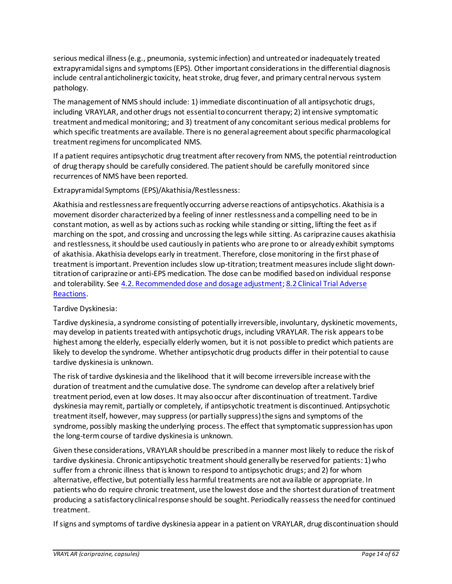serious medical illness (e.g., pneumonia, systemic infection) and untreated or inadequately treated extrapyramidal signs and symptoms (EPS). Other important considerations in the differential diagnosis include central anticholinergic toxicity, heat stroke, drug fever, and primary central nervous system pathology.

The management of NMS should include: 1) immediate discontinuation of all antipsychotic drugs, including VRAYLAR, and other drugs not essential to concurrent therapy; 2) intensive symptomatic treatment and medical monitoring; and 3) treatment of any concomitant serious medical problems for which specific treatments are available. There is no general agreement about specific pharmacological treatment regimens for uncomplicated NMS.

If a patient requires antipsychotic drug treatment after recovery from NMS, the potential reintroduction of drug therapy should be carefully considered. The patient should be carefully monitored since recurrences of NMS have been reported.

Extrapyramidal Symptoms (EPS)/Akathisia/Restlessness:

Akathisia and restlessness are frequently occurring adverse reactions of antipsychotics. Akathisia is a movement disorder characterized by a feeling of inner restlessness and a compelling need to be in constant motion, as well as by actions such as rocking while standing or sitting, lifting the feet as if marching on the spot, and crossing and uncrossing the legs while sitting. As cariprazine causes akathisia and restlessness, it should be used cautiously in patients who are prone to or already exhibit symptoms of akathisia. Akathisia develops early in treatment. Therefore, close monitoring in the first phase of treatment is important. Prevention includes slow up-titration; treatment measures include slight downtitration of cariprazine or anti-EPS medication. The dose can be modified based on individual response and tolerability. See [4.2. Recommended dose and dosage adjustment;](#page-5-0) [8.2 Clinical Trial Adverse](#page-17-2)  [Reactions.](#page-17-2)

Tardive Dyskinesia:

Tardive dyskinesia, a syndrome consisting of potentially irreversible, involuntary, dyskinetic movements, may develop in patients treated with antipsychotic drugs, including VRAYLAR. The risk appears to be highest among the elderly, especially elderly women, but it is not possible to predict which patients are likely to develop the syndrome. Whether antipsychotic drug products differ in their potential to cause tardive dyskinesia is unknown.

The risk of tardive dyskinesia and the likelihood that it will become irreversible increase with the duration of treatment and the cumulative dose. The syndrome can develop after a relatively brief treatment period, even at low doses. It may also occur after discontinuation of treatment. Tardive dyskinesia may remit, partially or completely, if antipsychotic treatment is discontinued. Antipsychotic treatment itself, however, may suppress (or partially suppress) the signs and symptoms of the syndrome, possibly masking the underlying process. The effect that symptomatic suppression has upon the long-term course of tardive dyskinesia is unknown.

Given these considerations, VRAYLAR should be prescribed in a manner most likely to reduce the risk of tardive dyskinesia. Chronic antipsychotic treatment should generally be reserved for patients: 1) who suffer from a chronic illness that is known to respond to antipsychotic drugs; and 2) for whom alternative, effective, but potentially less harmful treatments are not available or appropriate. In patients who do require chronic treatment, use the lowest dose and the shortest duration of treatment producing a satisfactory clinical response should be sought. Periodically reassess the need for continued treatment.

If signs and symptoms of tardive dyskinesia appear in a patient on VRAYLAR, drug discontinuation should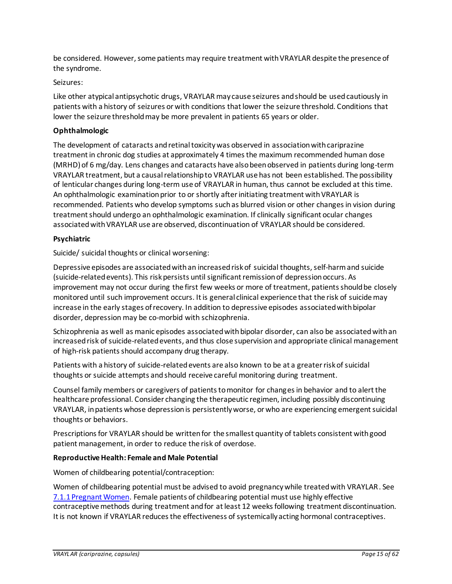be considered. However, some patients may require treatment with VRAYLAR despite the presence of the syndrome.

### Seizures:

Like other atypical antipsychotic drugs, VRAYLAR may cause seizures and should be used cautiously in patients with a history of seizures or with conditions that lower the seizure threshold. Conditions that lower the seizure threshold may be more prevalent in patients 65 years or older.

### <span id="page-14-0"></span>**Ophthalmologic**

The development of cataracts and retinal toxicity was observed in association with cariprazine treatment in chronic dog studies at approximately 4 times the maximum recommended human dose (MRHD) of 6 mg/day. Lens changes and cataracts have also been observed in patients during long-term VRAYLAR treatment, but a causal relationship to VRAYLAR use has not been established. The possibility of lenticular changes during long-term use of VRAYLAR in human, thus cannot be excluded at this time. An ophthalmologic examination prior to or shortly after initiating treatment with VRAYLAR is recommended. Patients who develop symptoms such as blurred vision or other changes in vision during treatment should undergo an ophthalmologic examination. If clinically significant ocular changes associated with VRAYLAR use are observed, discontinuation of VRAYLAR should be considered.

### **Psychiatric**

Suicide/ suicidal thoughts or clinical worsening:

Depressive episodes are associated with an increased risk of suicidal thoughts, self-harm and suicide (suicide-related events). This risk persists until significant remission of depression occurs. As improvement may not occur during the first few weeks or more of treatment, patients should be closely monitored until such improvement occurs. It is general clinical experience that the risk of suicide may increase in the early stages of recovery. In addition to depressive episodes associated with bipolar disorder, depression may be co-morbid with schizophrenia.

Schizophrenia as well as manic episodes associated with bipolar disorder, can also be associated with an increased risk of suicide-related events, and thus close supervision and appropriate clinical management of high-risk patients should accompany drug therapy.

Patients with a history of suicide-related events are also known to be at a greater risk of suicidal thoughts or suicide attempts and should receive careful monitoring during treatment.

Counsel family members or caregivers of patients to monitor for changes in behavior and to alert the healthcare professional. Consider changing the therapeutic regimen, including possibly discontinuing VRAYLAR, in patients whose depression is persistently worse, or who are experiencing emergent suicidal thoughts or behaviors.

Prescriptions for VRAYLAR should be written for the smallest quantity of tablets consistent with good patient management, in order to reduce the risk of overdose.

### <span id="page-14-1"></span>**Reproductive Health: Female and Male Potential**

Women of childbearing potential/contraception:

Women of childbearing potential must be advised to avoid pregnancy while treated with VRAYLAR. See [7.1.1 Pregnant Women.](#page-15-1) Female patients of childbearing potential must use highly effective contraceptive methods during treatment and for at least 12 weeks following treatment discontinuation. It is not known if VRAYLAR reduces the effectiveness of systemically acting hormonal contraceptives.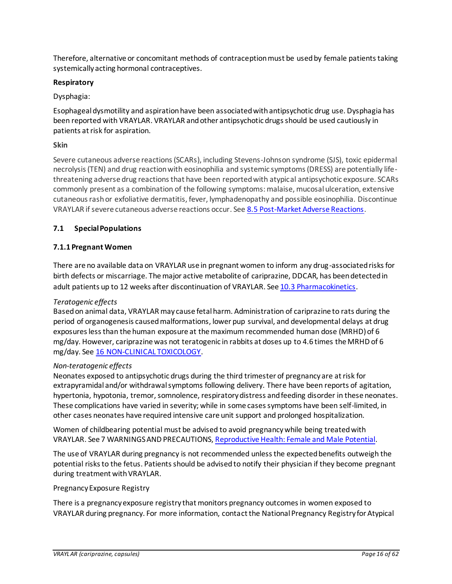Therefore, alternative or concomitant methods of contraception must be used by female patients taking systemically acting hormonal contraceptives.

## **Respiratory**

## Dysphagia:

Esophageal dysmotility and aspiration have been associated with antipsychotic drug use. Dysphagia has been reported with VRAYLAR. VRAYLAR and other antipsychotic drugs should be used cautiously in patients at risk for aspiration.

## **Skin**

Severe cutaneous adverse reactions (SCARs), including Stevens-Johnson syndrome (SJS), toxic epidermal necrolysis (TEN) and drug reaction with eosinophilia and systemic symptoms (DRESS) are potentially lifethreatening adverse drug reactions that have been reported with atypical antipsychotic exposure. SCARs commonly present as a combination of the following symptoms: malaise, mucosal ulceration, extensive cutaneous rash or exfoliative dermatitis, fever, lymphadenopathy and possible eosinophilia. Discontinue VRAYLAR if severe cutaneous adverse reactions occur. Se[e 8.5 Post-Market Adverse Reactions](#page-29-1).

## <span id="page-15-0"></span>**7.1 Special Populations**

## <span id="page-15-1"></span>**7.1.1 Pregnant Women**

There are no available data on VRAYLAR use in pregnant women to inform any drug-associated risks for birth defects or miscarriage. The major active metabolite of cariprazine, DDCAR, has been detected in adult patients up to 12 weeks after discontinuation of VRAYLAR. See 10.3 [Pharmacokinetics.](#page-34-0)

### *Teratogenic effects*

Based on animal data, VRAYLAR may cause fetal harm. Administration of cariprazine to rats during the period of organogenesis caused malformations, lower pup survival, and developmental delays at drug exposures less than the human exposure at the maximum recommended human dose (MRHD) of 6 mg/day. However, cariprazine was not teratogenic in rabbits at doses up to 4.6 times the MRHD of 6 mg/day. See 16 [NON-CLINICAL TOXICOLOGY](#page-48-1).

### *Non-teratogenic effects*

Neonates exposed to antipsychotic drugs during the third trimester of pregnancy are at risk for extrapyramidal and/or withdrawal symptoms following delivery. There have been reports of agitation, hypertonia, hypotonia, tremor, somnolence, respiratory distress and feeding disorder in these neonates. These complications have varied in severity; while in some cases symptoms have been self-limited, in other cases neonates have required intensive care unit support and prolonged hospitalization.

Women of childbearing potential must be advised to avoid pregnancy while being treated with VRAYLAR. See 7 WARNINGS AND PRECAUTIONS[, Reproductive Health: Female and Male Potential.](#page-14-1)

The use of VRAYLAR during pregnancy is not recommended unless the expected benefits outweigh the potential risks to the fetus. Patients should be advised to notify their physician if they become pregnant during treatment with VRAYLAR.

### Pregnancy Exposure Registry

There is a pregnancy exposure registry that monitors pregnancy outcomes in women exposed to VRAYLAR during pregnancy. For more information, contact the National Pregnancy Registry for Atypical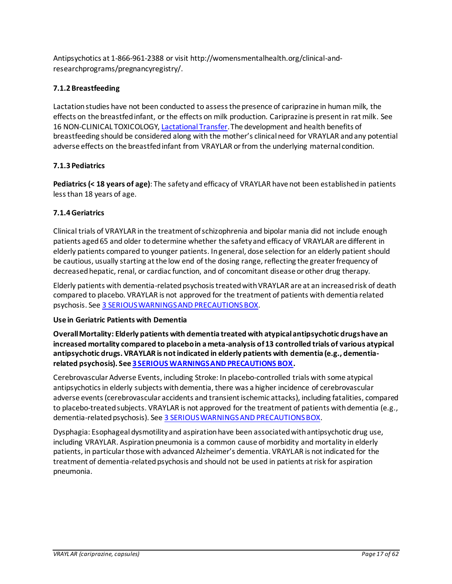Antipsychotics at 1-866-961-2388 or visit http://womensmentalhealth.org/clinical-andresearchprograms/pregnancyregistry/.

# <span id="page-16-0"></span>**7.1.2 Breastfeeding**

Lactation studies have not been conducted to assess the presence of cariprazine in human milk, the effects on the breastfed infant, or the effects on milk production. Cariprazine is present in rat milk. See 16 NON-CLINICAL TOXICOLOG[Y, Lactational Transfer](#page-51-0). The development and health benefits of breastfeeding should be considered along with the mother's clinical need for VRAYLAR and any potential adverse effects on the breastfed infant from VRAYLAR or from the underlying maternal condition.

## <span id="page-16-1"></span>**7.1.3 Pediatrics**

**Pediatrics(< 18 years of age)**: The safety and efficacy of VRAYLAR have not been established in patients less than 18 years of age.

# <span id="page-16-2"></span>**7.1.4 Geriatrics**

Clinical trials of VRAYLAR in the treatment of schizophrenia and bipolar mania did not include enough patients aged 65 and older to determine whether the safety and efficacy of VRAYLAR are different in elderly patients compared to younger patients. In general, dose selection for an elderly patient should be cautious, usually starting at the low end of the dosing range, reflecting the greater frequency of decreased hepatic, renal, or cardiac function, and of concomitant disease or other drug therapy.

Elderly patients with dementia-related psychosis treated with VRAYLAR are at an increased risk of death compared to placebo. VRAYLAR is not approved for the treatment of patients with dementia related psychosis. See 3 [SERIOUS WARNINGS AND PRECAUTIONS BOX.](#page-4-0)

## **Use in Geriatric Patients with Dementia**

**Overall Mortality: Elderly patients with dementia treated with atypical antipsychotic drugs have an increased mortality compared to placebo in a meta-analysis of 13 controlled trials of various atypical antipsychotic drugs. VRAYLAR is not indicated in elderly patients with dementia (e.g., dementiarelated psychosis). Se[e 3 SERIOUS WARNINGS AND PRECAUTIONS BOX](#page-4-0).**

Cerebrovascular Adverse Events, including Stroke: In placebo-controlled trials with some atypical antipsychotics in elderly subjects with dementia, there was a higher incidence of cerebrovascular adverse events(cerebrovascular accidents and transient ischemic attacks), including fatalities, compared to placebo-treated subjects. VRAYLAR is not approved for the treatment of patients with dementia (e.g., dementia-related psychosis). See [3 SERIOUS WARNINGS AND PRECAUTIONS BOX.](#page-4-0)

Dysphagia: Esophageal dysmotility and aspiration have been associated with antipsychotic drug use, including VRAYLAR. Aspiration pneumonia is a common cause of morbidity and mortality in elderly patients, in particular those with advanced Alzheimer's dementia. VRAYLAR is not indicated for the treatment of dementia-related psychosis and should not be used in patients at risk for aspiration pneumonia.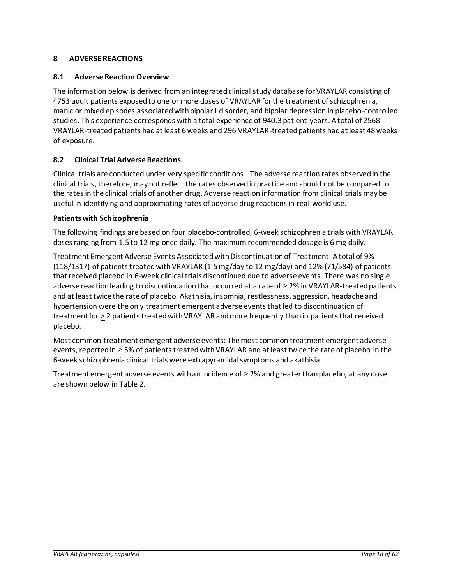# <span id="page-17-0"></span>**8 ADVERSE REACTIONS**

## <span id="page-17-1"></span>**8.1 Adverse Reaction Overview**

The information below is derived from an integrated clinical study database for VRAYLAR consisting of 4753 adult patients exposed to one or more doses of VRAYLAR for the treatment of schizophrenia, manic or mixed episodes associated with bipolar I disorder, and bipolar depression in placebo-controlled studies. This experience corresponds with a total experience of 940.3 patient-years. A total of 2568 VRAYLAR-treated patients had at least 6 weeks and 296 VRAYLAR-treated patients had at least 48 weeks of exposure.

## <span id="page-17-2"></span>**8.2 Clinical Trial Adverse Reactions**

Clinical trials are conducted under very specific conditions. The adverse reaction rates observed in the clinical trials, therefore, maynot reflect the rates observed in practice and should not be compared to the rates in the clinical trials of another drug. Adverse reaction information from clinical trials may be useful in identifying and approximating rates of adverse drug reactions in real-world use.

### **Patients with Schizophrenia**

The following findings are based on four placebo-controlled, 6-week schizophrenia trials with VRAYLAR doses ranging from 1.5 to 12 mg once daily. The maximum recommended dosage is 6 mg daily.

Treatment Emergent Adverse Events Associated with Discontinuation of Treatment: A total of 9% (118/1317) of patients treated with VRAYLAR (1.5 mg/day to 12 mg/day) and 12% (71/584) of patients that received placebo in 6-week clinical trials discontinued due to adverse events. There was no single adverse reaction leading to discontinuation that occurred at a rate of ≥ 2% in VRAYLAR-treated patients and at least twice the rate of placebo. Akathisia, insomnia, restlessness, aggression, headache and hypertension were the only treatment emergent adverse events that led to discontinuation of treatment for > 2 patients treated with VRAYLAR and more frequently than in patients that received placebo.

Most common treatment emergent adverse events: The most common treatment emergent adverse events, reported in ≥ 5% of patients treated with VRAYLAR and at least twice the rate of placebo in the 6-week schizophrenia clinical trials were extrapyramidal symptoms and akathisia.

Treatment emergent adverse events with an incidence of  $\geq 2\%$  and greater than placebo, at any dose are shown below in [Table 2.](#page-18-0)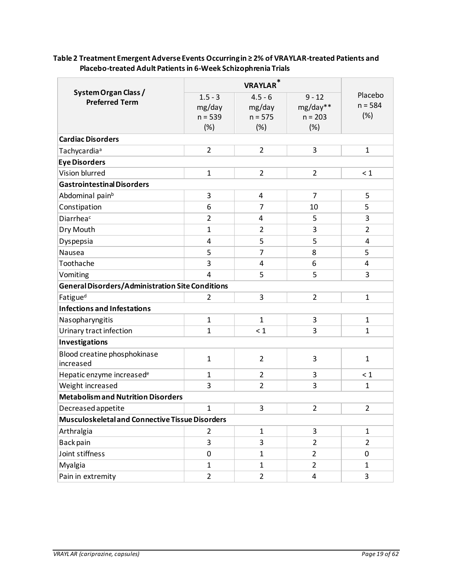<span id="page-18-0"></span>

| Table 2 Treatment Emergent Adverse Events Occurring in ≥2% of VRAYLAR-treated Patients and |
|--------------------------------------------------------------------------------------------|
| Placebo-treated Adult Patients in 6-Week Schizophrenia Trials                              |

| System Organ Class /<br><b>Preferred Term</b>    | $1.5 - 3$<br>mg/day<br>$n = 539$<br>(%) | <b>VRAYLAR</b> *<br>$4.5 - 6$<br>mg/day<br>$n = 575$<br>(%) | $9 - 12$<br>mg/day**<br>$n = 203$<br>(%) | Placebo<br>$n = 584$<br>(%) |
|--------------------------------------------------|-----------------------------------------|-------------------------------------------------------------|------------------------------------------|-----------------------------|
| <b>Cardiac Disorders</b>                         |                                         |                                                             |                                          |                             |
| Tachycardia <sup>a</sup>                         | $\overline{2}$                          | $\overline{2}$                                              | 3                                        | $\mathbf{1}$                |
| <b>Eye Disorders</b>                             |                                         |                                                             |                                          |                             |
| Vision blurred                                   | $\mathbf{1}$                            | $\overline{2}$                                              | $\overline{2}$                           | $\leq 1$                    |
| <b>Gastrointestinal Disorders</b>                |                                         |                                                             |                                          |                             |
| Abdominal pain <sup>b</sup>                      | 3                                       | $\overline{4}$                                              | $\overline{7}$                           | 5                           |
| Constipation                                     | 6                                       | $\overline{7}$                                              | 10                                       | 5                           |
| Diarrheac                                        | $\overline{2}$                          | 4                                                           | 5                                        | 3                           |
| Dry Mouth                                        | $\mathbf{1}$                            | $\overline{2}$                                              | 3                                        | $\overline{2}$              |
| Dyspepsia                                        | $\overline{a}$                          | 5                                                           | 5                                        | 4                           |
| Nausea                                           | 5                                       | 7                                                           | 8                                        | 5                           |
| Toothache                                        | 3                                       | 4                                                           | 6                                        | 4                           |
| Vomiting                                         | $\overline{4}$                          | 5                                                           | 5                                        | 3                           |
| General Disorders/Administration Site Conditions |                                         |                                                             |                                          |                             |
| Fatigue <sup>d</sup>                             | $\overline{2}$                          | 3                                                           | $\overline{2}$                           | $\mathbf{1}$                |
| <b>Infections and Infestations</b>               |                                         |                                                             |                                          |                             |
| Nasopharyngitis                                  | $\mathbf{1}$                            | $\mathbf{1}$                                                | 3                                        | $\mathbf{1}$                |
| Urinary tract infection                          | $\mathbf{1}$                            | $\leq 1$                                                    | 3                                        | $\mathbf{1}$                |
| Investigations                                   |                                         |                                                             |                                          |                             |
| Blood creatine phosphokinase<br>increased        | $\mathbf{1}$                            | $\overline{2}$                                              | 3                                        | $\mathbf{1}$                |
| Hepatic enzyme increased <sup>e</sup>            | 1                                       | $\overline{2}$                                              | 3                                        | < 1                         |
| Weight increased                                 | 3                                       | $\overline{2}$                                              | 3                                        | $\mathbf{1}$                |
| <b>Metabolism and Nutrition Disorders</b>        |                                         |                                                             |                                          |                             |
| Decreased appetite                               | 1                                       | 3                                                           | $\overline{2}$                           | $\overline{2}$              |
| Musculoskeletal and Connective Tissue Disorders  |                                         |                                                             |                                          |                             |
| Arthralgia                                       | $\overline{2}$                          | $\mathbf{1}$                                                | 3                                        | $\mathbf{1}$                |
| Back pain                                        | 3                                       | 3                                                           | $\overline{2}$                           | $\overline{2}$              |
| Joint stiffness                                  | $\pmb{0}$                               | $\mathbf{1}$                                                | $\overline{2}$                           | 0                           |
| Myalgia                                          | $\mathbf{1}$                            | $\mathbf{1}$                                                | $\overline{2}$                           | $\mathbf{1}$                |
| Pain in extremity                                | $\overline{2}$                          | $\overline{2}$                                              | 4                                        | 3                           |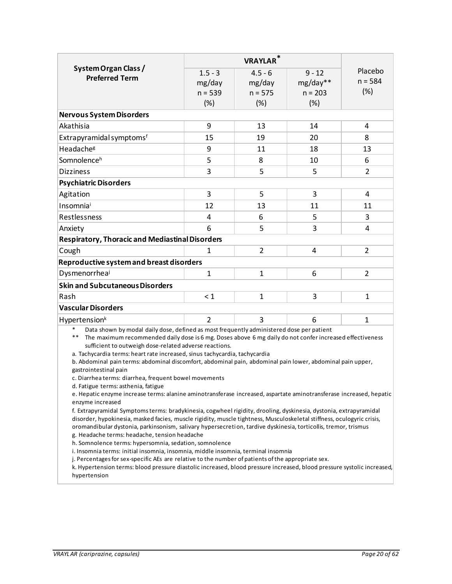| System Organ Class /                                                                                                                                                                                                                                                 | $1.5 - 3$                                                                                                       | $4.5 - 6$      | $9 - 12$  | Placebo        |  |  |
|----------------------------------------------------------------------------------------------------------------------------------------------------------------------------------------------------------------------------------------------------------------------|-----------------------------------------------------------------------------------------------------------------|----------------|-----------|----------------|--|--|
| <b>Preferred Term</b>                                                                                                                                                                                                                                                | mg/day                                                                                                          | mg/day         | mg/day**  | $n = 584$      |  |  |
|                                                                                                                                                                                                                                                                      | $n = 539$                                                                                                       | $n = 575$      | $n = 203$ | (%)            |  |  |
|                                                                                                                                                                                                                                                                      | (%)                                                                                                             | (%)            | (%)       |                |  |  |
| <b>Nervous System Disorders</b>                                                                                                                                                                                                                                      |                                                                                                                 |                |           |                |  |  |
| Akathisia                                                                                                                                                                                                                                                            | 9                                                                                                               | 13             | 14        | 4              |  |  |
| Extrapyramidal symptomsf                                                                                                                                                                                                                                             | 15                                                                                                              | 19             | 20        | 8              |  |  |
| Headache <sup>g</sup>                                                                                                                                                                                                                                                | 9                                                                                                               | 11             | 18        | 13             |  |  |
| Somnolenceh                                                                                                                                                                                                                                                          | 5                                                                                                               | 8              | 10        | 6              |  |  |
| <b>Dizziness</b>                                                                                                                                                                                                                                                     | 3                                                                                                               | 5              | 5         | $\overline{2}$ |  |  |
| <b>Psychiatric Disorders</b>                                                                                                                                                                                                                                         |                                                                                                                 |                |           |                |  |  |
| Agitation                                                                                                                                                                                                                                                            | 3                                                                                                               | 5              | 3         | 4              |  |  |
| Insomniai                                                                                                                                                                                                                                                            | 12                                                                                                              | 13             | 11        | 11             |  |  |
| Restlessness                                                                                                                                                                                                                                                         | 4                                                                                                               | 6              | 5         | 3              |  |  |
| Anxiety                                                                                                                                                                                                                                                              | 6                                                                                                               | 5              | 3         | 4              |  |  |
| <b>Respiratory, Thoracic and Mediastinal Disorders</b>                                                                                                                                                                                                               |                                                                                                                 |                |           |                |  |  |
| Cough                                                                                                                                                                                                                                                                | 1                                                                                                               | $\overline{2}$ | 4         | $\overline{2}$ |  |  |
| Reproductive system and breast disorders                                                                                                                                                                                                                             |                                                                                                                 |                |           |                |  |  |
| Dysmenorrheal                                                                                                                                                                                                                                                        | $\mathbf{1}$                                                                                                    | $\mathbf{1}$   | 6         | $\overline{2}$ |  |  |
| <b>Skin and Subcutaneous Disorders</b>                                                                                                                                                                                                                               |                                                                                                                 |                |           |                |  |  |
| Rash                                                                                                                                                                                                                                                                 | < 1                                                                                                             | $\mathbf{1}$   | 3         | $\mathbf{1}$   |  |  |
| <b>Vascular Disorders</b>                                                                                                                                                                                                                                            |                                                                                                                 |                |           |                |  |  |
| Hypertension <sup>k</sup>                                                                                                                                                                                                                                            | $\overline{2}$                                                                                                  | 3              | 6         | 1              |  |  |
| Data shown by modal daily dose, defined as most frequently administered dose per patient<br>**<br>The maximum recommended daily dose is 6 mg. Doses above 6 mg daily do not confer increased effectiveness<br>sufficient to outweigh dose-related adverse reactions. |                                                                                                                 |                |           |                |  |  |
| a. Tachycardia terms: heart rate increased, sinus tachycardia, tachycardia<br>b. Abdominal pain terms: abdominal discomfort, abdominal pain, abdominal pain lower, abdominal pain upper,<br>gastrointestinal pain                                                    |                                                                                                                 |                |           |                |  |  |
| c. Diarrhea terms: diarrhea, frequent bowel movements                                                                                                                                                                                                                |                                                                                                                 |                |           |                |  |  |
| d. Fatigue terms: asthenia, fatigue<br>e. Hepatic enzyme increase terms: alanine aminotransferase increased, aspartate aminotransferase increased, hepatic                                                                                                           |                                                                                                                 |                |           |                |  |  |
| enzyme increased                                                                                                                                                                                                                                                     |                                                                                                                 |                |           |                |  |  |
| f. Extrapyramidal Symptoms terms: bradykinesia, cogwheel rigidity, drooling, dyskinesia, dystonia, extrapyramidal                                                                                                                                                    |                                                                                                                 |                |           |                |  |  |
| disorder, hypokinesia, masked facies, muscle rigidity, muscle tightness, Musculoskeletal stiffness, oculogyric crisis,                                                                                                                                               |                                                                                                                 |                |           |                |  |  |
|                                                                                                                                                                                                                                                                      | oromandibular dystonia, parkinsonism, salivary hypersecretion, tardive dyskinesia, torticollis, tremor, trismus |                |           |                |  |  |
| g. Headache terms: headache, tension headache<br>h. Somnolence terms: hypersomnia, sedation, somnolence                                                                                                                                                              |                                                                                                                 |                |           |                |  |  |
| i. Insomnia terms: initial insomnia, insomnia, middle insomnia, terminal insomnia                                                                                                                                                                                    |                                                                                                                 |                |           |                |  |  |

j. Percentages for sex-specific AEs are relative to the number of patients of the appropriate sex.

k. Hypertension terms: blood pressure diastolic increased, blood pressure increased, blood pressure systolic increased, hypertension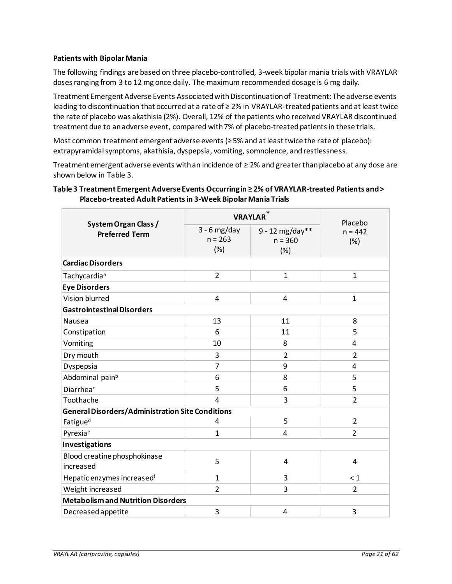### **Patients with Bipolar Mania**

The following findings are based on three placebo-controlled, 3-week bipolar mania trials with VRAYLAR doses ranging from 3 to 12 mg once daily. The maximum recommended dosage is 6 mg daily.

Treatment Emergent Adverse Events Associated with Discontinuation of Treatment: The adverse events leading to discontinuation that occurred at a rate of ≥ 2% in VRAYLAR-treated patients and at least twice the rate of placebo was akathisia (2%). Overall, 12% of the patients who received VRAYLAR discontinued treatment due to an adverse event, compared with 7% of placebo-treated patients in these trials.

Most common treatment emergent adverse events (≥ 5% and at least twice the rate of placebo): extrapyramidal symptoms, akathisia, dyspepsia, vomiting, somnolence, and restlessness.

Treatment emergent adverse events with an incidence of ≥ 2% and greater than placebo at any dose are shown below in [Table 3.](#page-20-0)

<span id="page-20-0"></span>

| Table 3 Treatment Emergent Adverse Events Occurring in ≥ 2% of VRAYLAR-treated Patients and > |
|-----------------------------------------------------------------------------------------------|
| Placebo-treated Adult Patients in 3-Week Bipolar Mania Trials                                 |

|                                                  | <b>VRAYLAR</b> *                   | Placebo                               |                  |  |  |  |
|--------------------------------------------------|------------------------------------|---------------------------------------|------------------|--|--|--|
| System Organ Class /<br><b>Preferred Term</b>    | $3 - 6$ mg/day<br>$n = 263$<br>(%) | $9 - 12$ mg/day**<br>$n = 360$<br>(%) | $n = 442$<br>(%) |  |  |  |
| <b>Cardiac Disorders</b>                         |                                    |                                       |                  |  |  |  |
| Tachycardia <sup>a</sup>                         | $\overline{2}$                     | $\mathbf{1}$                          | $\mathbf{1}$     |  |  |  |
| <b>Eye Disorders</b>                             |                                    |                                       |                  |  |  |  |
| Vision blurred                                   | 4                                  | 4                                     | $\mathbf{1}$     |  |  |  |
| <b>Gastrointestinal Disorders</b>                |                                    |                                       |                  |  |  |  |
| Nausea                                           | 13                                 | 11                                    | 8                |  |  |  |
| Constipation                                     | 6                                  | 11                                    | 5                |  |  |  |
| Vomiting                                         | 10                                 | 8                                     | 4                |  |  |  |
| Dry mouth                                        | 3                                  | $\overline{2}$                        | 2                |  |  |  |
| Dyspepsia                                        | 7                                  | 9                                     | 4                |  |  |  |
| Abdominal pain <sup>b</sup>                      | 6                                  | 8                                     | 5                |  |  |  |
| Diarrheac                                        | 5                                  | 6                                     | 5                |  |  |  |
| Toothache                                        | 4                                  | 3                                     | $\overline{2}$   |  |  |  |
| General Disorders/Administration Site Conditions |                                    |                                       |                  |  |  |  |
| Fatigue <sup>d</sup>                             | 4                                  | 5                                     | $\overline{2}$   |  |  |  |
| Pyrexia <sup>e</sup>                             | $\mathbf{1}$                       | 4                                     | $\overline{2}$   |  |  |  |
| Investigations                                   |                                    |                                       |                  |  |  |  |
| Blood creatine phosphokinase<br>increased        | 5                                  | 4                                     | $\overline{4}$   |  |  |  |
| Hepatic enzymes increasedf                       | $\mathbf{1}$                       | 3                                     | $\leq 1$         |  |  |  |
| Weight increased                                 | $\overline{2}$                     | 3                                     | $\overline{2}$   |  |  |  |
| <b>Metabolismand Nutrition Disorders</b>         |                                    |                                       |                  |  |  |  |
| Decreased appetite                               | 3                                  | 4                                     | 3                |  |  |  |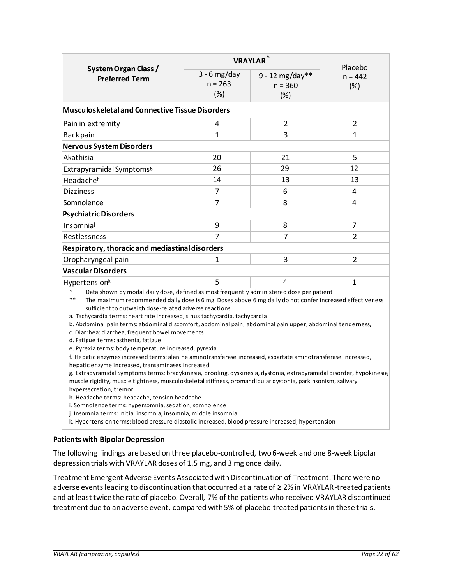|                                                                                                                                                                                                                                                                                                                                                                                                                                                                                                                                                                                                                                                                                                                                                                                                                                                                                                                                                                                                                                                                                                                                                                                                                                             | <b>VRAYLAR</b> <sup>*</sup>                                                                       | Placebo                                |                  |  |  |  |  |
|---------------------------------------------------------------------------------------------------------------------------------------------------------------------------------------------------------------------------------------------------------------------------------------------------------------------------------------------------------------------------------------------------------------------------------------------------------------------------------------------------------------------------------------------------------------------------------------------------------------------------------------------------------------------------------------------------------------------------------------------------------------------------------------------------------------------------------------------------------------------------------------------------------------------------------------------------------------------------------------------------------------------------------------------------------------------------------------------------------------------------------------------------------------------------------------------------------------------------------------------|---------------------------------------------------------------------------------------------------|----------------------------------------|------------------|--|--|--|--|
| System Organ Class /<br><b>Preferred Term</b>                                                                                                                                                                                                                                                                                                                                                                                                                                                                                                                                                                                                                                                                                                                                                                                                                                                                                                                                                                                                                                                                                                                                                                                               | $3 - 6$ mg/day<br>$n = 263$<br>(%)                                                                | $9 - 12$ mg/day**<br>$n = 360$<br>(% ) | $n = 442$<br>(%) |  |  |  |  |
| <b>Musculoskeletal and Connective Tissue Disorders</b>                                                                                                                                                                                                                                                                                                                                                                                                                                                                                                                                                                                                                                                                                                                                                                                                                                                                                                                                                                                                                                                                                                                                                                                      |                                                                                                   |                                        |                  |  |  |  |  |
| Pain in extremity                                                                                                                                                                                                                                                                                                                                                                                                                                                                                                                                                                                                                                                                                                                                                                                                                                                                                                                                                                                                                                                                                                                                                                                                                           | 4                                                                                                 | 2                                      | 2                |  |  |  |  |
| Back pain                                                                                                                                                                                                                                                                                                                                                                                                                                                                                                                                                                                                                                                                                                                                                                                                                                                                                                                                                                                                                                                                                                                                                                                                                                   | $\mathbf{1}$                                                                                      | $\overline{3}$                         | 1                |  |  |  |  |
| <b>Nervous System Disorders</b>                                                                                                                                                                                                                                                                                                                                                                                                                                                                                                                                                                                                                                                                                                                                                                                                                                                                                                                                                                                                                                                                                                                                                                                                             |                                                                                                   |                                        |                  |  |  |  |  |
| Akathisia                                                                                                                                                                                                                                                                                                                                                                                                                                                                                                                                                                                                                                                                                                                                                                                                                                                                                                                                                                                                                                                                                                                                                                                                                                   | 20                                                                                                | 21                                     | 5                |  |  |  |  |
| Extrapyramidal Symptoms <sup>g</sup>                                                                                                                                                                                                                                                                                                                                                                                                                                                                                                                                                                                                                                                                                                                                                                                                                                                                                                                                                                                                                                                                                                                                                                                                        | 26                                                                                                | 29                                     | 12               |  |  |  |  |
| Headache <sup>h</sup>                                                                                                                                                                                                                                                                                                                                                                                                                                                                                                                                                                                                                                                                                                                                                                                                                                                                                                                                                                                                                                                                                                                                                                                                                       | 14                                                                                                | 13                                     | 13               |  |  |  |  |
| <b>Dizziness</b>                                                                                                                                                                                                                                                                                                                                                                                                                                                                                                                                                                                                                                                                                                                                                                                                                                                                                                                                                                                                                                                                                                                                                                                                                            | 7                                                                                                 | 6                                      | 4                |  |  |  |  |
| Somnolencei                                                                                                                                                                                                                                                                                                                                                                                                                                                                                                                                                                                                                                                                                                                                                                                                                                                                                                                                                                                                                                                                                                                                                                                                                                 | $\overline{7}$                                                                                    | 8                                      | 4                |  |  |  |  |
| <b>Psychiatric Disorders</b>                                                                                                                                                                                                                                                                                                                                                                                                                                                                                                                                                                                                                                                                                                                                                                                                                                                                                                                                                                                                                                                                                                                                                                                                                |                                                                                                   |                                        |                  |  |  |  |  |
| Insomniaj                                                                                                                                                                                                                                                                                                                                                                                                                                                                                                                                                                                                                                                                                                                                                                                                                                                                                                                                                                                                                                                                                                                                                                                                                                   | 9                                                                                                 | 8                                      | 7                |  |  |  |  |
| Restlessness                                                                                                                                                                                                                                                                                                                                                                                                                                                                                                                                                                                                                                                                                                                                                                                                                                                                                                                                                                                                                                                                                                                                                                                                                                | $\overline{7}$                                                                                    | $\overline{7}$                         | $\overline{2}$   |  |  |  |  |
| Respiratory, thoracic and mediastinal disorders                                                                                                                                                                                                                                                                                                                                                                                                                                                                                                                                                                                                                                                                                                                                                                                                                                                                                                                                                                                                                                                                                                                                                                                             |                                                                                                   |                                        |                  |  |  |  |  |
| Oropharyngeal pain                                                                                                                                                                                                                                                                                                                                                                                                                                                                                                                                                                                                                                                                                                                                                                                                                                                                                                                                                                                                                                                                                                                                                                                                                          | $\mathbf{1}$                                                                                      | $\overline{3}$                         | 2                |  |  |  |  |
| <b>Vascular Disorders</b>                                                                                                                                                                                                                                                                                                                                                                                                                                                                                                                                                                                                                                                                                                                                                                                                                                                                                                                                                                                                                                                                                                                                                                                                                   |                                                                                                   |                                        |                  |  |  |  |  |
| Hypertension <sup>k</sup>                                                                                                                                                                                                                                                                                                                                                                                                                                                                                                                                                                                                                                                                                                                                                                                                                                                                                                                                                                                                                                                                                                                                                                                                                   | 5                                                                                                 | 4                                      | 1                |  |  |  |  |
| Data shown by modal daily dose, defined as most frequently administered dose per patient<br>$**$<br>The maximum recommended daily dose is 6 mg. Doses above 6 mg daily do not confer increased effectiveness<br>sufficient to outweigh dose-related adverse reactions.<br>a. Tachycardia terms: heart rate increased, sinus tachycardia, tachycardia<br>b. Abdominal pain terms: abdominal discomfort, abdominal pain, abdominal pain upper, abdominal tenderness,<br>c. Diarrhea: diarrhea, frequent bowel movements<br>d. Fatigue terms: asthenia, fatigue<br>e. Pyrexia terms: body temperature increased, pyrexia<br>f. Hepatic enzymes increased terms: alanine aminotransferase increased, aspartate aminotransferase increased,<br>hepatic enzyme increased, transaminases increased<br>g. Extrapyramidal Symptoms terms: bradykinesia, drooling, dyskinesia, dystonia, extrapyramidal disorder, hypokinesia,<br>muscle rigidity, muscle tightness, musculoskeletal stiffness, oromandibular dystonia, parkinsonism, salivary<br>hypersecretion, tremor<br>h. Headache terms: headache, tension headache<br>i. Somnolence terms: hypersomnia, sedation, somnolence<br>j. Insomnia terms: initial insomnia, insomnia, middle insomnia |                                                                                                   |                                        |                  |  |  |  |  |
|                                                                                                                                                                                                                                                                                                                                                                                                                                                                                                                                                                                                                                                                                                                                                                                                                                                                                                                                                                                                                                                                                                                                                                                                                                             | k. Hypertension terms: blood pressure diastolic increased, blood pressure increased, hypertension |                                        |                  |  |  |  |  |

## **Patients with Bipolar Depression**

The following findings are based on three placebo-controlled, two 6-week and one 8-week bipolar depression trials with VRAYLAR doses of 1.5 mg, and 3 mg once daily.

Treatment Emergent Adverse Events Associated with Discontinuation of Treatment: There were no adverse events leading to discontinuation that occurred at a rate of ≥ 2% in VRAYLAR-treated patients and at least twice the rate of placebo. Overall, 7% of the patients who received VRAYLAR discontinued treatment due to an adverse event, compared with 5% of placebo-treated patients in these trials.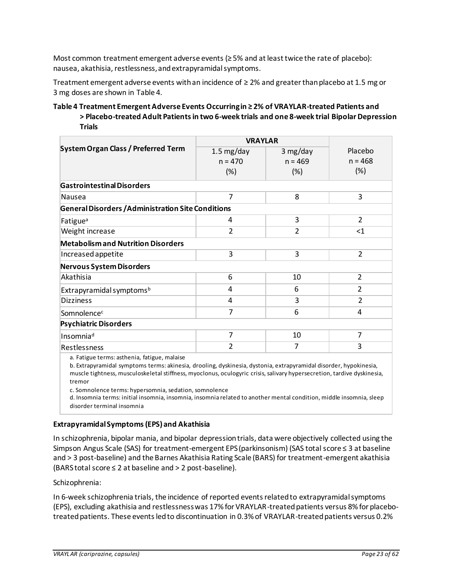Most common treatment emergent adverse events (≥ 5% and at least twice the rate of placebo): nausea, akathisia, restlessness, and extrapyramidal symptoms.

Treatment emergent adverse events with an incidence of ≥ 2% and greater than placebo at 1.5 mg or 3 mg doses are shown in [Table 4.](#page-22-0)

### <span id="page-22-0"></span>**Table 4 Treatment Emergent Adverse Events Occurring in ≥ 2% of VRAYLAR-treated Patients and > Placebo-treated Adult Patients in two 6-week trials and one 8-week trial Bipolar Depression Trials**

|                                                           | <b>VRAYLAR</b>       |                |                |
|-----------------------------------------------------------|----------------------|----------------|----------------|
| <b>System Organ Class / Preferred Term</b>                | $1.5 \text{ mg/day}$ | 3 mg/day       | Placebo        |
|                                                           | $n = 470$            | $n = 469$      | $n = 468$      |
|                                                           | (%)                  | (%)            | $(\%)$         |
| <b>Gastrointestinal Disorders</b>                         |                      |                |                |
| Nausea                                                    | 7                    | 8              | 3              |
| <b>General Disorders / Administration Site Conditions</b> |                      |                |                |
| Fatigue <sup>a</sup>                                      | 4                    | 3              | $\overline{2}$ |
| Weight increase                                           | $\overline{2}$       | $\overline{2}$ | $<$ 1          |
| <b>Metabolism and Nutrition Disorders</b>                 |                      |                |                |
| Increased appetite                                        | 3                    | 3              | $\overline{2}$ |
| <b>Nervous System Disorders</b>                           |                      |                |                |
| Akathisia                                                 | 6                    | 10             | $\overline{2}$ |
| Extrapyramidal symptoms <sup>b</sup>                      | 4                    | 6              | $\overline{2}$ |
| <b>Dizziness</b>                                          | 4                    | 3              | $\overline{2}$ |
| Somnolence <sup>c</sup>                                   | 7                    | 6              | 4              |
| <b>Psychiatric Disorders</b>                              |                      |                |                |
| Insomnia <sup>d</sup>                                     | $\overline{7}$       | 10             | 7              |
| Restlessness                                              | $\overline{2}$       | 7              | 3              |
| a. Fatigue terms: asthenia, fatigue, malaise              |                      |                |                |

b. Extrapyramidal symptoms terms: akinesia, drooling, dyskinesia, dystonia, extrapyramidal disorder, hypokinesia, muscle tightness, musculoskeletal stiffness, myoclonus, oculogyric crisis, salivary hypersecretion, tardive dyskinesia, tremor

c. Somnolence terms: hypersomnia, sedation, somnolence

d. Insomnia terms: initial insomnia, insomnia, insomnia related to another mental condition, middle insomnia, sleep disorder terminal insomnia

## **Extrapyramidal Symptoms (EPS) and Akathisia**

In schizophrenia, bipolar mania, and bipolar depression trials, data were objectively collected using the Simpson Angus Scale (SAS) for treatment-emergent EPS (parkinsonism) (SAS total score ≤ 3 at baseline and > 3 post-baseline) and the Barnes Akathisia Rating Scale (BARS) for treatment-emergent akathisia (BARS total score ≤ 2 at baseline and > 2 post-baseline).

Schizophrenia:

In 6-week schizophrenia trials, the incidence of reported events related to extrapyramidal symptoms (EPS), excluding akathisia and restlessness was 17% for VRAYLAR-treated patients versus 8% for placebotreatedpatients. These events led to discontinuation in 0.3% of VRAYLAR-treated patients versus 0.2%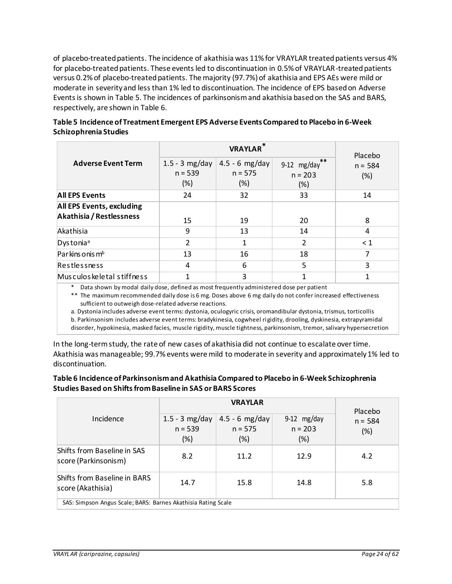of placebo-treated patients. The incidence of akathisia was 11% for VRAYLAR treated patients versus 4% for placebo-treated patients. These events led to discontinuation in 0.5% of VRAYLAR-treated patients versus 0.2% of placebo-treated patients. The majority (97.7%) of akathisia and EPS AEs were mild or moderate in severity and less than 1% led to discontinuation. The incidence of EPS based on Adverse Events is shown in [Table 5.](#page-23-0) The incidences of parkinsonism and akathisia based on the SAS and BARS, respectively, are shown in [Table 6.](#page-23-1)

|                                                              |                                      | Placebo                               |                                            |                  |  |  |  |
|--------------------------------------------------------------|--------------------------------------|---------------------------------------|--------------------------------------------|------------------|--|--|--|
| <b>Adverse Event Term</b>                                    | $1.5 - 3$ mg/day<br>$n = 539$<br>(%) | 4.5 - 6 mg/day<br>$n = 575$<br>$(\%)$ | $***$<br>$9-12$ mg/day<br>$n = 203$<br>(%) | $n = 584$<br>(%) |  |  |  |
| <b>All EPS Events</b>                                        | 24                                   | 32                                    | 33                                         | 14               |  |  |  |
| <b>All EPS Events, excluding</b><br>Akathisia / Restlessness | 15                                   | 19                                    | 20                                         | 8                |  |  |  |
| Akathisia                                                    | 9                                    | 13                                    | 14                                         | 4                |  |  |  |
| Dystonia <sup>a</sup>                                        | $\overline{\mathcal{L}}$             | 1                                     | 2                                          | $\leq 1$         |  |  |  |
| Parkins onis m <sup>b</sup>                                  | 13                                   | 16                                    | 18                                         | 7                |  |  |  |
| <b>Restlessness</b>                                          | 4                                    | 6                                     | 5                                          | 3                |  |  |  |
| Musculos keletal stiffness                                   |                                      | 3                                     | 1                                          | 1                |  |  |  |

# <span id="page-23-0"></span>**Table 5 Incidence of Treatment Emergent EPS Adverse Events Compared to Placebo in 6-Week Schizophrenia Studies**

Data shown by modal daily dose, defined as most frequently administered dose per patient

\*\* The maximum recommended daily dose is 6 mg. Doses above 6 mg daily do not confer increased effectiveness sufficient to outweigh dose-related adverse reactions.

a. Dystonia includes adverse event terms: dystonia, oculogyric crisis, oromandibular dystonia, trismus, torticollis b. Parkinsonism includes adverse event terms: bradykinesia, cogwheel ri gidity, drooling, dyskinesia, extrapyramidal

disorder, hypokinesia, masked facies, muscle rigidity, muscle tightness, parkinsonism, tremor, salivary hypersecretion

In the long-term study, the rate of new cases of akathisia did not continue to escalate over time. Akathisia was manageable; 99.7% events were mild to moderate in severity and approximately 1% led to discontinuation.

## <span id="page-23-1"></span>**Table 6 Incidence of Parkinsonism and Akathisia Compared to Placebo in 6-Week Schizophrenia Studies Based on Shifts from Baseline in SAS or BARS Scores**

|                                                               |                                    | Placebo                              |                                   |                  |  |  |
|---------------------------------------------------------------|------------------------------------|--------------------------------------|-----------------------------------|------------------|--|--|
| Incidence                                                     | 1.5 - 3 mg/day<br>$n = 539$<br>(%) | $4.5 - 6$ mg/day<br>$n = 575$<br>(%) | $9-12$ mg/day<br>$n = 203$<br>(%) | $n = 584$<br>(%) |  |  |
| Shifts from Baseline in SAS<br>score (Parkinsonism)           | 8.2                                | 11.2                                 | 12.9                              | 4.2              |  |  |
| <b>Shifts from Baseline in BARS</b><br>score (Akathisia)      | 14.7                               | 15.8                                 | 14.8                              | 5.8              |  |  |
| SAS: Simpson Angus Scale; BARS: Barnes Akathisia Rating Scale |                                    |                                      |                                   |                  |  |  |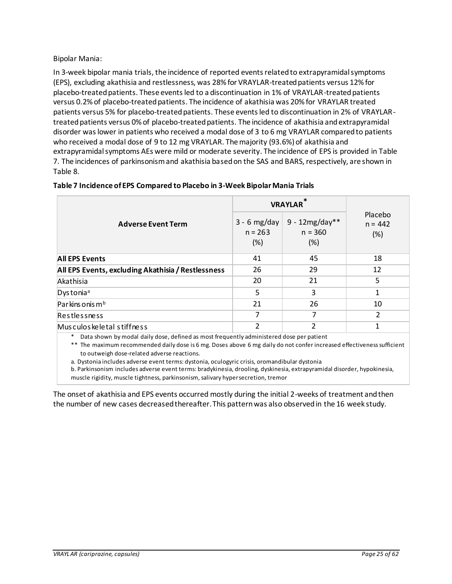Bipolar Mania:

In 3-week bipolar mania trials, the incidence of reported events related to extrapyramidal symptoms (EPS), excluding akathisia and restlessness, was 28% for VRAYLAR-treated patients versus 12% for placebo-treated patients. These events led to a discontinuation in 1% of VRAYLAR-treated patients versus 0.2% of placebo-treated patients. The incidence of akathisia was 20% for VRAYLAR treated patients versus 5% for placebo-treated patients. These events led to discontinuation in 2% of VRAYLARtreated patients versus 0% of placebo-treated patients. The incidence of akathisia and extrapyramidal disorder was lower in patients who received a modal dose of 3 to 6 mg VRAYLAR compared to patients who received a modal dose of 9 to 12 mg VRAYLAR. The majority (93.6%) of akathisia and extrapyramidal symptoms AEs were mild or moderate severity. The incidence of EPS is provided i[n Table](#page-24-0) [7.](#page-24-0) The incidences of parkinsonism and akathisia based on the SAS and BARS, respectively, are shown in [Table 8.](#page-25-0)

|                                                    | <b>VRAYLAR</b>                     |                                      |                             |  |  |
|----------------------------------------------------|------------------------------------|--------------------------------------|-----------------------------|--|--|
| <b>Adverse Event Term</b>                          | $3 - 6$ mg/day<br>$n = 263$<br>(%) | $9 - 12mg/day**$<br>$n = 360$<br>(%) | Placebo<br>$n = 442$<br>(%) |  |  |
| <b>All EPS Events</b>                              | 41                                 | 45                                   | 18                          |  |  |
| All EPS Events, excluding Akathisia / Restlessness | 26                                 | 29                                   | 12                          |  |  |
| Akathisia                                          | 20                                 | 21                                   | 5                           |  |  |
| Dystonia <sup>a</sup>                              | 5                                  | 3                                    | $\mathbf{1}$                |  |  |
| Parkins onis m <sup>b</sup>                        | 21                                 | 26                                   | 10                          |  |  |
| Restlessness                                       | 7                                  | 7                                    | 2                           |  |  |
| Musculos keletal stiffness                         | $\mathfrak z$                      | 2                                    | 1                           |  |  |
|                                                    |                                    |                                      |                             |  |  |

### <span id="page-24-0"></span>**Table 7 Incidence of EPS Compared to Placebo in 3-Week Bipolar Mania Trials**

\* Data shown by modal daily dose, defined as most frequently administered dose per patient

\*\* The maximum recommended daily dose is 6 mg. Doses above 6 mg daily do not confer increased effectiveness sufficient to outweigh dose-related adverse reactions.

a. Dystonia includes adverse event terms: dystonia, oculogyric crisis, oromandibular dystonia

b. Parkinsonism includes adverse event terms: bradykinesia, drooling, dyskinesia, extrapyramidal disorder, hypokinesia, muscle rigidity, muscle tightness, parkinsonism, salivary hypersecretion, tremor

The onset of akathisia and EPS events occurred mostly during the initial 2-weeks of treatment and then the number of new cases decreased thereafter. This pattern was also observed in the 16 week study.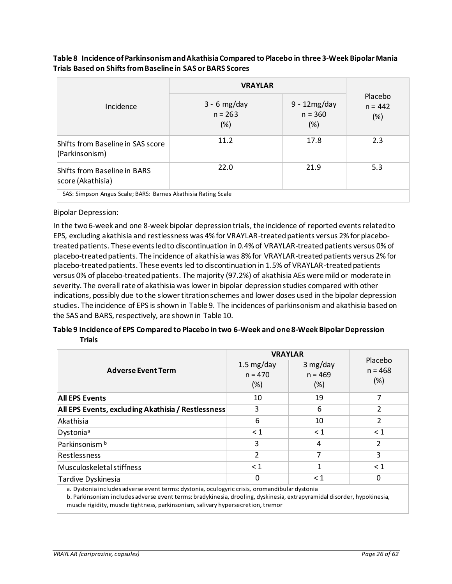|                                                               | <b>VRAYLAR</b>                     |                                       |                             |  |  |
|---------------------------------------------------------------|------------------------------------|---------------------------------------|-----------------------------|--|--|
| Incidence                                                     | $3 - 6$ mg/day<br>$n = 263$<br>(%) | $9 - 12mg/day$<br>$n = 360$<br>$(\%)$ | Placebo<br>$n = 442$<br>(%) |  |  |
| Shifts from Baseline in SAS score<br>(Parkinsonism)           | 11.2                               | 17.8                                  | 2.3                         |  |  |
| <b>Shifts from Baseline in BARS</b><br>score (Akathisia)      | 22.0                               | 21.9                                  | 5.3                         |  |  |
| SAS: Simpson Angus Scale; BARS: Barnes Akathisia Rating Scale |                                    |                                       |                             |  |  |

## <span id="page-25-0"></span>**Table 8 Incidence of Parkinsonism and Akathisia Compared to Placebo in three 3-Week Bipolar Mania Trials Based on Shifts from Baseline in SAS or BARS Scores**

### Bipolar Depression:

In the two 6-week and one 8-week bipolar depression trials, the incidence of reported events related to EPS, excluding akathisia and restlessness was 4% for VRAYLAR-treated patients versus 2% for placebotreated patients. These events led to discontinuation in 0.4% of VRAYLAR-treated patients versus 0% of placebo-treated patients. The incidence of akathisia was 8% for VRAYLAR-treated patients versus 2% for placebo-treated patients. These events led to discontinuation in 1.5% of VRAYLAR-treated patients versus 0% of placebo-treated patients. The majority (97.2%) of akathisia AEs were mild or moderate in severity. The overall rate of akathisia was lower in bipolar depression studies compared with other indications, possibly due to the slower titration schemes and lower doses used in the bipolar depression studies. The incidence of EPS is shown i[n Table 9.](#page-25-1) The incidences of parkinsonism and akathisia based on the SAS and BARS, respectively, are shown in [Table 10.](#page-26-0)

## <span id="page-25-1"></span>**Table 9 Incidence of EPS Compared to Placebo in two 6-Week and one 8-Week Bipolar Depression Trials**

| 1.5 $mg/day$<br>$n = 470$<br>(%)                        | 3 mg/day<br>$n = 469$<br>$(\%)$ | Placebo<br>$n = 468$<br>$(\%)$ |
|---------------------------------------------------------|---------------------------------|--------------------------------|
| 10                                                      | 19                              | 7                              |
| 3<br>All EPS Events, excluding Akathisia / Restlessness | 6                               | $\overline{\mathbf{c}}$        |
| 6                                                       | 10                              | $\overline{\mathbf{c}}$        |
| $\leq 1$                                                | $\leq 1$                        | $\leq 1$                       |
| 3                                                       | 4                               | 2                              |
| $\overline{2}$                                          | 7                               | 3                              |
| $\leq 1$                                                | 1                               | $\leq 1$                       |
| 0                                                       | $\leq 1$                        | 0                              |
|                                                         |                                 | <b>VRAYLAR</b>                 |

a. Dystonia includes adverse event terms: dystonia, oculogyric crisis, oromandibular dystonia

b. Parkinsonism includes adverse event terms: bradykinesia, drooling, dyskinesia, extrapyramidal disorder, hypokinesia, muscle rigidity, muscle tightness, parkinsonism, salivary hypersecretion, tremor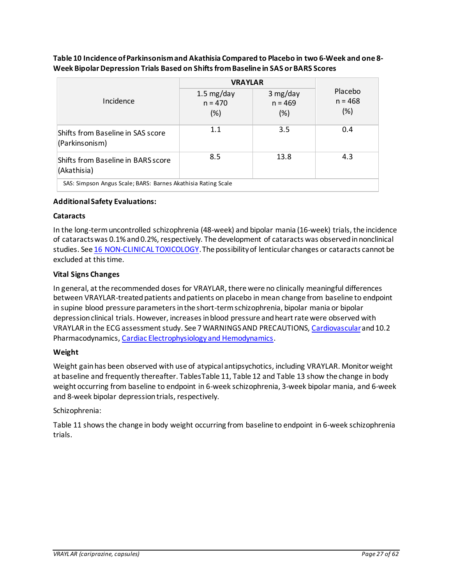|                                                               | <b>VRAYLAR</b>                           |                              |                                |  |  |
|---------------------------------------------------------------|------------------------------------------|------------------------------|--------------------------------|--|--|
| Incidence                                                     | $1.5 \text{ mg/day}$<br>$n = 470$<br>(%) | 3 mg/day<br>$n = 469$<br>(%) | Placebo<br>$n = 468$<br>$(\%)$ |  |  |
| Shifts from Baseline in SAS score<br>(Parkinsonism)           | 1.1                                      | 3.5                          | 0.4                            |  |  |
| Shifts from Baseline in BARS score<br>(Akathisia)             | 8.5                                      | 13.8                         | 4.3                            |  |  |
| SAS: Simpson Angus Scale; BARS: Barnes Akathisia Rating Scale |                                          |                              |                                |  |  |

### <span id="page-26-0"></span>**Table 10 Incidence of Parkinsonism and Akathisia Compared to Placebo in two 6-Week and one 8- Week Bipolar Depression Trials Based on Shifts from Baseline in SAS or BARS Scores**

## **Additional Safety Evaluations:**

### **Cataracts**

In the long-term uncontrolled schizophrenia (48-week) and bipolar mania (16-week) trials, the incidence of cataracts was 0.1% and 0.2%, respectively. The development of cataracts was observed in nonclinical studies. See 16 [NON-CLINICAL TOXICOLOGY](#page-48-1). The possibility of lenticular changes or cataracts cannot be excluded at this time.

## **Vital Signs Changes**

In general, at the recommended doses for VRAYLAR, there were no clinically meaningful differences between VRAYLAR-treated patients and patients on placebo in mean change from baseline to endpoint in supine blood pressure parameters in the short-term schizophrenia, bipolar mania or bipolar depression clinical trials. However, increases in blood pressure and heart rate were observed with VRAYLAR in the ECG assessment study. See 7 WARNINGS AND PRECAUTIONS[, Cardiovascular](#page-8-1)and 10.2 Pharmacodynamics[, Cardiac Electrophysiology and Hemodynamics.](#page-33-3)

### **Weight**

Weight gain has been observed with use of atypical antipsychotics, including VRAYLAR. Monitor weight at baseline and frequently thereafter. Table[sTable](#page-27-0) 11[, Table](#page-27-1) 12 and [Table](#page-28-1) 13 show the change in body weight occurring from baseline to endpoint in 6-week schizophrenia, 3-week bipolar mania, and 6-week and 8-week bipolar depression trials, respectively.

### Schizophrenia:

[Table 11](#page-27-0) showsthe change in body weight occurring from baseline to endpoint in 6-week schizophrenia trials.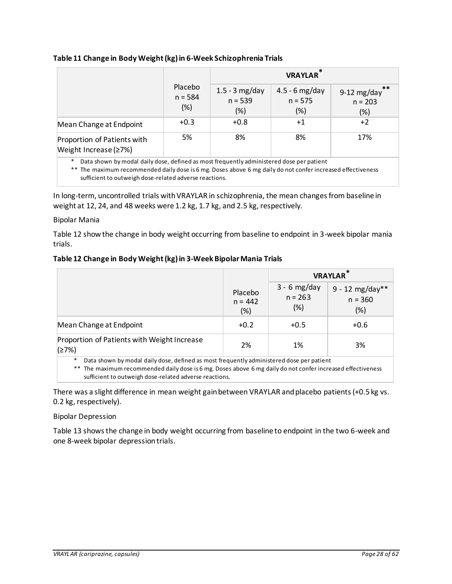## <span id="page-27-0"></span>**Table 11 Change in Body Weight (kg) in 6-Week Schizophrenia Trials**

|                                                      |                             | <b>VRAYLAR</b>                          |                                      |                                         |
|------------------------------------------------------|-----------------------------|-----------------------------------------|--------------------------------------|-----------------------------------------|
|                                                      | Placebo<br>$n = 584$<br>(%) | $1.5 - 3$ mg/day<br>$n = 539$<br>$(\%)$ | $4.5 - 6$ mg/day<br>$n = 575$<br>(%) | **<br>9-12 $mg/day$<br>$n = 203$<br>(%) |
| Mean Change at Endpoint                              | $+0.3$                      | $+0.8$                                  | $+1$                                 | $+2$                                    |
| Proportion of Patients with<br>Weight Increase (≥7%) | 5%                          | 8%                                      | 8%                                   | 17%                                     |

\* Data shown by modal daily dose, defined as most frequently administered dose per patient

\*\* The maximum recommended daily dose is 6 mg. Doses above 6 mg daily do not confer increased effectiveness sufficient to outweigh dose-related adverse reactions.

In long-term, uncontrolled trials with VRAYLAR in schizophrenia, the mean changes from baseline in weight at 12, 24, and 48 weeks were 1.2 kg, 1.7 kg, and 2.5 kg, respectively.

### Bipolar Mania

[Table 12](#page-27-1) show the change in body weight occurring from baseline to endpoint in 3-week bipolar mania trials.

### <span id="page-27-1"></span>**Table 12 Change in Body Weight (kg) in 3-Week Bipolar Mania Trials**

|                                                                                               |                                |                                    | <b>VRAYLAR</b>                           |
|-----------------------------------------------------------------------------------------------|--------------------------------|------------------------------------|------------------------------------------|
|                                                                                               | Placebo<br>$n = 442$<br>$(\%)$ | $3 - 6$ mg/day<br>$n = 263$<br>(%) | $9 - 12$ mg/day**<br>$n = 360$<br>$(\%)$ |
| Mean Change at Endpoint                                                                       | $+0.2$                         | $+0.5$                             | $+0.6$                                   |
| Proportion of Patients with Weight Increase<br>(27%)                                          | 2%                             | 1%                                 | 3%                                       |
| ∗<br>Data shown by modal daily dose, defined as most frequently administered dose per patient |                                |                                    |                                          |

\*\* The maximum recommended daily dose is 6 mg. Doses above 6 mg daily do not confer increased effectiveness sufficient to outweigh dose-related adverse reactions.

There was a slight difference in mean weight gain between VRAYLAR and placebo patients (+0.5 kg vs. 0.2 kg, respectively).

### Bipolar Depression

[Table 13](#page-28-1) shows the change in body weight occurring from baseline to endpoint in the two 6-week and one 8-week bipolar depression trials.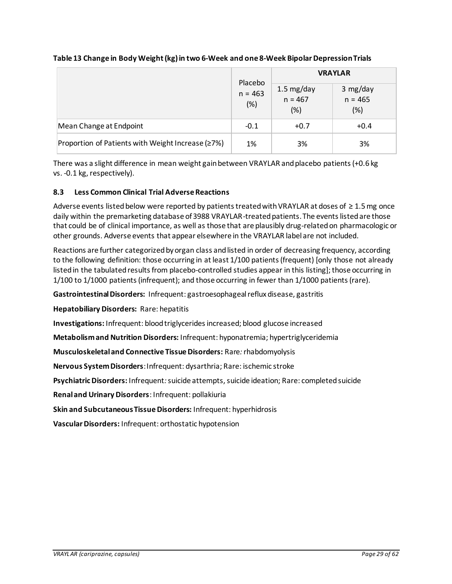|                                                   |                             | <b>VRAYLAR</b>               |                              |  |
|---------------------------------------------------|-----------------------------|------------------------------|------------------------------|--|
|                                                   | Placebo<br>$n = 463$<br>(%) | 1.5 mg/day<br>n = 467<br>(%) | 3 mg/day<br>$n = 465$<br>(%) |  |
| Mean Change at Endpoint                           | $-0.1$                      | $+0.7$                       | $+0.4$                       |  |
| Proportion of Patients with Weight Increase (≥7%) | 1%                          | 3%                           | 3%                           |  |

## <span id="page-28-1"></span>**Table 13 Change in Body Weight (kg) in two 6-Week and one 8-Week Bipolar Depression Trials**

There was a slight difference in mean weight gain between VRAYLAR and placebo patients (+0.6 kg vs. -0.1 kg, respectively).

## <span id="page-28-0"></span>**8.3 Less Common Clinical Trial Adverse Reactions**

Adverse events listed below were reported by patients treated with VRAYLAR at doses of ≥ 1.5 mg once daily within the premarketing database of 3988 VRAYLAR-treated patients. The events listed are those that could be of clinical importance, as well as those that are plausibly drug-related on pharmacologic or other grounds. Adverse events that appear elsewhere in the VRAYLAR label are not included.

Reactions are further categorized by organ class and listed in order of decreasing frequency, according to the following definition: those occurring in at least 1/100 patients (frequent) [only those not already listed in the tabulated results from placebo-controlled studies appear in this listing]; those occurring in 1/100 to 1/1000 patients (infrequent); and those occurring in fewer than 1/1000 patients (rare).

**Gastrointestinal Disorders:** Infrequent: gastroesophageal reflux disease, gastritis

**Hepatobiliary Disorders:** Rare: hepatitis

**Investigations:** Infrequent: blood triglycerides increased; blood glucose increased

**Metabolism and Nutrition Disorders:** Infrequent: hyponatremia; hypertriglyceridemia

**Musculoskeletal and Connective Tissue Disorders:** Rare*:*rhabdomyolysis

**Nervous System Disorders**:Infrequent: dysarthria; Rare: ischemic stroke

**Psychiatric Disorders:** Infrequent*:*suicide attempts, suicide ideation; Rare: completed suicide

**Renal and Urinary Disorders**: Infrequent: pollakiuria

**Skin and Subcutaneous Tissue Disorders:** Infrequent: hyperhidrosis

**Vascular Disorders:** Infrequent: orthostatic hypotension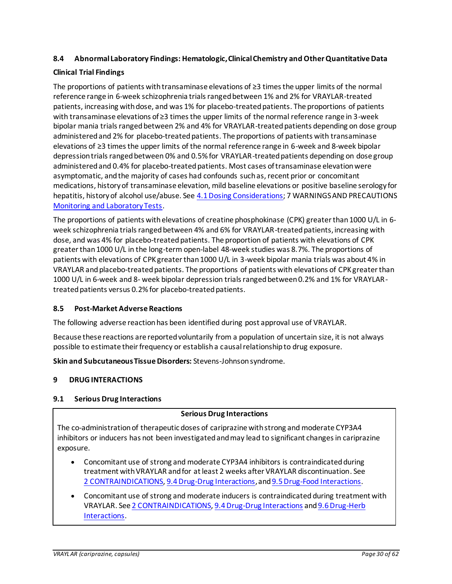## <span id="page-29-0"></span>**8.4 Abnormal Laboratory Findings: Hematologic,Clinical Chemistry and Other Quantitative Data**

## **Clinical Trial Findings**

The proportions of patients with transaminase elevations of ≥3 times the upper limits of the normal reference range in 6-week schizophrenia trials ranged between 1% and 2% for VRAYLAR-treated patients, increasing with dose, and was 1% for placebo-treated patients. The proportions of patients with transaminase elevations of ≥3 times the upper limits of the normal reference range in 3-week bipolar mania trials ranged between 2% and 4% for VRAYLAR-treated patients depending on dose group administered and 2% for placebo-treated patients. The proportions of patients with transaminase elevations of ≥3 times the upper limits of the normal reference range in 6-week and 8-week bipolar depression trials ranged between 0% and 0.5% for VRAYLAR-treated patients depending on dose group administered and 0.4% for placebo-treated patients. Most cases of transaminase elevation were asymptomatic, and the majority of cases had confounds such as, recent prior or concomitant medications, history of transaminase elevation, mild baseline elevations or positive baseline serology for hepatitis, history of alcohol use/abuse. See [4.1 Dosing Considerations;](#page-4-2) 7 WARNINGS AND PRECAUTIONS [Monitoring and Laboratory Tests.](#page-12-0)

The proportions of patients with elevations of creatine phosphokinase (CPK) greater than 1000 U/L in 6 week schizophrenia trials ranged between 4% and 6% for VRAYLAR-treated patients, increasing with dose, and was 4% for placebo-treated patients. The proportion of patients with elevations of CPK greater than 1000 U/L in the long-term open-label 48-week studies was 8.7%. The proportions of patients with elevations of CPK greater than 1000 U/L in 3-week bipolar mania trials was about 4% in VRAYLAR and placebo-treated patients. The proportions of patients with elevations of CPK greater than 1000 U/L in 6-week and 8- week bipolar depression trials ranged between 0.2% and 1% for VRAYLARtreated patients versus 0.2% for placebo-treated patients.

### <span id="page-29-1"></span>**8.5 Post-Market Adverse Reactions**

The following adverse reaction has been identified during post approval use of VRAYLAR.

Because these reactions are reported voluntarily from a population of uncertain size, it is not always possible to estimate their frequency or establish a causal relationship to drug exposure.

**Skin and Subcutaneous Tissue Disorders:** Stevens-Johnson syndrome.

### <span id="page-29-2"></span>**9 DRUG INTERACTIONS**

### <span id="page-29-3"></span>**9.1 Serious Drug Interactions**

### **Serious Drug Interactions**

The co-administration of therapeutic doses of cariprazine with strong and moderate CYP3A4 inhibitors or inducers has not been investigated and may lead to significant changes in cariprazine exposure.

- Concomitant use of strong and moderate CYP3A4 inhibitors is contraindicated during treatment with VRAYLAR and for at least 2 weeks after VRAYLAR discontinuation. See 2 [CONTRAINDICATIONS](#page-3-4)[, 9.4 Drug-Drug Interactions](#page-30-2), an[d 9.5 Drug-Food Interactions.](#page-32-0)
- Concomitant use of strong and moderate inducers is contraindicated during treatment with VRAYLAR. Se[e 2 CONTRAINDICATIONS](#page-3-4)[, 9.4 Drug-Drug Interactions](#page-30-2) an[d 9.6 Drug-Herb](#page-32-1)  [Interactions](#page-32-1).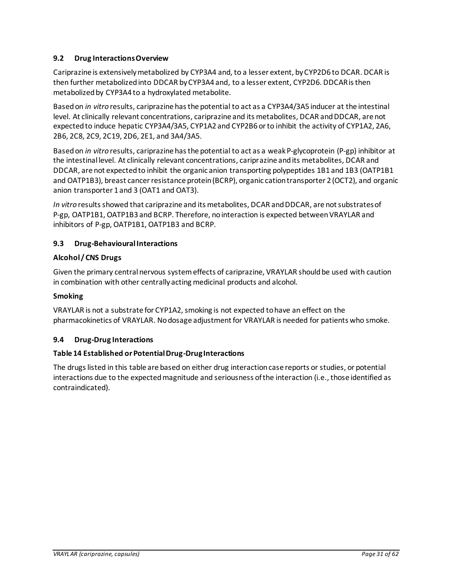# <span id="page-30-0"></span>**9.2 Drug Interactions Overview**

Cariprazine is extensively metabolized by CYP3A4 and, to a lesser extent, by CYP2D6 to DCAR. DCAR is then further metabolized into DDCAR by CYP3A4 and, to a lesser extent, CYP2D6. DDCAR is then metabolized by CYP3A4 to a hydroxylated metabolite.

Based on *in vitro* results, cariprazine has the potential to act as a CYP3A4/3A5 inducer at the intestinal level. At clinically relevant concentrations, cariprazine and its metabolites, DCAR and DDCAR, are not expected to induce hepatic CYP3A4/3A5, CYP1A2 and CYP2B6 or to inhibit the activity of CYP1A2, 2A6, 2B6, 2C8, 2C9, 2C19, 2D6, 2E1, and 3A4/3A5.

Based on *in vitro* results, cariprazine has the potential to act as a weak P-glycoprotein (P-gp) inhibitor at the intestinal level. At clinically relevant concentrations, cariprazine and its metabolites, DCAR and DDCAR, are not expected to inhibit the organic anion transporting polypeptides 1B1 and 1B3 (OATP1B1 and OATP1B3), breast cancer resistance protein (BCRP), organic cation transporter 2 (OCT2), and organic anion transporter 1 and 3 (OAT1 and OAT3).

*In vitro* results showed that cariprazine and its metabolites, DCAR and DDCAR, are not substrates of P-gp, OATP1B1, OATP1B3 and BCRP. Therefore, no interaction is expected between VRAYLAR and inhibitors of P-gp, OATP1B1, OATP1B3 and BCRP.

# <span id="page-30-1"></span>**9.3 Drug-Behavioural Interactions**

# **Alcohol / CNS Drugs**

Given the primary central nervous system effects of cariprazine, VRAYLAR should be used with caution in combination with other centrally acting medicinal products and alcohol.

## **Smoking**

VRAYLAR is not a substrate for CYP1A2, smoking is not expected to have an effect on the pharmacokinetics of VRAYLAR. No dosage adjustment for VRAYLAR is needed for patients who smoke.

## <span id="page-30-2"></span>**9.4 Drug-Drug Interactions**

## **Table 14 Established or Potential Drug-Drug Interactions**

The drugs listed in this table are based on either drug interaction case reports or studies, or potential interactions due to the expected magnitude and seriousness of the interaction (i.e., those identified as contraindicated).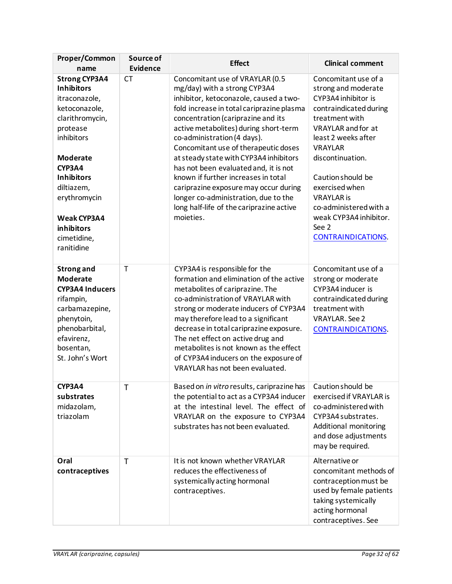| Proper/Common<br>name                                                                                                                                                                                                                                                     | Source of<br><b>Evidence</b> | <b>Effect</b>                                                                                                                                                                                                                                                                                                                                                                                                                                                                                                                                                                    | <b>Clinical comment</b>                                                                                                                                                                                                                                                                                                                                 |
|---------------------------------------------------------------------------------------------------------------------------------------------------------------------------------------------------------------------------------------------------------------------------|------------------------------|----------------------------------------------------------------------------------------------------------------------------------------------------------------------------------------------------------------------------------------------------------------------------------------------------------------------------------------------------------------------------------------------------------------------------------------------------------------------------------------------------------------------------------------------------------------------------------|---------------------------------------------------------------------------------------------------------------------------------------------------------------------------------------------------------------------------------------------------------------------------------------------------------------------------------------------------------|
| <b>Strong CYP3A4</b><br><b>Inhibitors</b><br>itraconazole,<br>ketoconazole,<br>clarithromycin,<br>protease<br>inhibitors<br><b>Moderate</b><br>CYP3A4<br><b>Inhibitors</b><br>diltiazem,<br>erythromycin<br><b>Weak CYP3A4</b><br>inhibitors<br>cimetidine,<br>ranitidine | <b>CT</b>                    | Concomitant use of VRAYLAR (0.5<br>mg/day) with a strong CYP3A4<br>inhibitor, ketoconazole, caused a two-<br>fold increase in total cariprazine plasma<br>concentration (cariprazine and its<br>active metabolites) during short-term<br>co-administration (4 days).<br>Concomitant use of therapeutic doses<br>at steady state with CYP3A4 inhibitors<br>has not been evaluated and, it is not<br>known if further increases in total<br>cariprazine exposure may occur during<br>longer co-administration, due to the<br>long half-life of the cariprazine active<br>moieties. | Concomitant use of a<br>strong and moderate<br>CYP3A4 inhibitor is<br>contraindicated during<br>treatment with<br>VRAYLAR and for at<br>least 2 weeks after<br><b>VRAYLAR</b><br>discontinuation.<br>Caution should be<br>exercised when<br><b>VRAYLAR</b> is<br>co-administered with a<br>weak CYP3A4 inhibitor.<br>See 2<br><b>CONTRAINDICATIONS.</b> |
| <b>Strong and</b><br><b>Moderate</b><br><b>CYP3A4 Inducers</b><br>rifampin,<br>carbamazepine,<br>phenytoin,<br>phenobarbital,<br>efavirenz,<br>bosentan,<br>St. John's Wort                                                                                               | T                            | CYP3A4 is responsible for the<br>formation and elimination of the active<br>metabolites of cariprazine. The<br>co-administration of VRAYLAR with<br>strong or moderate inducers of CYP3A4<br>may therefore lead to a significant<br>decrease in total cariprazine exposure.<br>The net effect on active drug and<br>metabolites is not known as the effect<br>of CYP3A4 inducers on the exposure of<br>VRAYLAR has not been evaluated.                                                                                                                                           | Concomitant use of a<br>strong or moderate<br>CYP3A4 inducer is<br>contraindicated during<br>treatment with<br><b>VRAYLAR. See 2</b><br><b>CONTRAINDICATIONS.</b>                                                                                                                                                                                       |
| CYP3A4<br>substrates<br>midazolam,<br>triazolam                                                                                                                                                                                                                           | Τ                            | Based on in vitro results, cariprazine has<br>the potential to act as a CYP3A4 inducer<br>at the intestinal level. The effect of<br>VRAYLAR on the exposure to CYP3A4<br>substrates has not been evaluated.                                                                                                                                                                                                                                                                                                                                                                      | Caution should be<br>exercised if VRAYLAR is<br>co-administered with<br>CYP3A4 substrates.<br>Additional monitoring<br>and dose adjustments<br>may be required.                                                                                                                                                                                         |
| Oral<br>contraceptives                                                                                                                                                                                                                                                    | T                            | It is not known whether VRAYLAR<br>reduces the effectiveness of<br>systemically acting hormonal<br>contraceptives.                                                                                                                                                                                                                                                                                                                                                                                                                                                               | Alternative or<br>concomitant methods of<br>contraception must be<br>used by female patients<br>taking systemically<br>acting hormonal<br>contraceptives. See                                                                                                                                                                                           |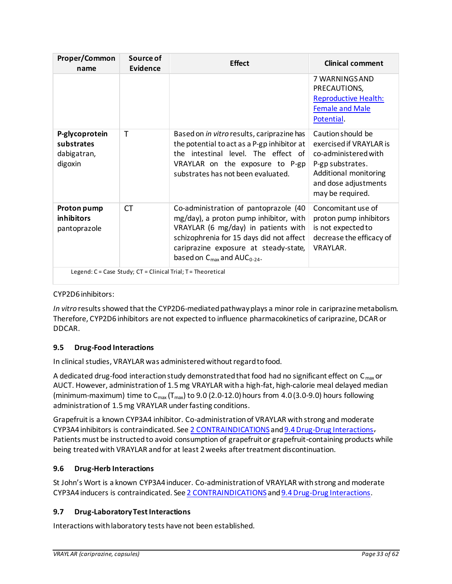| Proper/Common<br>name                                                | Source of<br>Evidence | <b>Effect</b>                                                                                                                                                                                                                                               | <b>Clinical comment</b>                                                                                                                                       |  |  |
|----------------------------------------------------------------------|-----------------------|-------------------------------------------------------------------------------------------------------------------------------------------------------------------------------------------------------------------------------------------------------------|---------------------------------------------------------------------------------------------------------------------------------------------------------------|--|--|
|                                                                      |                       |                                                                                                                                                                                                                                                             | 7 WARNINGS AND<br>PRECAUTIONS,<br><b>Reproductive Health:</b><br><b>Female and Male</b><br>Potential.                                                         |  |  |
| P-glycoprotein<br>substrates<br>dabigatran,<br>digoxin               | т                     | Based on in vitro results, cariprazine has<br>the potential to act as a P-gp inhibitor at<br>the intestinal level. The effect of<br>VRAYLAR on the exposure to P-gp<br>substrates has not been evaluated.                                                   | Caution should be<br>exercised if VRAYLAR is<br>co-administered with<br>P-gp substrates.<br>Additional monitoring<br>and dose adjustments<br>may be required. |  |  |
| Proton pump<br><i>inhibitors</i><br>pantoprazole                     | <b>CT</b>             | Co-administration of pantoprazole (40<br>mg/day), a proton pump inhibitor, with<br>VRAYLAR (6 mg/day) in patients with<br>schizophrenia for 15 days did not affect<br>cariprazine exposure at steady-state,<br>based on $C_{\text{max}}$ and $AUC_{0-24}$ . | Concomitant use of<br>proton pump inhibitors<br>is not expected to<br>decrease the efficacy of<br>VRAYLAR.                                                    |  |  |
| Legend: $C = Case Study$ ; $CT = Clinical Trial$ ; $T = Theoretical$ |                       |                                                                                                                                                                                                                                                             |                                                                                                                                                               |  |  |

# CYP2D6 inhibitors:

*In vitro* results showed that the CYP2D6-mediated pathway plays a minor role in cariprazine metabolism. Therefore, CYP2D6 inhibitors are not expected to influence pharmacokinetics of cariprazine, DCAR or DDCAR.

# <span id="page-32-0"></span>**9.5 Drug-Food Interactions**

In clinical studies, VRAYLAR was administered without regard to food.

A dedicated drug-food interaction study demonstrated that food had no significant effect on  $C_{\text{max}}$  or AUCT. However, administration of 1.5 mg VRAYLAR with a high-fat, high-calorie meal delayed median (minimum-maximum) time to  $C_{\text{max}}(T_{\text{max}})$  to 9.0 (2.0-12.0) hours from 4.0 (3.0-9.0) hours following administration of 1.5 mg VRAYLAR under fasting conditions.

Grapefruit is a known CYP3A4 inhibitor. Co-administration of VRAYLAR with strong and moderate CYP3A4 inhibitors is contraindicated. Se[e 2 CONTRAINDICATIONS](#page-3-4) an[d 9.4 Drug-Drug Interactions](#page-30-2). Patients must be instructed to avoid consumption of grapefruit or grapefruit-containing products while being treated with VRAYLAR and for at least 2 weeks after treatment discontinuation.

# <span id="page-32-1"></span>**9.6 Drug-Herb Interactions**

St John's Wort is a known CYP3A4 inducer. Co-administration of VRAYLAR with strong and moderate CYP3A4 inducers is contraindicated. Se[e 2 CONTRAINDICATIONS](#page-3-4) an[d 9.4 Drug-Drug Interactions](#page-30-2).

## <span id="page-32-2"></span>**9.7 Drug-Laboratory Test Interactions**

Interactions with laboratory tests have not been established.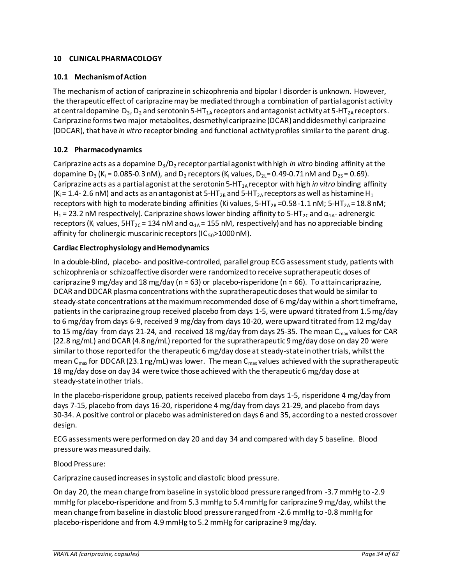## <span id="page-33-0"></span>**10 CLINICAL PHARMACOLOGY**

## <span id="page-33-1"></span>**10.1 Mechanism of Action**

The mechanism of action of cariprazine in schizophrenia and bipolar I disorder is unknown. However, the therapeutic effect of cariprazine may be mediated through a combination of partial agonist activity at central dopamine  $D_3$ ,  $D_2$  and serotonin 5-HT<sub>1A</sub> receptors and antagonist activity at 5-HT<sub>2A</sub> receptors. Cariprazine forms two major metabolites, desmethyl cariprazine (DCAR) and didesmethyl cariprazine (DDCAR), that have *in vitro* receptor binding and functional activity profiles similar to the parent drug.

## <span id="page-33-2"></span>**10.2 Pharmacodynamics**

Cariprazine acts as a dopamine D3/D<sup>2</sup> receptor partial agonist with high *in vitro* binding affinity at the dopamine  $D_3$  (K<sub>i</sub> = 0.085-0.3 nM), and  $D_2$  receptors (K<sub>i</sub> values,  $D_{2L}$ = 0.49-0.71 nM and  $D_{2S}$ = 0.69). Cariprazine acts as a partial agonist at the serotonin 5-HT<sub>1A</sub> receptor with high *in vitro* binding affinity (K<sub>i</sub> = 1.4- 2.6 nM) and acts as an antagonist at 5-HT<sub>2B</sub> and 5-HT<sub>2A</sub> receptors as well as histamine H<sub>1</sub> receptors with high to moderate binding affinities (Ki values, 5-HT<sub>2B</sub> = 0.58 -1.1 nM; 5-HT<sub>2A</sub> = 18.8 nM; H<sub>1</sub> = 23.2 nM respectively). Cariprazine shows lower binding affinity to 5-HT<sub>2C</sub> and  $\alpha_{1A}$ - adrenergic receptors (K<sub>i</sub> values,  $5HT_{2C} = 134$  nM and  $\alpha_{1A} = 155$  nM, respectively) and has no appreciable binding affinity for cholinergic muscarinic receptors ( $IC_{50}$ >1000 nM).

### <span id="page-33-3"></span>**Cardiac Electrophysiology and Hemodynamics**

In a double-blind, placebo- and positive-controlled, parallel group ECG assessment study, patients with schizophrenia or schizoaffective disorder were randomized to receive supratherapeutic doses of cariprazine 9 mg/day and 18 mg/day ( $n = 63$ ) or placebo-risperidone ( $n = 66$ ). To attain cariprazine, DCAR and DDCAR plasma concentrations with the supratherapeutic doses that would be similar to steady-state concentrations at the maximum recommended dose of 6 mg/day within a short timeframe, patients in the cariprazine group received placebo from days 1-5, were upward titrated from 1.5 mg/day to 6 mg/day from days 6-9, received 9 mg/day from days 10-20, were upward titrated from 12 mg/day to 15 mg/day from days 21-24, and received 18 mg/day from days 25-35. The mean C<sub>max</sub> values for CAR (22.8 ng/mL) and DCAR (4.8 ng/mL) reported for the supratherapeutic 9 mg/day dose on day 20 were similar to those reported for the therapeutic 6 mg/day dose at steady-state in other trials, whilst the mean C<sub>max</sub> for DDCAR (23.1 ng/mL) was lower. The mean C<sub>max</sub> values achieved with the supratherapeutic 18 mg/day dose on day 34 were twice those achieved with the therapeutic 6 mg/day dose at steady-state in other trials.

In the placebo-risperidone group, patients received placebo from days 1-5, risperidone 4 mg/day from days 7-15, placebo from days 16-20, risperidone 4 mg/day from days 21-29, and placebo from days 30-34. A positive control or placebo was administered on days 6 and 35, according to a nested crossover design.

ECG assessments were performed on day 20 and day 34 and compared with day 5 baseline. Blood pressure was measured daily.

### Blood Pressure:

Cariprazine caused increases in systolic and diastolic blood pressure.

On day 20, the mean change from baseline in systolic blood pressure ranged from -3.7 mmHg to -2.9 mmHg for placebo-risperidone and from 5.3 mmHg to 5.4 mmHg for cariprazine 9 mg/day, whilst the mean change from baseline in diastolic blood pressure ranged from -2.6 mmHg to -0.8 mmHg for placebo-risperidone and from 4.9 mmHg to 5.2 mmHg for cariprazine 9 mg/day.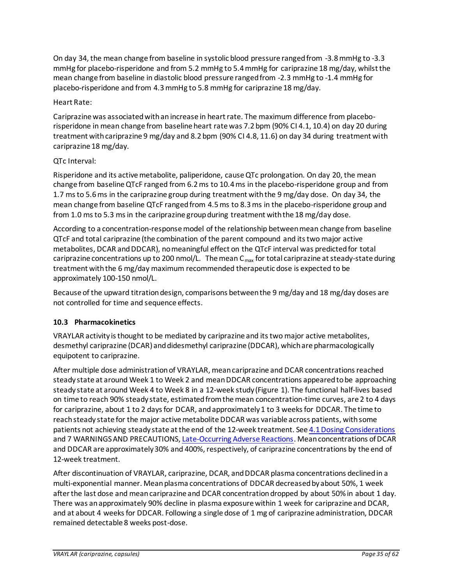On day 34, the mean change from baseline in systolic blood pressure ranged from -3.8 mmHg to -3.3 mmHg for placebo-risperidone and from 5.2 mmHg to 5.4 mmHg for cariprazine 18 mg/day, whilst the mean change from baseline in diastolic blood pressure ranged from -2.3 mmHg to -1.4 mmHg for placebo-risperidone and from 4.3 mmHg to 5.8 mmHg for cariprazine 18 mg/day.

# Heart Rate:

Cariprazine was associated with an increase in heart rate. The maximum difference from placeborisperidone in mean change from baseline heart rate was 7.2 bpm (90% CI 4.1, 10.4) on day 20 during treatment with cariprazine 9 mg/day and 8.2 bpm (90% CI 4.8, 11.6) on day 34 during treatment with cariprazine 18 mg/day.

# QTc Interval:

Risperidone and its active metabolite, paliperidone, cause QTc prolongation. On day 20, the mean change from baseline QTcF ranged from 6.2 ms to 10.4 ms in the placebo-risperidone group and from 1.7 ms to 5.6 ms in the cariprazine group during treatment with the 9 mg/day dose. On day 34, the mean change from baseline QTcF ranged from 4.5 ms to 8.3 ms in the placebo-risperidone group and from 1.0 ms to 5.3 ms in the cariprazine group during treatment with the 18 mg/day dose.

According to a concentration-response model of the relationship between mean change from baseline QTcF and total cariprazine (the combination of the parent compound and its two major active metabolites, DCAR and DDCAR), no meaningful effect on the QTcF interval was predicted for total cariprazine concentrations up to 200 nmol/L. The mean  $C_{\text{max}}$  for total cariprazine at steady-state during treatment with the 6 mg/day maximum recommended therapeutic dose is expected to be approximately 100-150 nmol/L.

Because of the upward titration design, comparisons between the 9 mg/day and 18 mg/day doses are not controlled for time and sequence effects.

## <span id="page-34-0"></span>**10.3 Pharmacokinetics**

VRAYLAR activity is thought to be mediated by cariprazine and its two major active metabolites, desmethyl cariprazine (DCAR) and didesmethyl cariprazine (DDCAR), which are pharmacologically equipotent to cariprazine.

After multiple dose administration of VRAYLAR, mean cariprazine and DCAR concentrations reached steady state at around Week 1 to Week 2 and mean DDCAR concentrations appeared to be approaching steady state at around Week 4 to Week 8 in a 12-week study [\(Figure 1\)](#page-35-0). The functional half-lives based on time to reach 90% steady state, estimated from the mean concentration-time curves, are 2 to 4 days for cariprazine, about 1 to 2 days for DCAR, and approximately 1 to 3 weeks for DDCAR. The time to reach steady state for the major active metabolite DDCAR was variable across patients, with some patients not achieving steady state at the end of the 12-week treatment. See [4.1 Dosing Considerations](#page-4-2) and 7 WARNINGS AND PRECAUTIONS, [Late-Occurring Adverse Reactions](#page-8-2). Mean concentrations of DCAR and DDCAR are approximately 30% and 400%, respectively, of cariprazine concentrations by the end of 12-week treatment.

After discontinuation of VRAYLAR, cariprazine, DCAR, and DDCAR plasma concentrations declined in a multi-exponential manner. Mean plasma concentrations of DDCAR decreased by about 50%, 1 week after the last dose and mean cariprazine and DCAR concentration dropped by about 50% in about 1 day. There was an approximately 90% decline in plasma exposure within 1 week for cariprazine and DCAR, and at about 4 weeks for DDCAR. Following a single dose of 1 mg of cariprazine administration, DDCAR remained detectable 8 weeks post-dose.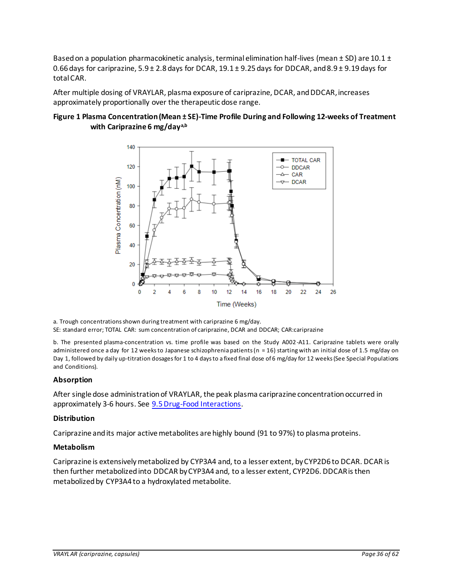Based on a population pharmacokinetic analysis, terminal elimination half-lives (mean  $\pm$  SD) are 10.1  $\pm$ 0.66 days for cariprazine, 5.9 ± 2.8 days for DCAR, 19.1 ± 9.25 days for DDCAR, and 8.9 ± 9.19 days for total CAR.

After multiple dosing of VRAYLAR, plasma exposure of cariprazine, DCAR, and DDCAR, increases approximately proportionally over the therapeutic dose range.

### <span id="page-35-0"></span>**Figure 1 Plasma Concentration (Mean ± SE)-Time Profile During and Following 12-weeks of Treatment with Cariprazine 6 mg/daya,b**



a. Trough concentrations shown during treatment with cariprazine 6 mg/day. SE: standard error; TOTAL CAR: sum concentration of cariprazine, DCAR and DDCAR; CAR:cariprazine

b. The presented plasma-concentration vs. time profile was based on the Study A002-A11. Cariprazine tablets were orally administered once a day for 12 weeks to Japanese schizophrenia patients (n = 16) starting with an initial dose of 1.5 mg/day on Day 1, followed by daily up-titration dosages for 1 to 4 days to a fixed final dose of 6 mg/day for 12 weeks (See Special Populations and Conditions).

### **Absorption**

After single dose administration of VRAYLAR, the peak plasma cariprazine concentration occurred in approximately 3-6 hours. See [9.5 Drug-Food Interactions.](#page-32-0)

### **Distribution**

Cariprazine and its major active metabolites are highly bound (91 to 97%) to plasma proteins.

### **Metabolism**

Cariprazine is extensively metabolized by CYP3A4 and, to a lesser extent, by CYP2D6 to DCAR. DCAR is then further metabolized into DDCAR by CYP3A4 and, to a lesser extent, CYP2D6. DDCAR is then metabolized by CYP3A4 to a hydroxylated metabolite.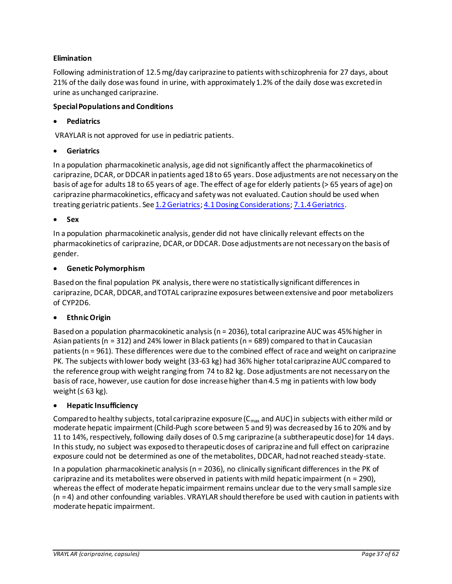## **Elimination**

Following administration of 12.5 mg/day cariprazine to patients with schizophrenia for 27 days, about 21% of the daily dose was found in urine, with approximately 1.2% of the daily dose was excreted in urine as unchanged cariprazine.

### **Special Populations and Conditions**

## • **Pediatrics**

VRAYLAR is not approved for use in pediatric patients.

## • **Geriatrics**

In a population pharmacokinetic analysis, age did not significantly affect the pharmacokinetics of cariprazine, DCAR, or DDCAR in patients aged 18 to 65 years. Dose adjustments are not necessary on the basis of age for adults 18 to 65 years of age. The effect of age for elderly patients (> 65 years of age) on cariprazine pharmacokinetics, efficacy and safety was not evaluated. Caution should be used when treating geriatric patients. See [1.2 Geriatrics](#page-3-3)[; 4.1Dosing Considerations](#page-4-2)[; 7.1.4 Geriatrics](#page-16-2).

### • **Sex**

In a population pharmacokinetic analysis, gender did not have clinically relevant effects on the pharmacokinetics of cariprazine, DCAR, or DDCAR. Dose adjustments are not necessary on the basis of gender.

## • **Genetic Polymorphism**

Based on the final population PK analysis, there were no statistically significant differences in cariprazine, DCAR, DDCAR, and TOTAL cariprazine exposures between extensive and poor metabolizers of CYP2D6.

## • **Ethnic Origin**

Based on a population pharmacokinetic analysis (n = 2036), total cariprazine AUC was 45% higher in Asian patients (n = 312) and 24% lower in Black patients (n = 689) compared to that in Caucasian patients (n = 961). These differences were due to the combined effect of race and weight on cariprazine PK. The subjects with lower body weight (33-63 kg) had 36% higher total cariprazine AUC compared to the reference group with weight ranging from 74 to 82 kg. Dose adjustments are not necessary on the basis of race, however, use caution for dose increase higher than 4.5 mg in patients with low body weight ( $\leq 63$  kg).

## • **Hepatic Insufficiency**

Compared to healthy subjects, total cariprazine exposure ( $C_{\text{max}}$  and AUC) in subjects with either mild or moderate hepatic impairment (Child-Pugh score between 5 and 9) was decreased by 16 to 20% and by 11 to 14%, respectively, following daily doses of 0.5 mg cariprazine (a subtherapeutic dose) for 14 days. In this study, no subject was exposed to therapeutic doses of cariprazine and full effect on cariprazine exposure could not be determined as one of the metabolites, DDCAR, had not reached steady-state.

In a population pharmacokinetic analysis (n = 2036), no clinically significant differences in the PK of cariprazine and its metabolites were observed in patients with mild hepatic impairment ( $n = 290$ ), whereas the effect of moderate hepatic impairment remains unclear due to the very small sample size (n = 4) and other confounding variables. VRAYLAR should therefore be used with caution in patients with moderate hepatic impairment.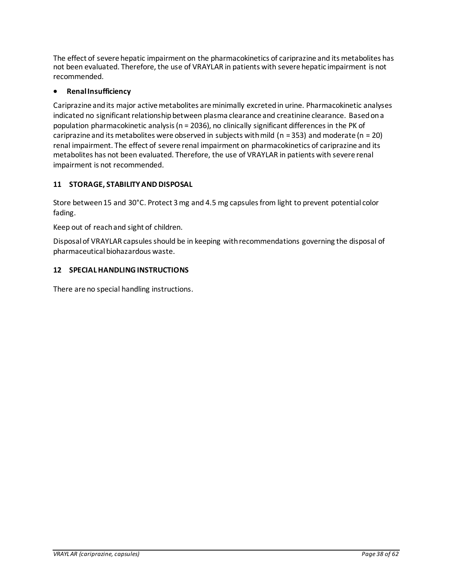The effect of severe hepatic impairment on the pharmacokinetics of cariprazine and its metabolites has not been evaluated. Therefore, the use of VRAYLAR in patients with severe hepatic impairment is not recommended.

## • **Renal Insufficiency**

Cariprazine and its major active metabolites are minimally excreted in urine. Pharmacokinetic analyses indicated no significant relationship between plasma clearance and creatinine clearance. Based on a population pharmacokinetic analysis (n = 2036), no clinically significant differences in the PK of cariprazine and its metabolites were observed in subjects with mild ( $n = 353$ ) and moderate ( $n = 20$ ) renal impairment. The effect of severe renal impairment on pharmacokinetics of cariprazine and its metabolites has not been evaluated. Therefore, the use of VRAYLAR in patients with severe renal impairment is not recommended.

# <span id="page-37-0"></span>**11 STORAGE, STABILITYAND DISPOSAL**

Store between 15 and 30°C. Protect 3 mg and 4.5 mg capsules from light to prevent potential color fading.

Keep out of reach and sight of children.

Disposal of VRAYLAR capsules should be in keeping with recommendations governing the disposal of pharmaceutical biohazardous waste.

## <span id="page-37-1"></span>**12 SPECIAL HANDLING INSTRUCTIONS**

There are no special handling instructions.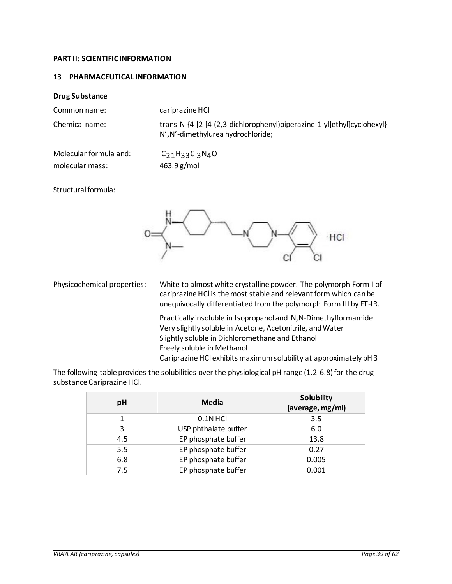### <span id="page-38-0"></span>**PART II: SCIENTIFIC INFORMATION**

### <span id="page-38-1"></span>**13 PHARMACEUTICAL INFORMATION**

### **Drug Substance**

Common name: cariprazine HCl

Chemical name: trans-N-{4-[2-[4-(2,3-dichlorophenyl)piperazine-1-yl]ethyl]cyclohexyl}- N',N'-dimethylurea hydrochloride;

Molecular formula and: C<sub>21</sub>H<sub>33</sub>Cl<sub>3</sub>N<sub>4</sub>O molecular mass: 463.9 g/mol

Structural formula:



Physicochemical properties: White to almost white crystalline powder. The polymorph Form I of cariprazine HCl is the most stable and relevant form which can be unequivocally differentiated from the polymorph Form III by FT-IR.

> Practically insoluble in Isopropanol and N,N-Dimethylformamide Very slightly soluble in Acetone, Acetonitrile, and Water Slightly soluble in Dichloromethane and Ethanol Freely soluble in Methanol Cariprazine HCl exhibits maximumsolubility at approximately pH 3

The following table provides the solubilities over the physiological pH range (1.2-6.8) for the drug substance Cariprazine HCl.

| рH  | Media                | <b>Solubility</b><br>(average, mg/ml) |
|-----|----------------------|---------------------------------------|
|     | $0.1N$ HCl           | 3.5                                   |
| 3   | USP phthalate buffer | 6.0                                   |
| 4.5 | EP phosphate buffer  | 13.8                                  |
| 5.5 | EP phosphate buffer  | 0.27                                  |
| 6.8 | EP phosphate buffer  | 0.005                                 |
| 7.5 | EP phosphate buffer  | 0.001                                 |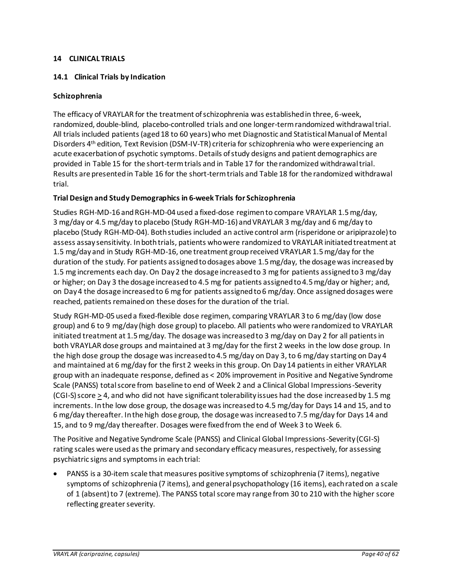## <span id="page-39-0"></span>**14 CLINICAL TRIALS**

## <span id="page-39-1"></span>**14.1 Clinical Trials by Indication**

## <span id="page-39-2"></span>**Schizophrenia**

The efficacy of VRAYLAR for the treatment of schizophrenia was established in three, 6-week, randomized, double-blind, placebo-controlled trials and one longer-term randomized withdrawal trial. All trialsincluded patients (aged 18 to 60 years) who met Diagnostic and Statistical Manual of Mental Disorders 4th edition, Text Revision (DSM-IV-TR) criteria for schizophrenia who were experiencing an acute exacerbation of psychotic symptoms. Details of study designs and patient demographics are provided in [Table 15](#page-40-0) for the short-term trials and i[n Table 17](#page-43-0) for the randomized withdrawal trial. Results are presented i[n Table 16](#page-41-0) for the short-term trials an[d Table 18](#page-43-1) for the randomized withdrawal trial.

### **Trial Design and Study Demographics in 6-week Trials for Schizophrenia**

Studies RGH-MD-16 and RGH-MD-04 used a fixed-dose regimen to compare VRAYLAR 1.5 mg/day, 3 mg/day or 4.5 mg/day to placebo (Study RGH-MD-16) and VRAYLAR 3 mg/day and 6 mg/day to placebo (Study RGH-MD-04). Both studies included an active control arm (risperidone or aripiprazole) to assess assay sensitivity. In bothtrials, patients who were randomized to VRAYLAR initiated treatment at 1.5 mg/day and in Study RGH-MD-16, one treatment group received VRAYLAR 1.5 mg/day for the duration of the study. For patients assigned to dosages above 1.5 mg/day, the dosage was increased by 1.5 mg increments each day. On Day 2 the dosage increased to 3 mg for patients assigned to 3 mg/day or higher; on Day 3 the dosage increased to 4.5 mg for patients assigned to 4.5 mg/day or higher; and, on Day4 the dosage increased to 6 mg for patients assigned to 6 mg/day. Once assigned dosages were reached, patients remained on these doses for the duration of the trial.

Study RGH-MD-05 used a fixed-flexible dose regimen, comparing VRAYLAR 3 to 6 mg/day (low dose group) and 6 to 9 mg/day (high dose group) to placebo. All patients who were randomized to VRAYLAR initiated treatment at 1.5 mg/day. The dosage was increased to 3 mg/day on Day 2 for all patients in both VRAYLAR dose groups and maintained at 3 mg/day for the first 2 weeks in the low dose group. In the high dose group the dosage was increased to 4.5 mg/day on Day 3, to 6 mg/day starting on Day 4 and maintained at 6 mg/day for the first 2 weeks in this group. On Day 14 patients in either VRAYLAR group with an inadequate response, defined as < 20% improvement in Positive and Negative Syndrome Scale (PANSS) total score from baseline to end of Week 2 and a Clinical Global Impressions-Severity (CGI-S) score  $\geq$  4, and who did not have significant tolerability issues had the dose increased by 1.5 mg increments. In the low dose group, the dosage was increased to 4.5 mg/day for Days 14 and 15, and to 6 mg/day thereafter. In the high dose group, the dosage was increased to 7.5 mg/day for Days 14 and 15, and to 9 mg/day thereafter. Dosages were fixed from the end of Week 3 to Week 6.

The Positive and Negative Syndrome Scale (PANSS) and Clinical Global Impressions-Severity (CGI-S) rating scales were used as the primary and secondary efficacy measures, respectively, for assessing psychiatric signs and symptoms in eachtrial:

• PANSS is a 30-item scale that measures positive symptoms of schizophrenia (7 items), negative symptoms of schizophrenia (7 items), and general psychopathology (16 items), each rated on a scale of 1 (absent) to 7 (extreme). The PANSS total score may range from 30 to 210 with the higher score reflecting greater severity.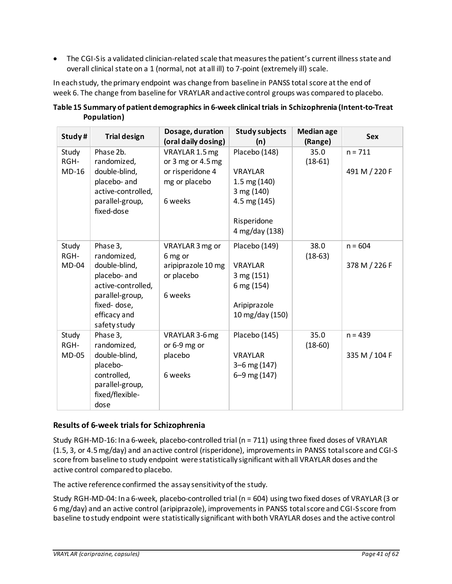• The CGI-S is a validated clinician-related scale that measures the patient's current illness state and overall clinical state on a 1 (normal, not at all ill) to 7-point (extremely ill) scale.

In each study, the primary endpoint was change from baseline in PANSS total score at the end of week 6. The change from baseline for VRAYLAR and active control groups was compared to placebo.

| Study#        | <b>Trial design</b>           | Dosage, duration<br>(oral daily dosing) | <b>Study subjects</b><br>(n) | <b>Median age</b><br>(Range) | Sex           |
|---------------|-------------------------------|-----------------------------------------|------------------------------|------------------------------|---------------|
| Study<br>RGH- | Phase 2b.<br>randomized,      | VRAYLAR 1.5 mg<br>or 3 mg or 4.5 mg     | Placebo (148)                | 35.0<br>$(18-61)$            | $n = 711$     |
| $MD-16$       | double-blind,                 | or risperidone 4                        | VRAYLAR                      |                              | 491 M / 220 F |
|               | placebo- and                  | mg or placebo                           | $1.5 \text{ mg} (140)$       |                              |               |
|               | active-controlled,            |                                         | 3 mg (140)                   |                              |               |
|               | parallel-group,<br>fixed-dose | 6 weeks                                 | 4.5 mg (145)                 |                              |               |
|               |                               |                                         | Risperidone                  |                              |               |
|               |                               |                                         | 4 mg/day (138)               |                              |               |
| Study         | Phase 3,                      | VRAYLAR 3 mg or                         | Placebo (149)                | 38.0                         | $n = 604$     |
| RGH-          | randomized,                   | 6 mg or                                 |                              | $(18-63)$                    |               |
| <b>MD-04</b>  | double-blind,                 | aripiprazole 10 mg                      | <b>VRAYLAR</b>               |                              | 378 M / 226 F |
|               | placebo- and                  | or placebo                              | 3 mg (151)                   |                              |               |
|               | active-controlled,            |                                         | 6 mg (154)                   |                              |               |
|               | parallel-group,               | 6 weeks                                 |                              |                              |               |
|               | fixed-dose,                   |                                         | Aripiprazole                 |                              |               |
|               | efficacy and<br>safety study  |                                         | 10 mg/day (150)              |                              |               |
| Study         | Phase 3,                      | VRAYLAR 3-6 mg                          | Placebo (145)                | 35.0                         | $n = 439$     |
| RGH-          | randomized,                   | or 6-9 mg or                            |                              | $(18-60)$                    |               |
| <b>MD-05</b>  | double-blind,                 | placebo                                 | <b>VRAYLAR</b>               |                              | 335 M / 104 F |
|               | placebo-                      |                                         | $3-6$ mg $(147)$             |                              |               |
|               | controlled,                   | 6 weeks                                 | 6-9 mg (147)                 |                              |               |
|               | parallel-group,               |                                         |                              |                              |               |
|               | fixed/flexible-               |                                         |                              |                              |               |
|               | dose                          |                                         |                              |                              |               |

<span id="page-40-0"></span>**Table 15 Summary of patient demographics in 6-week clinical trials in Schizophrenia (Intent-to-Treat Population)**

# **Results of 6-week trials for Schizophrenia**

Study RGH-MD-16: In a 6-week, placebo-controlled trial (n = 711) using three fixed doses of VRAYLAR (1.5, 3, or 4.5 mg/day) and an active control (risperidone), improvements in PANSS total score and CGI-S score from baseline to study endpoint were statistically significant withall VRAYLAR doses and the active control compared to placebo.

The active reference confirmed the assay sensitivity of the study.

Study RGH-MD-04: In a 6-week, placebo-controlled trial (n = 604) using two fixed doses of VRAYLAR (3 or 6 mg/day) and an active control (aripiprazole), improvements in PANSS total score and CGI-S score from baseline to study endpoint were statistically significant with both VRAYLAR doses and the active control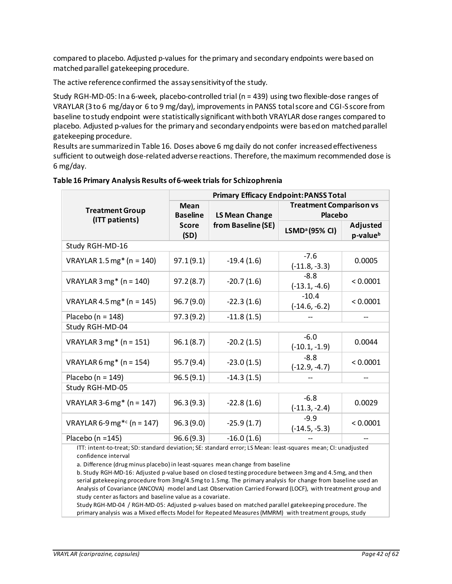compared to placebo. Adjusted p-values for the primary and secondary endpoints were based on matched parallel gatekeeping procedure.

The active reference confirmed the assay sensitivity of the study.

Study RGH-MD-05: In a 6-week, placebo-controlled trial (n = 439) using two flexible-dose ranges of VRAYLAR (3 to 6 mg/day or 6 to 9 mg/day), improvements in PANSS total score and CGI-S score from baseline to study endpoint were statistically significant with both VRAYLAR dose ranges compared to placebo. Adjusted p-values for the primary and secondary endpoints were based on matched parallel gatekeeping procedure.

Results are summarized in [Table 16.](#page-41-0) Doses above 6 mg daily do not confer increased effectiveness sufficient to outweigh dose-related adverse reactions. Therefore, the maximum recommended dose is 6 mg/day.

|                                          | <b>Primary Efficacy Endpoint: PANSS Total</b> |                |                                                  |                                  |  |
|------------------------------------------|-----------------------------------------------|----------------|--------------------------------------------------|----------------------------------|--|
| <b>Treatment Group</b><br>(ITT patients) | <b>Mean</b><br><b>Baseline</b>                | LS Mean Change | <b>Treatment Comparison vs</b><br><b>Placebo</b> |                                  |  |
|                                          | from Baseline (SE)<br><b>Score</b><br>(SD)    |                | LSMD <sup>a</sup> (95% CI)                       | Adjusted<br>p-value <sup>b</sup> |  |
| Study RGH-MD-16                          |                                               |                |                                                  |                                  |  |
| VRAYLAR 1.5 mg* ( $n = 140$ )            | 97.1(9.1)                                     | $-19.4(1.6)$   | $-7.6$<br>$(-11.8, -3.3)$                        | 0.0005                           |  |
| VRAYLAR $3 \text{ mg}^*$ (n = 140)       | 97.2(8.7)                                     | $-20.7(1.6)$   | $-8.8$<br>$(-13.1, -4.6)$                        | < 0.0001                         |  |
| VRAYLAR 4.5 mg* ( $n = 145$ )            | 96.7(9.0)                                     | $-22.3(1.6)$   | $-10.4$<br>$(-14.6, -6.2)$                       | < 0.0001                         |  |
| Placebo ( $n = 148$ )                    | 97.3(9.2)                                     | $-11.8(1.5)$   |                                                  |                                  |  |
| Study RGH-MD-04                          |                                               |                |                                                  |                                  |  |
| VRAYLAR $3 \text{ mg}^*$ (n = 151)       | 96.1(8.7)                                     | $-20.2(1.5)$   | $-6.0$<br>$(-10.1, -1.9)$                        | 0.0044                           |  |
| VRAYLAR 6 mg* ( $n = 154$ )              | 95.7(9.4)                                     | $-23.0(1.5)$   | $-8.8$<br>$(-12.9, -4.7)$                        | < 0.0001                         |  |
| Placebo ( $n = 149$ )                    | 96.5(9.1)                                     | $-14.3(1.5)$   |                                                  |                                  |  |
| Study RGH-MD-05                          |                                               |                |                                                  |                                  |  |
| VRAYLAR 3-6 mg* ( $n = 147$ )            | 96.3(9.3)                                     | $-22.8(1.6)$   | $-6.8$<br>$(-11.3, -2.4)$                        | 0.0029                           |  |
| VRAYLAR 6-9 mg <sup>*c</sup> (n = 147)   | 96.3(9.0)                                     | $-25.9(1.7)$   | $-9.9$<br>$(-14.5, -5.3)$                        | < 0.0001                         |  |
| Placebo ( $n = 145$ )                    | 96.6(9.3)                                     | $-16.0(1.6)$   |                                                  |                                  |  |

### <span id="page-41-0"></span>**Table 16 Primary Analysis Results of 6-week trials for Schizophrenia**

ITT: intent-to-treat; SD: standard deviation; SE: standard error; LS Mean: least-squares mean; CI: unadjusted confidence interval

a. Difference (drug minus placebo) in least-squares mean change from baseline

b. Study RGH-MD-16: Adjusted p-value based on closed testing procedure between 3mg and 4.5mg, and then serial gatekeeping procedure from 3mg/4.5mg to 1.5mg. The primary analysis for change from baseline used an Analysis of Covariance (ANCOVA) model and Last Observation Carried Forward (LOCF), with treatment group and study center as factors and baseline value as a covariate.

Study RGH-MD-04 / RGH-MD-05: Adjusted p-values based on matched parallel gatekeeping procedure. The primary analysis was a Mixed effects Model for Repeated Measures (MMRM) with treatment groups, study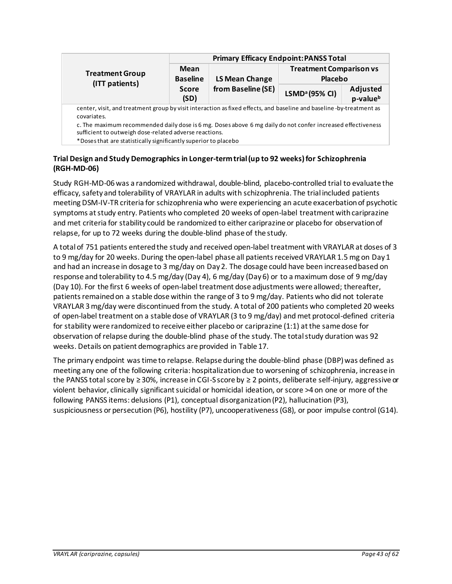|                                                                                                                                                                                                                                          |                                                                                                                     | <b>Primary Efficacy Endpoint: PANSS Total</b> |                                           |                                  |  |  |
|------------------------------------------------------------------------------------------------------------------------------------------------------------------------------------------------------------------------------------------|---------------------------------------------------------------------------------------------------------------------|-----------------------------------------------|-------------------------------------------|----------------------------------|--|--|
| <b>Treatment Group</b><br>(ITT patients)                                                                                                                                                                                                 | Mean<br><b>Baseline</b>                                                                                             | LS Mean Change                                | <b>Treatment Comparison vs</b><br>Placebo |                                  |  |  |
|                                                                                                                                                                                                                                          | <b>Score</b><br>(SD)                                                                                                | from Baseline (SE)                            | LSMD <sup>a</sup> (95% CI)                | Adjusted<br>p-value <sup>b</sup> |  |  |
| covariates.                                                                                                                                                                                                                              | center, visit, and treatment group by visit interaction as fixed effects, and baseline and baseline-by-treatment as |                                               |                                           |                                  |  |  |
| c. The maximum recommended daily dose is 6 mg. Doses above 6 mg daily do not confer increased effectiveness<br>sufficient to outweigh dose-related adverse reactions.<br>*Doses that are statistically significantly superior to placebo |                                                                                                                     |                                               |                                           |                                  |  |  |

## **Trial Design and Study Demographics in Longer-term trial (up to 92 weeks)for Schizophrenia (RGH-MD-06)**

Study RGH-MD-06was a randomized withdrawal, double-blind, placebo-controlled trial to evaluate the efficacy, safety and tolerability of VRAYLAR in adults with schizophrenia. The trial included patients meeting DSM-IV-TR criteria for schizophrenia who were experiencing an acute exacerbation of psychotic symptoms at study entry. Patients who completed 20 weeks of open-label treatment with cariprazine and met criteria for stability could be randomized to either cariprazine or placebo for observation of relapse, for up to 72 weeks during the double-blind phase of the study.

A total of 751 patients entered the study and received open-label treatment with VRAYLAR at doses of 3 to 9 mg/day for 20 weeks. During the open-label phase all patients received VRAYLAR 1.5 mg on Day 1 and had an increase in dosage to 3 mg/day on Day 2. The dosage could have been increased based on response and tolerability to 4.5 mg/day (Day 4), 6 mg/day (Day 6) or to a maximum dose of 9 mg/day (Day 10). For the first 6 weeks of open-label treatment dose adjustments were allowed; thereafter, patients remained on a stable dose within the range of 3 to 9 mg/day. Patients who did not tolerate VRAYLAR 3 mg/day were discontinued from the study. A total of 200 patients who completed 20 weeks of open-label treatment on a stable dose of VRAYLAR (3 to 9 mg/day) and met protocol-defined criteria for stability were randomized to receive either placebo or cariprazine (1:1) at the same dose for observation of relapse during the double-blind phase of the study. The total study duration was 92 weeks. Details on patient demographics are provided in [Table 17.](#page-43-0)

The primary endpoint was time to relapse. Relapse during the double-blind phase (DBP) was defined as meeting any one of the following criteria: hospitalization due to worsening of schizophrenia, increase in the PANSS total score by ≥ 30%, increase in CGI-S score by ≥ 2 points, deliberate self-injury, aggressive or violent behavior, clinically significant suicidal or homicidal ideation, or score >4 on one or more of the following PANSS items: delusions (P1), conceptual disorganization (P2), hallucination (P3), suspiciousness or persecution (P6), hostility (P7), uncooperativeness (G8), or poor impulse control (G14).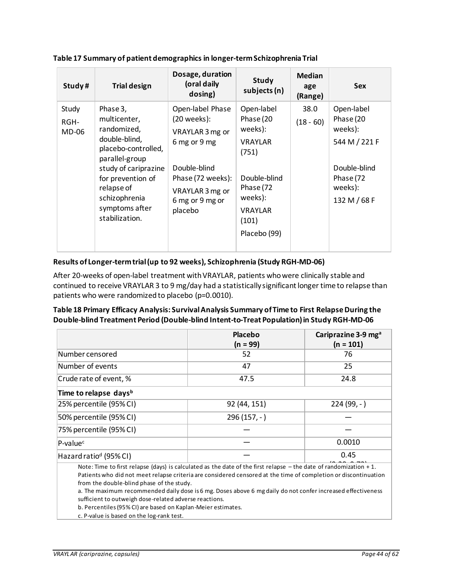<span id="page-43-0"></span>

| Study#                 | <b>Trial design</b>                                                                                                                                                                                               | Dosage, duration<br>(oral daily<br>dosing)                                                                                                                 | Study<br>subjects (n)                                                                                                                            | <b>Median</b><br>age<br>(Range) | <b>Sex</b>                                                                                                  |
|------------------------|-------------------------------------------------------------------------------------------------------------------------------------------------------------------------------------------------------------------|------------------------------------------------------------------------------------------------------------------------------------------------------------|--------------------------------------------------------------------------------------------------------------------------------------------------|---------------------------------|-------------------------------------------------------------------------------------------------------------|
| Study<br>RGH-<br>MD-06 | Phase 3,<br>multicenter,<br>randomized,<br>double-blind,<br>placebo-controlled,<br>parallel-group<br>study of cariprazine<br>for prevention of<br>relapse of<br>schizophrenia<br>symptoms after<br>stabilization. | Open-label Phase<br>$(20$ weeks):<br>VRAYLAR 3 mg or<br>6 mg or 9 mg<br>Double-blind<br>Phase (72 weeks):<br>VRAYLAR 3 mg or<br>6 mg or 9 mg or<br>placebo | Open-label<br>Phase (20<br>weeks):<br><b>VRAYLAR</b><br>(751)<br>Double-blind<br>Phase (72<br>weeks):<br><b>VRAYLAR</b><br>(101)<br>Placebo (99) | 38.0<br>$(18 - 60)$             | Open-label<br>Phase (20<br>weeks):<br>544 M / 221 F<br>Double-blind<br>Phase (72<br>weeks):<br>132 M / 68 F |

## **Results of Longer-termtrial (up to 92 weeks), Schizophrenia (Study RGH-MD-06)**

After 20-weeks of open-label treatment with VRAYLAR, patients who were clinically stable and continued to receive VRAYLAR 3 to 9 mg/day had a statistically significant longer time to relapse than patients who were randomized to placebo (p=0.0010).

## <span id="page-43-1"></span>**Table 18 Primary Efficacy Analysis: Survival Analysis Summary of Time to First Relapse During the Double-blind Treatment Period (Double-blind Intent-to-Treat Population) in Study RGH-MD-06**

|                                                                                                                                                                                                                                                                                      | Placebo      | Cariprazine 3-9 mg <sup>a</sup> |  |  |  |
|--------------------------------------------------------------------------------------------------------------------------------------------------------------------------------------------------------------------------------------------------------------------------------------|--------------|---------------------------------|--|--|--|
|                                                                                                                                                                                                                                                                                      | $(n = 99)$   | $(n = 101)$                     |  |  |  |
| Number censored                                                                                                                                                                                                                                                                      | 52           | 76                              |  |  |  |
| Number of events                                                                                                                                                                                                                                                                     | 47           | 25                              |  |  |  |
| Crude rate of event, %                                                                                                                                                                                                                                                               | 47.5         | 24.8                            |  |  |  |
| Time to relapse days <sup>b</sup>                                                                                                                                                                                                                                                    |              |                                 |  |  |  |
| 25% percentile (95% CI)                                                                                                                                                                                                                                                              | 92 (44, 151) | $224(99,-)$                     |  |  |  |
| 50% percentile (95% CI)                                                                                                                                                                                                                                                              | $296(157,-)$ |                                 |  |  |  |
| 75% percentile (95% CI)                                                                                                                                                                                                                                                              |              |                                 |  |  |  |
| P-value <sup>c</sup>                                                                                                                                                                                                                                                                 |              | 0.0010                          |  |  |  |
| Hazard ratio <sup>d</sup> (95% CI)                                                                                                                                                                                                                                                   |              | 0.45                            |  |  |  |
| Note: Time to first relapse (days) is calculated as the date of the first relapse $-$ the date of randomization + 1.<br>Patients who did not meet relapse criteria are considered censored at the time of completion or discontinuation<br>from the double-blind phase of the study. |              |                                 |  |  |  |

a. The maximum recommended daily dose is 6 mg. Doses above 6 mg daily do not confer increased effectiveness sufficient to outweigh dose-related adverse reactions.

b. Percentiles (95% CI) are based on Kaplan-Meier estimates.

c. P-value is based on the log-rank test.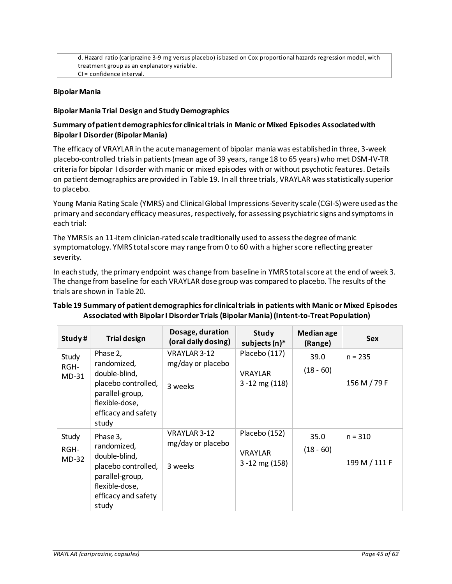d. Hazard ratio (cariprazine 3-9 mg versus placebo) is based on Cox proportional hazards regression model, with treatment group as an explanatory variable. CI = confidence interval.

### <span id="page-44-0"></span>**Bipolar Mania**

### **Bipolar Mania Trial Design and Study Demographics**

### **Summary of patient demographics for clinical trials in Manic or Mixed Episodes Associated with Bipolar I Disorder(Bipolar Mania)**

The efficacy of VRAYLAR in the acute management of bipolar mania was established in three, 3-week placebo-controlled trials in patients (mean age of 39 years, range 18 to 65 years) who met DSM-IV-TR criteria for bipolar I disorder with manic or mixed episodes with or without psychotic features. Details on patient demographics are provided in [Table 19.](#page-44-1) In all three trials, VRAYLAR was statistically superior to placebo.

Young Mania Rating Scale (YMRS) and Clinical Global Impressions-Severity scale (CGI-S) were used as the primary and secondary efficacy measures, respectively, for assessing psychiatric signs and symptoms in each trial:

The YMRS is an 11-item clinician-rated scale traditionally used to assess the degree of manic symptomatology. YMRS total score may range from 0 to 60 with a higher score reflecting greater severity.

In each study, the primary endpoint was change from baseline in YMRS total score at the end of week 3. The change from baseline for each VRAYLAR dose group was compared to placebo. The results of the trials are shown in [Table 20.](#page-45-0)

## <span id="page-44-1"></span>**Table 19 Summary of patient demographics for clinical trials in patients with Manic or Mixed Episodes Associated with Bipolar I Disorder Trials (Bipolar Mania)(Intent-to-Treat Population)**

| Study#                   | <b>Trial design</b>                                                                                                                  | Dosage, duration<br>(oral daily dosing)      | Study<br>subjects (n)*                                 | <b>Median age</b><br>(Range) | <b>Sex</b>                 |
|--------------------------|--------------------------------------------------------------------------------------------------------------------------------------|----------------------------------------------|--------------------------------------------------------|------------------------------|----------------------------|
| Study<br>RGH-<br>$MD-31$ | Phase 2,<br>randomized,<br>double-blind,<br>placebo controlled,<br>parallel-group,<br>flexible-dose,<br>efficacy and safety<br>study | VRAYLAR 3-12<br>mg/day or placebo<br>3 weeks | Placebo (117)<br><b>VRAYLAR</b><br>$3 - 12$ mg $(118)$ | 39.0<br>$(18 - 60)$          | $n = 235$<br>156 M / 79 F  |
| Study<br>RGH-<br>$MD-32$ | Phase 3,<br>randomized,<br>double-blind,<br>placebo controlled,<br>parallel-group,<br>flexible-dose,<br>efficacy and safety<br>study | VRAYLAR 3-12<br>mg/day or placebo<br>3 weeks | Placebo (152)<br><b>VRAYLAR</b><br>$3 - 12$ mg (158)   | 35.0<br>$(18 - 60)$          | $n = 310$<br>199 M / 111 F |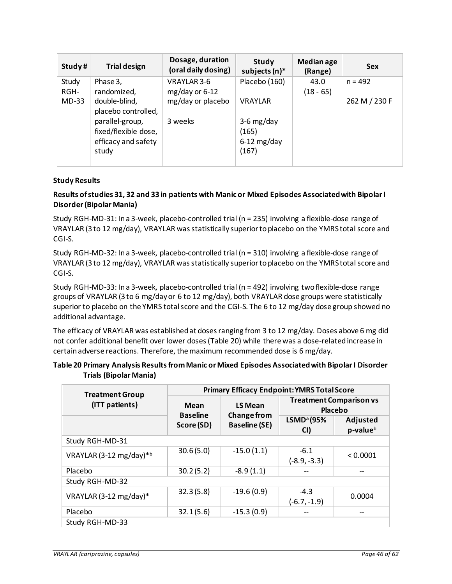| Study#  | <b>Trial design</b>  | Dosage, duration<br>(oral daily dosing) | Study<br>subjects (n)* | <b>Median age</b><br>(Range) | <b>Sex</b>    |
|---------|----------------------|-----------------------------------------|------------------------|------------------------------|---------------|
| Study   | Phase 3,             | VRAYLAR 3-6                             | Placebo (160)          | 43.0                         | $n = 492$     |
| RGH-    | randomized,          | $mg/day$ or 6-12                        |                        | $(18 - 65)$                  |               |
| $MD-33$ | double-blind,        | mg/day or placebo                       | <b>VRAYLAR</b>         |                              | 262 M / 230 F |
|         | placebo controlled,  |                                         |                        |                              |               |
|         | parallel-group,      | 3 weeks                                 | $3-6$ mg/day           |                              |               |
|         | fixed/flexible dose, |                                         | (165)                  |                              |               |
|         | efficacy and safety  |                                         | $6-12$ mg/day          |                              |               |
|         | study                |                                         | (167)                  |                              |               |
|         |                      |                                         |                        |                              |               |

## **Study Results**

## **Results of studies 31, 32 and 33 in patients with Manic or Mixed Episodes Associated with Bipolar I Disorder(Bipolar Mania)**

Study RGH-MD-31: In a 3-week, placebo-controlled trial (n = 235) involving a flexible-dose range of VRAYLAR (3 to 12 mg/day), VRAYLAR was statistically superior to placebo on the YMRS total score and CGI-S.

Study RGH-MD-32: In a 3-week, placebo-controlled trial (n = 310) involving a flexible-dose range of VRAYLAR (3 to 12 mg/day), VRAYLAR was statistically superior to placebo on the YMRS total score and CGI-S.

Study RGH-MD-33: In a 3-week, placebo-controlled trial (n = 492) involving two flexible-dose range groups of VRAYLAR (3 to 6 mg/day or 6 to 12 mg/day), both VRAYLAR dose groups were statistically superior to placebo on the YMRS total score and the CGI-S. The 6 to 12 mg/day dose group showed no additional advantage.

The efficacy of VRAYLAR was established at doses ranging from 3 to 12 mg/day. Doses above 6 mg did not confer additional benefit over lower doses [\(Table 20\)](#page-45-0) while there was a dose-related increase in certain adverse reactions. Therefore, the maximum recommended dose is 6 mg/day.

## <span id="page-45-0"></span>**Table 20 Primary Analysis Results from Manic or Mixed Episodes Associated with Bipolar I Disorder Trials (Bipolar Mania)**

| <b>Treatment Group</b>  | <b>Primary Efficacy Endpoint: YMRS Total Score</b>                          |                |                                           |                                  |  |
|-------------------------|-----------------------------------------------------------------------------|----------------|-------------------------------------------|----------------------------------|--|
| (ITT patients)          | Mean                                                                        | <b>LS Mean</b> | <b>Treatment Comparison vs</b><br>Placebo |                                  |  |
|                         | <b>Change from</b><br><b>Baseline</b><br><b>Baseline (SE)</b><br>Score (SD) |                | LSMD <sup>a</sup> (95%<br>CI)             | Adjusted<br>p-value <sup>b</sup> |  |
| Study RGH-MD-31         |                                                                             |                |                                           |                                  |  |
| VRAYLAR (3-12 mg/day)*b | 30.6(5.0)                                                                   | $-15.0(1.1)$   | $-6.1$<br>$(-8.9, -3.3)$                  | < 0.0001                         |  |
| Placebo                 | 30.2(5.2)                                                                   | $-8.9(1.1)$    |                                           | --                               |  |
| Study RGH-MD-32         |                                                                             |                |                                           |                                  |  |
| VRAYLAR (3-12 mg/day)*  | 32.3(5.8)                                                                   | $-19.6(0.9)$   | $-4.3$<br>$(-6.7, -1.9)$                  | 0.0004                           |  |
| Placebo                 | 32.1(5.6)                                                                   | $-15.3(0.9)$   |                                           | --                               |  |
| Study RGH-MD-33         |                                                                             |                |                                           |                                  |  |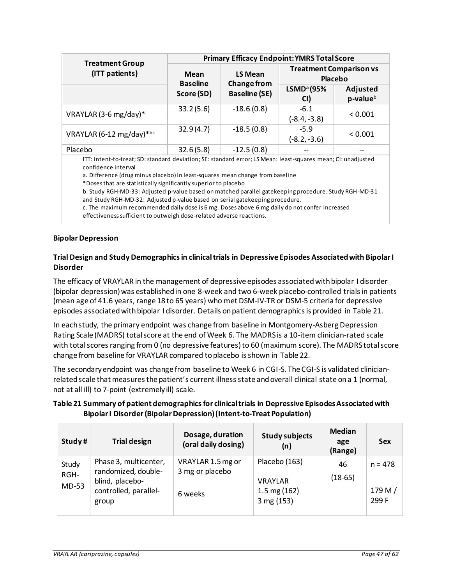|                                          | <b>Primary Efficacy Endpoint: YMRS Total Score</b> |                               |                                           |                                  |  |
|------------------------------------------|----------------------------------------------------|-------------------------------|-------------------------------------------|----------------------------------|--|
| <b>Treatment Group</b><br>(ITT patients) | <b>Mean</b><br><b>Baseline</b>                     | LS Mean<br><b>Change from</b> | <b>Treatment Comparison vs</b><br>Placebo |                                  |  |
|                                          | <b>Baseline (SE)</b><br>Score (SD)                 |                               | LSMD <sup>a</sup> (95%<br>CI)             | Adjusted<br>p-value <sup>b</sup> |  |
| VRAYLAR (3-6 mg/day)*                    | 33.2(5.6)                                          | $-18.6(0.8)$                  | $-6.1$<br>$(-8.4, -3.8)$                  | < 0.001                          |  |
| VRAYLAR (6-12 mg/day)*bc                 | 32.9(4.7)                                          | $-18.5(0.8)$                  | $-5.9$<br>$(-8.2, -3.6)$                  | < 0.001                          |  |
| Placebo                                  | 32.6(5.8)                                          | $-12.5(0.8)$                  |                                           | --                               |  |

ITT: intent-to-treat; SD: standard deviation; SE: standard error; LS Mean: least-squares mean; CI: unadjusted confidence interval

a. Difference (drug minus placebo) in least-squares mean change from baseline

\*Doses that are statistically significantly superior to placebo

b. Study RGH-MD-33: Adjusted p-value based on matched parallel gatekeeping procedure. Study RGH-MD-31 and Study RGH-MD-32: Adjusted p-value based on serial gatekeeping procedure.

c. The maximum recommended daily dose is 6 mg. Doses above 6 mg daily do not confer increased effectiveness sufficient to outweigh dose-related adverse reactions.

### <span id="page-46-0"></span>**Bipolar Depression**

## **Trial Design and Study Demographics in clinical trials in Depressive Episodes Associated with Bipolar I Disorder**

The efficacy of VRAYLAR in the management of depressive episodes associated with bipolar I disorder (bipolar depression) was established in one 8-week and two 6-week placebo-controlled trials in patients (mean age of 41.6 years, range 18 to 65 years) who met DSM-IV-TR or DSM-5 criteria for depressive episodes associated with bipolar I disorder. Details on patient demographics is provided i[n Table 21.](#page-46-1)

In each study, the primary endpoint was change from baseline in Montgomery-Asberg Depression Rating Scale (MADRS) total score at the end of Week 6. The MADRS is a 10-item clinician-rated scale with total scores ranging from 0 (no depressive features) to 60 (maximum score). The MADRS total score change from baseline for VRAYLAR compared to placebo is shown in [Table 22.](#page-48-2)

The secondary endpoint was change from baseline to Week 6 in CGI-S. The CGI-S is validated clinicianrelated scale that measures the patient's current illness state and overall clinical state on a 1 (normal, not at all ill) to 7-point (extremely ill) scale.

# <span id="page-46-1"></span>**Table 21 Summary of patient demographics for clinical trials in Depressive Episodes Associated with Bipolar I Disorder (Bipolar Depression) (Intent-to-Treat Population)**

| Study#                 | <b>Trial design</b>                                                                               | Dosage, duration<br>(oral daily dosing)         | <b>Study subjects</b><br>(n)                                            | <b>Median</b><br>age<br>(Range) | <b>Sex</b>                   |
|------------------------|---------------------------------------------------------------------------------------------------|-------------------------------------------------|-------------------------------------------------------------------------|---------------------------------|------------------------------|
| Study<br>RGH-<br>MD-53 | Phase 3, multicenter,<br>randomized, double-<br>blind, placebo-<br>controlled, parallel-<br>group | VRAYLAR 1.5 mg or<br>3 mg or placebo<br>6 weeks | Placebo (163)<br><b>VRAYLAR</b><br>$1.5 \text{ mg} (162)$<br>3 mg (153) | 46<br>$(18-65)$                 | $n = 478$<br>179 M/<br>299 F |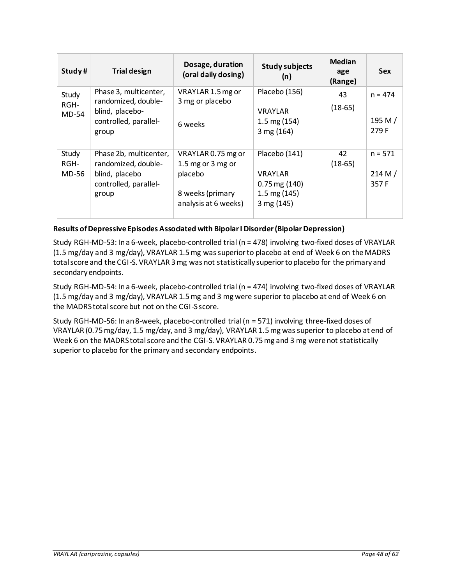| Study#                 | <b>Trial design</b>                                                                               | Dosage, duration<br>(oral daily dosing)                                                        | <b>Study subjects</b><br>(n)                                                                 | <b>Median</b><br>age<br>(Range) | <b>Sex</b>                      |
|------------------------|---------------------------------------------------------------------------------------------------|------------------------------------------------------------------------------------------------|----------------------------------------------------------------------------------------------|---------------------------------|---------------------------------|
| Study<br>RGH-<br>MD-54 | Phase 3, multicenter,<br>randomized, double-<br>blind, placebo-<br>controlled, parallel-<br>group | VRAYLAR 1.5 mg or<br>3 mg or placebo<br>6 weeks                                                | Placebo (156)<br><b>VRAYLAR</b><br>$1.5 \text{ mg} (154)$<br>3 mg (164)                      | 43<br>$(18-65)$                 | $n = 474$<br>195 M/<br>279 F    |
| Study<br>RGH-<br>MD-56 | Phase 2b, multicenter,<br>randomized, double-<br>blind, placebo<br>controlled, parallel-<br>group | VRAYLAR 0.75 mg or<br>1.5 mg or 3 mg or<br>placebo<br>8 weeks (primary<br>analysis at 6 weeks) | Placebo (141)<br><b>VRAYLAR</b><br>$0.75$ mg $(140)$<br>$1.5 \text{ mg} (145)$<br>3 mg (145) | 42<br>$(18-65)$                 | $n = 571$<br>214 M $/$<br>357 F |

# **Results of Depressive Episodes Associated with Bipolar I Disorder (Bipolar Depression)**

Study RGH-MD-53: In a 6-week, placebo-controlled trial (n = 478) involving two-fixed doses of VRAYLAR (1.5 mg/day and 3 mg/day), VRAYLAR 1.5 mg was superior to placebo at end of Week 6 on the MADRS total score and the CGI-S. VRAYLAR 3 mg was not statistically superior to placebo for the primary and secondary endpoints.

Study RGH-MD-54: In a 6-week, placebo-controlled trial (n = 474) involving two-fixed doses of VRAYLAR (1.5 mg/day and 3 mg/day), VRAYLAR 1.5 mg and 3 mg were superior to placebo at end of Week 6 on the MADRS total score but not on the CGI-S score.

Study RGH-MD-56: In an 8-week, placebo-controlled trial (n = 571) involving three-fixed doses of VRAYLAR (0.75 mg/day, 1.5 mg/day, and 3 mg/day), VRAYLAR 1.5 mg was superior to placebo at end of Week 6 on the MADRS total score and the CGI-S. VRAYLAR 0.75 mg and 3 mg were not statistically superior to placebo for the primary and secondary endpoints.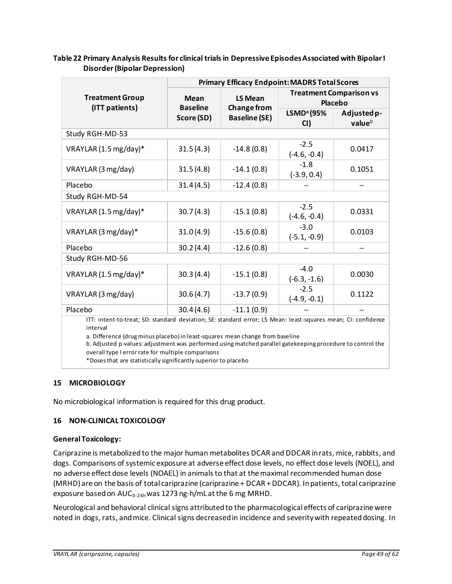|                                                                                                                                                                                                                                                                                                                                                                                                                                                   | <b>Primary Efficacy Endpoint: MADRS Total Scores</b> |                                      |                                                  |                       |
|---------------------------------------------------------------------------------------------------------------------------------------------------------------------------------------------------------------------------------------------------------------------------------------------------------------------------------------------------------------------------------------------------------------------------------------------------|------------------------------------------------------|--------------------------------------|--------------------------------------------------|-----------------------|
| <b>Treatment Group</b><br>(ITT patients)                                                                                                                                                                                                                                                                                                                                                                                                          | <b>Mean</b><br><b>Baseline</b>                       | <b>LS Mean</b><br><b>Change from</b> | <b>Treatment Comparison vs</b><br><b>Placebo</b> |                       |
|                                                                                                                                                                                                                                                                                                                                                                                                                                                   | Score (SD)                                           | <b>Baseline (SE)</b>                 | LSMD <sup>a</sup> (95%<br>CI)                    | Adjusted p-<br>valueb |
| Study RGH-MD-53                                                                                                                                                                                                                                                                                                                                                                                                                                   |                                                      |                                      |                                                  |                       |
| VRAYLAR (1.5 mg/day)*                                                                                                                                                                                                                                                                                                                                                                                                                             | 31.5(4.3)                                            | $-14.8(0.8)$                         | $-2.5$<br>$(-4.6, -0.4)$                         | 0.0417                |
| VRAYLAR (3 mg/day)                                                                                                                                                                                                                                                                                                                                                                                                                                | 31.5(4.8)                                            | $-14.1(0.8)$                         | $-1.8$<br>$(-3.9, 0.4)$                          | 0.1051                |
| Placebo                                                                                                                                                                                                                                                                                                                                                                                                                                           | 31.4(4.5)                                            | $-12.4(0.8)$                         |                                                  | --                    |
| Study RGH-MD-54                                                                                                                                                                                                                                                                                                                                                                                                                                   |                                                      |                                      |                                                  |                       |
| VRAYLAR (1.5 mg/day)*                                                                                                                                                                                                                                                                                                                                                                                                                             | 30.7(4.3)                                            | $-15.1(0.8)$                         | $-2.5$<br>$(-4.6, -0.4)$                         | 0.0331                |
| VRAYLAR (3 mg/day)*                                                                                                                                                                                                                                                                                                                                                                                                                               | 31.0(4.9)                                            | $-15.6(0.8)$                         | $-3.0$<br>$(-5.1, -0.9)$                         | 0.0103                |
| Placebo                                                                                                                                                                                                                                                                                                                                                                                                                                           | 30.2(4.4)                                            | $-12.6(0.8)$                         |                                                  |                       |
| Study RGH-MD-56                                                                                                                                                                                                                                                                                                                                                                                                                                   |                                                      |                                      |                                                  |                       |
| VRAYLAR (1.5 mg/day)*                                                                                                                                                                                                                                                                                                                                                                                                                             | 30.3(4.4)                                            | $-15.1(0.8)$                         | $-4.0$<br>$(-6.3, -1.6)$                         | 0.0030                |
| VRAYLAR (3 mg/day)                                                                                                                                                                                                                                                                                                                                                                                                                                | 30.6(4.7)                                            | $-13.7(0.9)$                         | $-2.5$<br>$(-4.9, -0.1)$                         | 0.1122                |
| Placebo                                                                                                                                                                                                                                                                                                                                                                                                                                           | 30.4(4.6)                                            | $-11.1(0.9)$                         |                                                  |                       |
| ITT: intent-to-treat; SD: standard deviation; SE: standard error; LS Mean: least-squares mean; CI: confidence<br>interval<br>a. Difference (drug minus placebo) in least-squares mean change from baseline<br>b. Adjusted p-values: adjustment was performed using matched parallel gatekeeping procedure to control the<br>overall type I error rate for multiple comparisons<br>*Doses that are statistically significantly superior to placebo |                                                      |                                      |                                                  |                       |

## <span id="page-48-2"></span>**Table 22 Primary Analysis Results for clinical trials in Depressive Episodes Associated with Bipolar I Disorder (Bipolar Depression)**

## <span id="page-48-0"></span>**15 MICROBIOLOGY**

No microbiological information is required for this drug product.

## <span id="page-48-1"></span>**16 NON-CLINICAL TOXICOLOGY**

### **General Toxicology:**

Cariprazine is metabolized to the major human metabolites DCAR and DDCAR in rats, mice, rabbits, and dogs. Comparisons of systemic exposure at adverse effect dose levels, no effect dose levels (NOEL), and no adverse effect dose levels (NOAEL) in animals to that at the maximal recommended human dose (MRHD) are on the basis of total cariprazine (cariprazine + DCAR + DDCAR). In patients, total cariprazine exposure based on  $AUC_{0-24h}$  was 1273 ng $\cdot$ h/mL at the 6 mg MRHD.

Neurological and behavioral clinical signs attributed to the pharmacological effects of cariprazine were noted in dogs, rats, and mice. Clinical signs decreased in incidence and severity with repeated dosing. In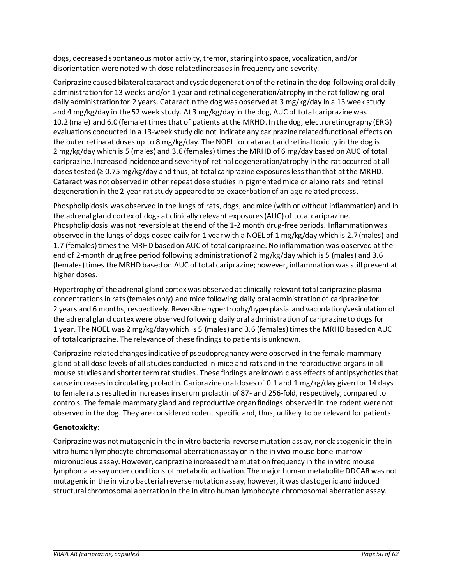dogs, decreased spontaneous motor activity, tremor, staring into space, vocalization, and/or disorientation were noted with dose related increases in frequency and severity.

Cariprazine caused bilateral cataract and cystic degeneration of the retina in the dog following oral daily administration for 13 weeks and/or 1 year and retinal degeneration/atrophy in the rat following oral daily administration for 2 years. Cataract in the dog was observed at 3 mg/kg/day in a 13 week study and 4 mg/kg/day in the 52 week study. At 3 mg/kg/day in the dog, AUC of total cariprazine was 10.2 (male) and 6.0 (female) times that of patients at the MRHD. In the dog, electroretinography (ERG) evaluations conducted in a 13-week study did not indicate any cariprazine related functional effects on the outer retina at doses up to 8 mg/kg/day. The NOEL for cataract and retinal toxicity in the dog is 2 mg/kg/day which is 5 (males) and 3.6 (females) times the MRHD of 6 mg/day based on AUC of total cariprazine. Increased incidence and severity of retinal degeneration/atrophy in the rat occurred at all doses tested ( $\geq 0.75$  mg/kg/day and thus, at total cariprazine exposures less than that at the MRHD. Cataract was not observed in other repeat dose studies in pigmented mice or albino rats and retinal degeneration in the 2-year rat study appeared to be exacerbation of an age-related process.

Phospholipidosis was observed in the lungs of rats, dogs, and mice (with or without inflammation) and in the adrenal gland cortex of dogs at clinically relevant exposures (AUC) of total cariprazine. Phospholipidosis was not reversible at the end of the 1-2 month drug-free periods. Inflammation was observed in the lungs of dogs dosed daily for 1 year with a NOEL of 1 mg/kg/day which is 2.7 (males) and 1.7 (females) times the MRHD based on AUC of total cariprazine. No inflammation was observed at the end of 2-month drug free period following administration of 2 mg/kg/day which is 5 (males) and 3.6 (females) times the MRHD based on AUC of total cariprazine; however, inflammation was still present at higher doses.

Hypertrophy of the adrenal gland cortex was observed at clinically relevant total cariprazine plasma concentrations in rats (females only) and mice following daily oral administration of cariprazine for 2 years and 6 months, respectively. Reversible hypertrophy/hyperplasia and vacuolation/vesiculation of the adrenal gland cortex were observed following daily oral administration of cariprazine to dogs for 1 year. The NOEL was 2 mg/kg/day which is 5 (males) and 3.6 (females) times the MRHD based on AUC of total cariprazine. The relevance of these findings to patients is unknown.

Cariprazine-related changes indicative of pseudopregnancy were observed in the female mammary gland at all dose levels of all studies conducted in mice and rats and in the reproductive organs in all mouse studies and shorter term rat studies. These findings are known class effects of antipsychotics that cause increases in circulating prolactin. Cariprazine oral doses of 0.1 and 1 mg/kg/day given for 14 days to female rats resulted in increases in serum prolactin of 87- and 256-fold, respectively, compared to controls. The female mammary gland and reproductive organ findings observed in the rodent were not observed in the dog. They are considered rodent specific and, thus, unlikely to be relevant for patients.

## **Genotoxicity:**

Cariprazine was not mutagenic in the in vitro bacterial reverse mutation assay, nor clastogenic in the in vitro human lymphocyte chromosomal aberration assay or in the in vivo mouse bone marrow micronucleus assay. However, cariprazine increased the mutation frequency in the in vitro mouse lymphoma assay under conditions of metabolic activation. The major human metabolite DDCAR was not mutagenic in the in vitro bacterial reverse mutation assay, however, it was clastogenic and induced structural chromosomal aberration in the in vitro human lymphocyte chromosomal aberration assay.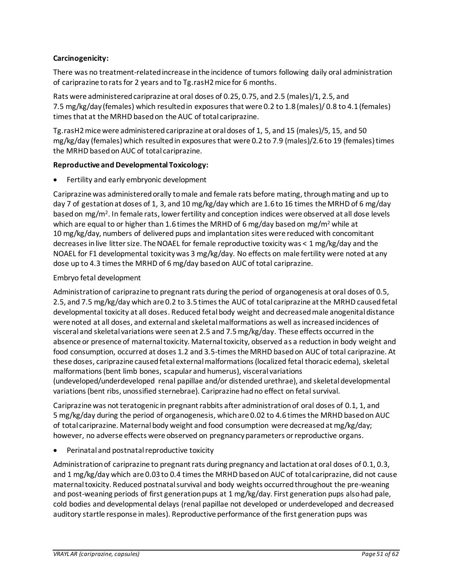## **Carcinogenicity:**

There was no treatment-relatedincrease in the incidence of tumors following daily oral administration of cariprazine to rats for 2 years and to Tg.rasH2 mice for 6 months.

Rats were administered cariprazine at oral doses of 0.25, 0.75, and 2.5 (males)/1, 2.5, and 7.5 mg/kg/day (females) which resulted in exposures that were 0.2 to 1.8 (males)/ 0.8 to 4.1 (females) times that at the MRHD based on the AUC of total cariprazine.

Tg.rasH2 mice were administered cariprazine at oral doses of 1, 5, and 15 (males)/5, 15, and 50 mg/kg/day (females) which resulted in exposures that were 0.2 to 7.9 (males)/2.6 to 19 (females) times the MRHD based on AUC of total cariprazine.

## **Reproductive and Developmental Toxicology:**

• Fertility and early embryonic development

Cariprazine was administered orally to male and female rats before mating, through mating and up to day 7 of gestation at doses of 1, 3, and 10 mg/kg/day which are 1.6 to 16 times the MRHD of 6 mg/day based on mg/m<sup>2</sup>. In female rats, lower fertility and conception indices were observed at all dose levels which are equal to or higher than 1.6 times the MRHD of 6 mg/day based on mg/m<sup>2</sup> while at 10 mg/kg/day, numbers of delivered pups and implantation sites were reduced with concomitant decreases in live litter size. The NOAEL for female reproductive toxicity was < 1 mg/kg/day and the NOAEL for F1 developmental toxicity was 3 mg/kg/day. No effects on male fertility were noted at any dose up to 4.3 times the MRHD of 6 mg/day based on AUC of total cariprazine.

## Embryo fetal development

Administration of cariprazine to pregnant rats during the period of organogenesis at oral doses of 0.5, 2.5, and 7.5 mg/kg/day which are 0.2 to 3.5 times the AUC of total cariprazine at the MRHD caused fetal developmental toxicity at all doses. Reduced fetal body weight and decreased male anogenital distance were noted at all doses, and external and skeletal malformations as well as increased incidences of visceral and skeletal variations were seen at 2.5 and 7.5 mg/kg/day. These effects occurred in the absence or presence of maternal toxicity. Maternal toxicity, observed as a reduction in body weight and food consumption, occurred at doses 1.2 and 3.5-times the MRHD based on AUC of total cariprazine. At these doses, cariprazine caused fetal external malformations (localized fetal thoracic edema), skeletal malformations (bent limb bones, scapular and humerus), visceral variations (undeveloped/underdeveloped renal papillae and/or distended urethrae), and skeletal developmental variations (bent ribs, unossified sternebrae). Cariprazine had no effect on fetal survival.

Cariprazine was not teratogenic in pregnant rabbits after administration of oral doses of 0.1, 1, and 5 mg/kg/day during the period of organogenesis, which are 0.02 to 4.6 times the MRHD based on AUC of total cariprazine. Maternal body weight and food consumption were decreased at mg/kg/day; however, no adverse effects were observed on pregnancy parameters or reproductive organs.

• Perinatal and postnatal reproductive toxicity

Administration of cariprazine to pregnant rats during pregnancy and lactation at oral doses of 0.1, 0.3, and 1 mg/kg/day which are 0.03 to 0.4 times the MRHD based on AUC of total cariprazine, did not cause maternal toxicity. Reduced postnatal survival and body weights occurred throughout the pre-weaning and post-weaning periods of first generation pups at 1 mg/kg/day. First generation pups also had pale, cold bodies and developmental delays (renal papillae not developed or underdeveloped and decreased auditory startle response in males). Reproductive performance of the first generation pups was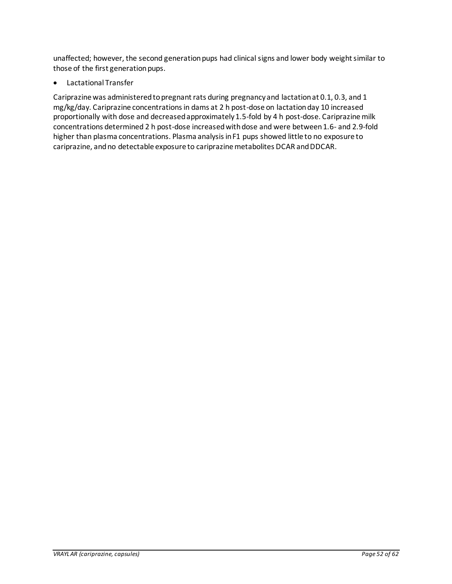unaffected; however, the second generation pups had clinical signs and lower body weight similar to those of the first generation pups.

<span id="page-51-0"></span>• Lactational Transfer

Cariprazine was administered to pregnant rats during pregnancy and lactation at 0.1, 0.3, and 1 mg/kg/day. Cariprazine concentrations in dams at 2 h post-dose on lactation day 10 increased proportionally with dose and decreased approximately 1.5-fold by 4 h post-dose. Cariprazine milk concentrations determined 2 h post-dose increased with dose and were between 1.6- and 2.9-fold higher than plasma concentrations. Plasma analysis in F1 pups showed little to no exposure to cariprazine, and no detectable exposure to cariprazine metabolites DCAR and DDCAR.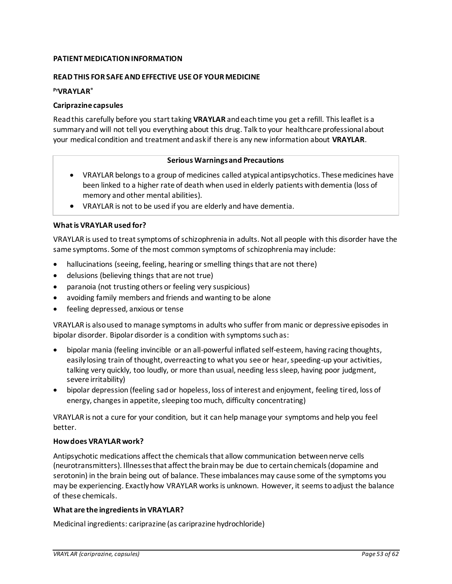## <span id="page-52-0"></span>**PATIENT MEDICATION INFORMATION**

### **READ THIS FOR SAFE AND EFFECTIVE USE OF YOUR MEDICINE**

## **PrVRAYLAR®**

### **Cariprazine capsules**

Read this carefully before you start taking **VRAYLAR** and each time you get a refill. This leaflet is a summary and will not tell you everything about this drug. Talk to your healthcare professional about your medical condition and treatment and ask if there is any new information about **VRAYLAR**.

### **Serious Warnings and Precautions**

- VRAYLAR belongs to a group of medicines called atypical antipsychotics. These medicines have been linked to a higher rate of death when used in elderly patients with dementia (loss of memory and other mental abilities).
- VRAYLAR is not to be used if you are elderly and have dementia.

## **What is VRAYLAR used for?**

VRAYLAR is used to treat symptoms of schizophrenia in adults. Not all people with this disorder have the same symptoms. Some of the most common symptoms of schizophrenia may include:

- hallucinations (seeing, feeling, hearing or smelling things that are not there)
- delusions (believing things that are not true)
- paranoia (not trusting others or feeling very suspicious)
- avoiding family members and friends and wanting to be alone
- feeling depressed, anxious or tense

VRAYLAR is also used to manage symptoms in adults who suffer from manic or depressive episodes in bipolar disorder. Bipolar disorder is a condition with symptoms such as:

- bipolar mania (feeling invincible or an all-powerful inflated self-esteem, having racing thoughts, easily losing train of thought, overreacting to what you see or hear, speeding-up your activities, talking very quickly, too loudly, or more than usual, needing less sleep, having poor judgment, severe irritability)
- bipolar depression (feeling sad or hopeless, loss of interest and enjoyment, feeling tired, loss of energy, changes in appetite, sleeping too much, difficulty concentrating)

VRAYLAR is not a cure for your condition, but it can help manage your symptoms and help you feel better.

### **How does VRAYLAR work?**

Antipsychotic medications affect the chemicals that allow communication between nerve cells (neurotransmitters). Illnesses that affect the brain may be due to certain chemicals (dopamine and serotonin) in the brain being out of balance. These imbalances may cause some of the symptoms you may be experiencing. Exactly how VRAYLAR works is unknown. However, it seems to adjust the balance of these chemicals.

### **What are the ingredients in VRAYLAR?**

Medicinal ingredients: cariprazine (as cariprazine hydrochloride)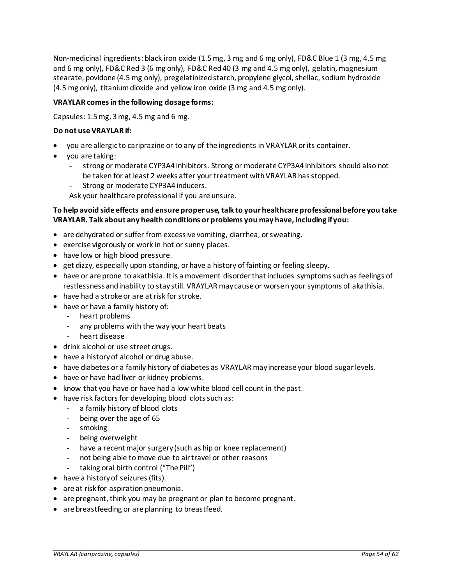Non-medicinal ingredients: black iron oxide (1.5 mg, 3 mg and 6 mg only), FD&C Blue 1 (3 mg, 4.5 mg and 6 mg only), FD&C Red 3 (6 mg only), FD&C Red 40 (3 mg and 4.5 mg only), gelatin, magnesium stearate, povidone (4.5 mg only), pregelatinized starch, propylene glycol, shellac, sodium hydroxide (4.5 mg only), titanium dioxide and yellow iron oxide (3 mg and 4.5 mg only).

### **VRAYLAR comes in the following dosage forms:**

Capsules: 1.5 mg, 3 mg, 4.5 mg and 6 mg.

### **Do not use VRAYLAR if:**

- you are allergic to cariprazine or to any of the ingredients in VRAYLAR or its container.
- you are taking:
	- strong or moderate CYP3A4 inhibitors. Strong or moderate CYP3A4 inhibitors should also not be taken for at least 2 weeks after your treatment with VRAYLAR has stopped.
	- Strong or moderate CYP3A4 inducers.

Ask your healthcare professional if you are unsure.

## **To help avoid side effects and ensure proper use, talk to your healthcare professional before you take VRAYLAR. Talk about any health conditions or problems you may have, including if you:**

- are dehydrated or suffer from excessive vomiting, diarrhea, or sweating.
- exercise vigorously or work in hot or sunny places.
- have low or high blood pressure.
- get dizzy, especially upon standing, or have a history of fainting or feeling sleepy.
- have or are prone to akathisia. It is a movement disorder that includes symptoms such as feelings of restlessness and inability to stay still. VRAYLAR may cause or worsen your symptoms of akathisia.
- have had a stroke or are at risk for stroke.
- have or have a family history of:
	- heart problems
	- any problems with the way your heart beats
	- heart disease
- drink alcohol or use street drugs.
- have a history of alcohol or drug abuse.
- have diabetes or a family history of diabetes as VRAYLAR may increase your blood sugar levels.
- have or have had liver or kidney problems.
- know that you have or have had a low white blood cell count in the past.
- have risk factors for developing blood clots such as:
	- a family history of blood clots
	- being over the age of 65
	- smoking
	- being overweight
	- have a recent major surgery (such as hip or knee replacement)
	- not being able to move due to air travel or other reasons
	- taking oral birth control ("The Pill")
- have a history of seizures (fits).
- are at risk for aspiration pneumonia.
- are pregnant, think you may be pregnant or plan to become pregnant.
- are breastfeeding or are planning to breastfeed.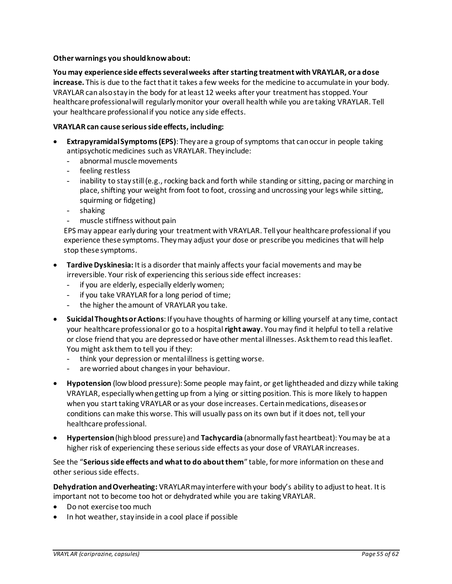### **Other warnings you should know about:**

**You may experience side effects several weeks after starting treatment with VRAYLAR, or a dose increase.** This is due to the fact that it takes a few weeks for the medicine to accumulate in your body. VRAYLAR can also stay in the body for at least 12 weeks after your treatment has stopped. Your healthcare professional will regularly monitor your overall health while you are taking VRAYLAR. Tell your healthcare professional if you notice any side effects.

## **VRAYLAR can cause serious side effects, including:**

- **Extrapyramidal Symptoms (EPS)**: They are a group of symptoms that can occur in people taking antipsychotic medicines such as VRAYLAR. They include:
	- abnormal muscle movements
	- feeling restless
	- inability to stay still (e.g., rocking back and forth while standing or sitting, pacing or marching in place, shifting your weight from foot to foot, crossing and uncrossing your legs while sitting, squirming or fidgeting)
	- shaking
	- muscle stiffness without pain

EPS may appear early during your treatment with VRAYLAR. Tell your healthcare professional if you experience these symptoms. They may adjust your dose or prescribe you medicines that will help stop these symptoms.

- **Tardive Dyskinesia:** It is a disorder that mainly affects your facial movements and may be irreversible. Your risk of experiencing this serious side effect increases:
	- if you are elderly, especially elderly women;
	- if you take VRAYLAR for a long period of time;
	- the higher the amount of VRAYLAR you take.
- **SuicidalThoughts or Actions**: If you have thoughts of harming or killing yourself at any time, contact your healthcare professional or go to a hospital **right away**. You may find it helpful to tell a relative or close friend that you are depressed or have other mental illnesses. Ask them to read this leaflet. You might ask them to tell you if they:
	- think your depression or mental illness is getting worse.
	- are worried about changes in your behaviour.
- **Hypotension** (low blood pressure): Some people may faint, or get lightheaded and dizzy while taking VRAYLAR, especially when getting up from a lying or sitting position. This is more likely to happen when you start taking VRAYLAR or as your dose increases. Certain medications, diseases or conditions can make this worse. This will usually pass on its own but if it does not, tell your healthcare professional.
- **Hypertension** (high blood pressure) and **Tachycardia** (abnormally fast heartbeat): You may be at a higher risk of experiencing these serious side effects as your dose of VRAYLAR increases.

See the "**Serious side effects and what to do about them**" table, for more information on these and other serious side effects.

**Dehydration and Overheating:** VRAYLAR may interfere with your body's ability to adjust to heat. It is important not to become too hot or dehydrated while you are taking VRAYLAR.

- Do not exercise too much
- In hot weather, stay inside in a cool place if possible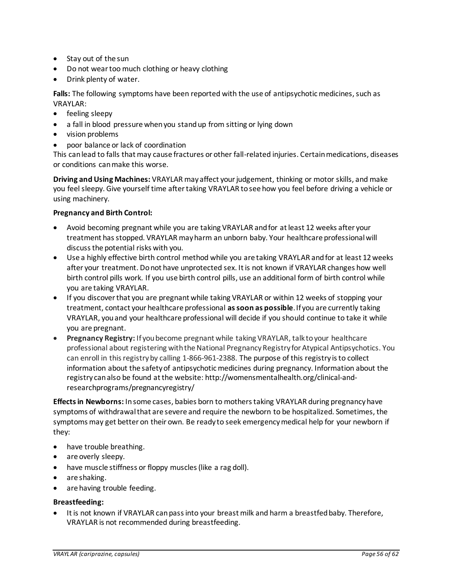- Stay out of the sun
- Do not wear too much clothing or heavy clothing
- Drink plenty of water.

**Falls:** The following symptoms have been reported with the use of antipsychotic medicines, such as VRAYLAR:

- feeling sleepy
- a fall in blood pressure when you stand up from sitting or lying down
- vision problems
- poor balance or lack of coordination

This can lead to falls that may cause fractures or other fall-related injuries. Certain medications, diseases or conditions can make this worse.

**Driving and Using Machines:** VRAYLAR may affect your judgement, thinking or motor skills, and make you feel sleepy. Give yourself time after taking VRAYLAR to see how you feel before driving a vehicle or using machinery.

## **Pregnancy and Birth Control:**

- Avoid becoming pregnant while you are taking VRAYLAR and for at least 12 weeks after your treatment has stopped. VRAYLAR may harm an unborn baby. Your healthcare professional will discuss the potential risks with you.
- Use a highly effective birth control method while you are taking VRAYLAR and for at least 12 weeks after your treatment. Do not have unprotected sex. It is not known if VRAYLAR changes how well birth control pills work. If you use birth control pills, use an additional form of birth control while you are taking VRAYLAR.
- If you discover that you are pregnant while taking VRAYLAR or within 12 weeks of stopping your treatment, contact your healthcare professional **as soon as possible**. If you are currently taking VRAYLAR, you and your healthcare professional will decide if you should continue to take it while you are pregnant.
- **Pregnancy Registry:** If you become pregnant while taking VRAYLAR, talk to your healthcare professional about registering with the National Pregnancy Registry for Atypical Antipsychotics. You can enroll in this registry by calling 1-866-961-2388. The purpose of this registry is to collect information about the safety of antipsychotic medicines during pregnancy. Information about the registry can also be found at the website: http://womensmentalhealth.org/clinical-andresearchprograms/pregnancyregistry/

**Effects in Newborns:** In some cases, babies born to mothers taking VRAYLAR during pregnancy have symptoms of withdrawal that are severe and require the newborn to be hospitalized. Sometimes, the symptoms may get better on their own. Be ready to seek emergency medical help for your newborn if they:

- have trouble breathing.
- are overly sleepy.
- have muscle stiffness or floppy muscles (like a rag doll).
- are shaking.
- are having trouble feeding.

### **Breastfeeding:**

• It is not known if VRAYLAR can pass into your breast milk and harm a breastfed baby. Therefore, VRAYLAR is not recommended during breastfeeding.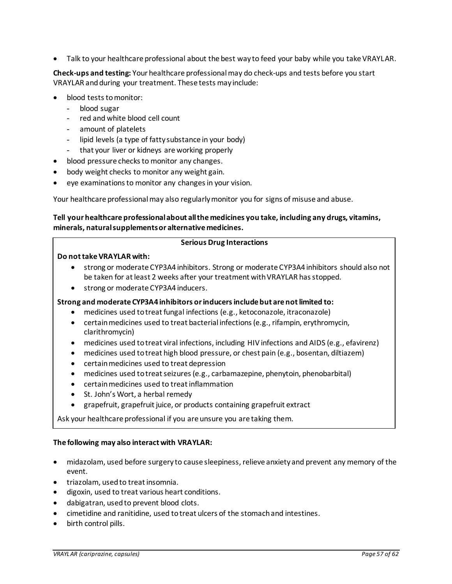• Talk to your healthcare professional about the best way to feed your baby while you take VRAYLAR.

**Check-ups and testing:** Your healthcare professional may do check-ups and tests before you start VRAYLAR and during your treatment. These tests may include:

- blood tests to monitor:
	- blood sugar
	- red and white blood cell count
	- amount of platelets
	- lipid levels (a type of fatty substance in your body)
	- that your liver or kidneys are working properly
- blood pressure checks to monitor any changes.
- body weight checks to monitor any weight gain.
- eye examinations to monitor any changes in your vision.

Your healthcare professional may also regularly monitor you for signs of misuse and abuse.

## **Tell your healthcare professional about all the medicines you take, including any drugs, vitamins, minerals, natural supplements or alternative medicines.**

### **Serious Drug Interactions**

### **Do not take VRAYLAR with:**

- strong or moderate CYP3A4 inhibitors. Strong or moderate CYP3A4 inhibitors should also not be taken for at least 2 weeks after your treatment with VRAYLAR has stopped.
- strong or moderate CYP3A4 inducers.

### **Strong and moderate CYP3A4 inhibitors or inducers include but are not limited to:**

- medicines used to treat fungal infections (e.g., ketoconazole, itraconazole)
- certain medicines used to treat bacterial infections (e.g., rifampin, erythromycin, clarithromycin)
- medicines used to treat viral infections, including HIV infections and AIDS (e.g., efavirenz)
- medicines used to treat high blood pressure, or chest pain (e.g., bosentan, diltiazem)
- certain medicines used to treat depression
- medicines used to treat seizures (e.g., carbamazepine, phenytoin, phenobarbital)
- certain medicines used to treat inflammation
- St. John's Wort, a herbal remedy
- grapefruit, grapefruit juice, or products containing grapefruit extract

Ask your healthcare professional if you are unsure you are taking them.

### **The following may also interact with VRAYLAR:**

- midazolam, used before surgery to cause sleepiness, relieve anxiety and prevent any memory of the event.
- triazolam, used to treat insomnia.
- digoxin, used to treat various heart conditions.
- dabigatran, used to prevent blood clots.
- cimetidine and ranitidine, used to treat ulcers of the stomach and intestines.
- birth control pills.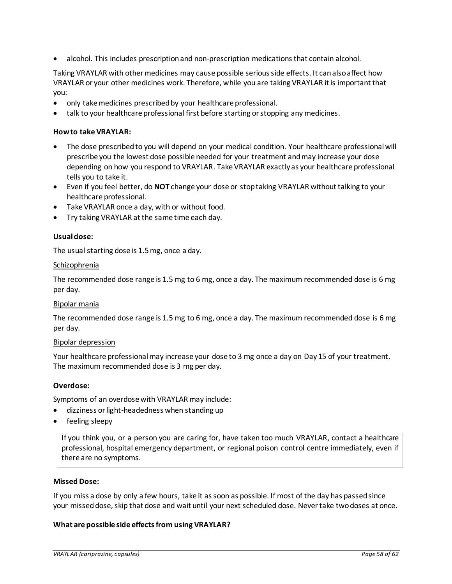• alcohol. This includes prescription and non-prescription medications that contain alcohol.

Taking VRAYLAR with other medicines may cause possible serious side effects. It can also affect how VRAYLAR or your other medicines work. Therefore, while you are taking VRAYLAR it is important that you:

- only take medicines prescribed by your healthcare professional.
- talk to your healthcare professional first before starting or stopping any medicines.

### **How to take VRAYLAR:**

- The dose prescribed to you will depend on your medical condition. Your healthcare professional will prescribe you the lowest dose possible needed for your treatment and may increase your dose depending on how you respond to VRAYLAR. Take VRAYLAR exactly as your healthcare professional tells you to take it.
- Even if you feel better, do **NOT** change your dose or stop taking VRAYLAR without talking to your healthcare professional.
- Take VRAYLAR once a day, with or without food.
- Try taking VRAYLAR at the same time each day.

### **Usual dose:**

The usual starting dose is 1.5 mg, once a day.

### **Schizophrenia**

The recommended dose range is 1.5 mg to 6 mg, once a day. The maximum recommended dose is 6 mg per day.

### Bipolar mania

The recommended dose range is 1.5 mg to 6 mg, once a day. The maximum recommended dose is 6 mg per day.

### Bipolar depression

Your healthcare professional may increase your dose to 3 mg once a day on Day 15 of your treatment. The maximum recommended dose is 3 mg per day.

### **Overdose:**

Symptoms of an overdose with VRAYLAR may include:

- dizziness or light-headedness when standing up
- feeling sleepy

If you think you, or a person you are caring for, have taken too much VRAYLAR, contact a healthcare professional, hospital emergency department, or regional poison control centre immediately, even if there are no symptoms.

### **Missed Dose:**

If you miss a dose by only a few hours, take it as soon as possible. If most of the day has passed since your missed dose, skip that dose and wait until your next scheduled dose. Never take two doses at once.

### **What are possible side effects from using VRAYLAR?**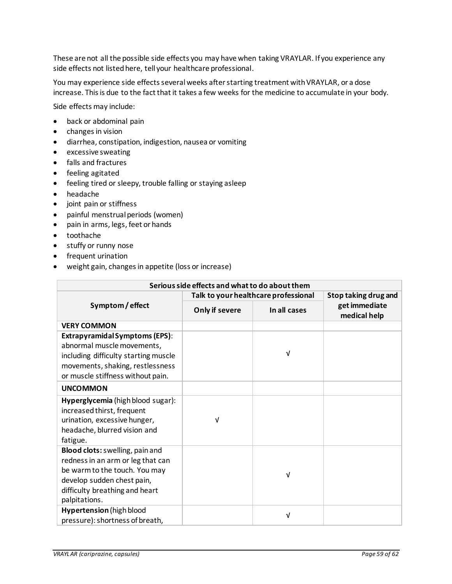These are not all the possible side effects you may have when taking VRAYLAR. If you experience any side effects not listed here, tell your healthcare professional.

You may experience side effects several weeks after starting treatment with VRAYLAR, or a dose increase. This is due to the fact that it takes a few weeks for the medicine to accumulate in your body.

Side effects may include:

- back or abdominal pain
- changes in vision
- diarrhea, constipation, indigestion, nausea or vomiting
- excessive sweating
- falls and fractures
- feeling agitated
- feeling tired or sleepy, trouble falling or staying asleep
- headache
- joint pain or stiffness
- painful menstrual periods (women)
- pain in arms, legs, feet or hands
- toothache
- stuffy or runny nose
- frequent urination
- weight gain, changes in appetite (loss or increase)

| Serious side effects and what to do about them                                                                                                                                         |                                      |              |                               |  |  |
|----------------------------------------------------------------------------------------------------------------------------------------------------------------------------------------|--------------------------------------|--------------|-------------------------------|--|--|
| Symptom/effect                                                                                                                                                                         | Talk to your healthcare professional |              | Stop taking drug and          |  |  |
|                                                                                                                                                                                        | Only if severe                       | In all cases | get immediate<br>medical help |  |  |
| <b>VERY COMMON</b>                                                                                                                                                                     |                                      |              |                               |  |  |
| <b>Extrapyramidal Symptoms (EPS):</b><br>abnormal muscle movements,<br>including difficulty starting muscle<br>movements, shaking, restlessness<br>or muscle stiffness without pain.   |                                      | V            |                               |  |  |
| <b>UNCOMMON</b>                                                                                                                                                                        |                                      |              |                               |  |  |
| Hyperglycemia (high blood sugar):<br>increased thirst, frequent<br>urination, excessive hunger,<br>headache, blurred vision and<br>fatigue.                                            | V                                    |              |                               |  |  |
| Blood clots: swelling, pain and<br>redness in an arm or leg that can<br>be warm to the touch. You may<br>develop sudden chest pain,<br>difficulty breathing and heart<br>palpitations. |                                      | V            |                               |  |  |
| <b>Hypertension</b> (high blood<br>pressure): shortness of breath,                                                                                                                     |                                      | V            |                               |  |  |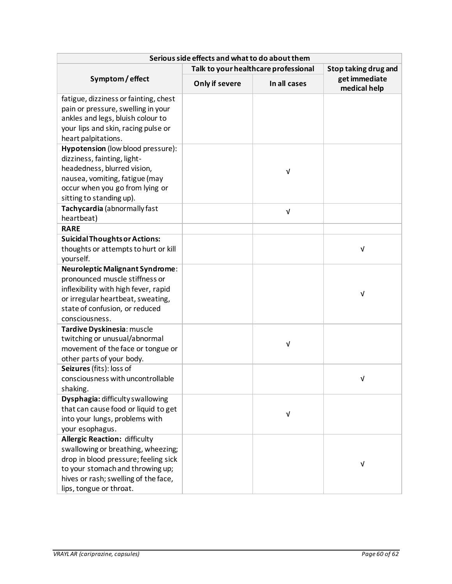| Serious side effects and what to do about them |                                      |                      |                               |  |  |  |
|------------------------------------------------|--------------------------------------|----------------------|-------------------------------|--|--|--|
|                                                | Talk to your healthcare professional | Stop taking drug and |                               |  |  |  |
| Symptom/effect                                 | Only if severe                       | In all cases         | get immediate<br>medical help |  |  |  |
| fatigue, dizziness or fainting, chest          |                                      |                      |                               |  |  |  |
| pain or pressure, swelling in your             |                                      |                      |                               |  |  |  |
| ankles and legs, bluish colour to              |                                      |                      |                               |  |  |  |
| your lips and skin, racing pulse or            |                                      |                      |                               |  |  |  |
| heart palpitations.                            |                                      |                      |                               |  |  |  |
| Hypotension (low blood pressure):              |                                      |                      |                               |  |  |  |
| dizziness, fainting, light-                    |                                      |                      |                               |  |  |  |
| headedness, blurred vision,                    |                                      | V                    |                               |  |  |  |
| nausea, vomiting, fatigue (may                 |                                      |                      |                               |  |  |  |
| occur when you go from lying or                |                                      |                      |                               |  |  |  |
| sitting to standing up).                       |                                      |                      |                               |  |  |  |
| Tachycardia (abnormally fast                   |                                      | $\sqrt{ }$           |                               |  |  |  |
| heartbeat)                                     |                                      |                      |                               |  |  |  |
| <b>RARE</b>                                    |                                      |                      |                               |  |  |  |
| <b>Suicidal Thoughts or Actions:</b>           |                                      |                      |                               |  |  |  |
| thoughts or attempts to hurt or kill           |                                      |                      | V                             |  |  |  |
| yourself.                                      |                                      |                      |                               |  |  |  |
| <b>Neuroleptic Malignant Syndrome:</b>         |                                      |                      |                               |  |  |  |
| pronounced muscle stiffness or                 |                                      |                      |                               |  |  |  |
| inflexibility with high fever, rapid           |                                      |                      | V                             |  |  |  |
| or irregular heartbeat, sweating,              |                                      |                      |                               |  |  |  |
| state of confusion, or reduced                 |                                      |                      |                               |  |  |  |
| consciousness.                                 |                                      |                      |                               |  |  |  |
| Tardive Dyskinesia: muscle                     |                                      |                      |                               |  |  |  |
| twitching or unusual/abnormal                  |                                      | ν                    |                               |  |  |  |
| movement of the face or tongue or              |                                      |                      |                               |  |  |  |
| other parts of your body.                      |                                      |                      |                               |  |  |  |
| Seizures (fits): loss of                       |                                      |                      |                               |  |  |  |
| consciousness with uncontrollable              |                                      |                      | $\sqrt{ }$                    |  |  |  |
| shaking.                                       |                                      |                      |                               |  |  |  |
| Dysphagia: difficulty swallowing               |                                      |                      |                               |  |  |  |
| that can cause food or liquid to get           |                                      | $\sf V$              |                               |  |  |  |
| into your lungs, problems with                 |                                      |                      |                               |  |  |  |
| your esophagus.                                |                                      |                      |                               |  |  |  |
| <b>Allergic Reaction: difficulty</b>           |                                      |                      |                               |  |  |  |
| swallowing or breathing, wheezing;             |                                      |                      |                               |  |  |  |
| drop in blood pressure; feeling sick           |                                      |                      | V                             |  |  |  |
| to your stomach and throwing up;               |                                      |                      |                               |  |  |  |
| hives or rash; swelling of the face,           |                                      |                      |                               |  |  |  |
| lips, tongue or throat.                        |                                      |                      |                               |  |  |  |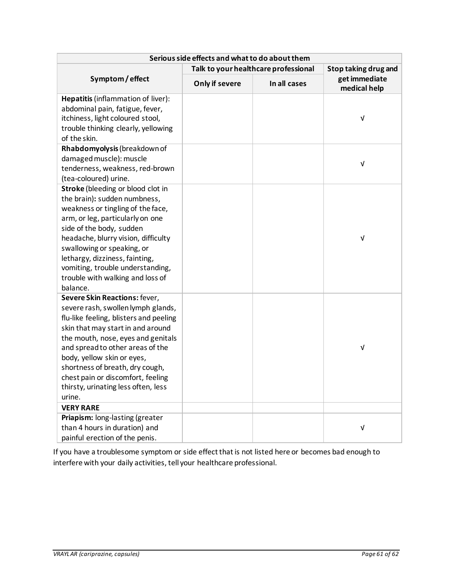| Serious side effects and what to do about them                  |                                      |              |                               |  |  |
|-----------------------------------------------------------------|--------------------------------------|--------------|-------------------------------|--|--|
|                                                                 | Talk to your healthcare professional |              | Stop taking drug and          |  |  |
| Symptom/effect                                                  | Only if severe                       | In all cases | get immediate<br>medical help |  |  |
| Hepatitis (inflammation of liver):                              |                                      |              |                               |  |  |
| abdominal pain, fatigue, fever,                                 |                                      |              |                               |  |  |
| itchiness, light coloured stool,                                |                                      |              | $\sqrt{ }$                    |  |  |
| trouble thinking clearly, yellowing                             |                                      |              |                               |  |  |
| of the skin.                                                    |                                      |              |                               |  |  |
| Rhabdomyolysis (breakdown of                                    |                                      |              |                               |  |  |
| damaged muscle): muscle                                         |                                      |              | V                             |  |  |
| tenderness, weakness, red-brown                                 |                                      |              |                               |  |  |
| (tea-coloured) urine.                                           |                                      |              |                               |  |  |
| Stroke (bleeding or blood clot in                               |                                      |              |                               |  |  |
| the brain): sudden numbness,                                    |                                      |              |                               |  |  |
| weakness or tingling of the face,                               |                                      |              |                               |  |  |
| arm, or leg, particularly on one                                |                                      |              |                               |  |  |
| side of the body, sudden<br>headache, blurry vision, difficulty |                                      |              | V                             |  |  |
| swallowing or speaking, or                                      |                                      |              |                               |  |  |
| lethargy, dizziness, fainting,                                  |                                      |              |                               |  |  |
| vomiting, trouble understanding,                                |                                      |              |                               |  |  |
| trouble with walking and loss of                                |                                      |              |                               |  |  |
| balance.                                                        |                                      |              |                               |  |  |
| Severe Skin Reactions: fever,                                   |                                      |              |                               |  |  |
| severe rash, swollen lymph glands,                              |                                      |              |                               |  |  |
| flu-like feeling, blisters and peeling                          |                                      |              |                               |  |  |
| skin that may start in and around                               |                                      |              |                               |  |  |
| the mouth, nose, eyes and genitals                              |                                      |              |                               |  |  |
| and spread to other areas of the                                |                                      |              | $\sf V$                       |  |  |
| body, yellow skin or eyes,                                      |                                      |              |                               |  |  |
| shortness of breath, dry cough,                                 |                                      |              |                               |  |  |
| chest pain or discomfort, feeling                               |                                      |              |                               |  |  |
| thirsty, urinating less often, less                             |                                      |              |                               |  |  |
| urine.                                                          |                                      |              |                               |  |  |
| <b>VERY RARE</b>                                                |                                      |              |                               |  |  |
| Priapism: long-lasting (greater                                 |                                      |              |                               |  |  |
| than 4 hours in duration) and                                   |                                      |              | $\sqrt{ }$                    |  |  |
| painful erection of the penis.                                  |                                      |              |                               |  |  |

If you have a troublesome symptom or side effect that is not listed here or becomes bad enough to interfere with your daily activities, tell your healthcare professional.